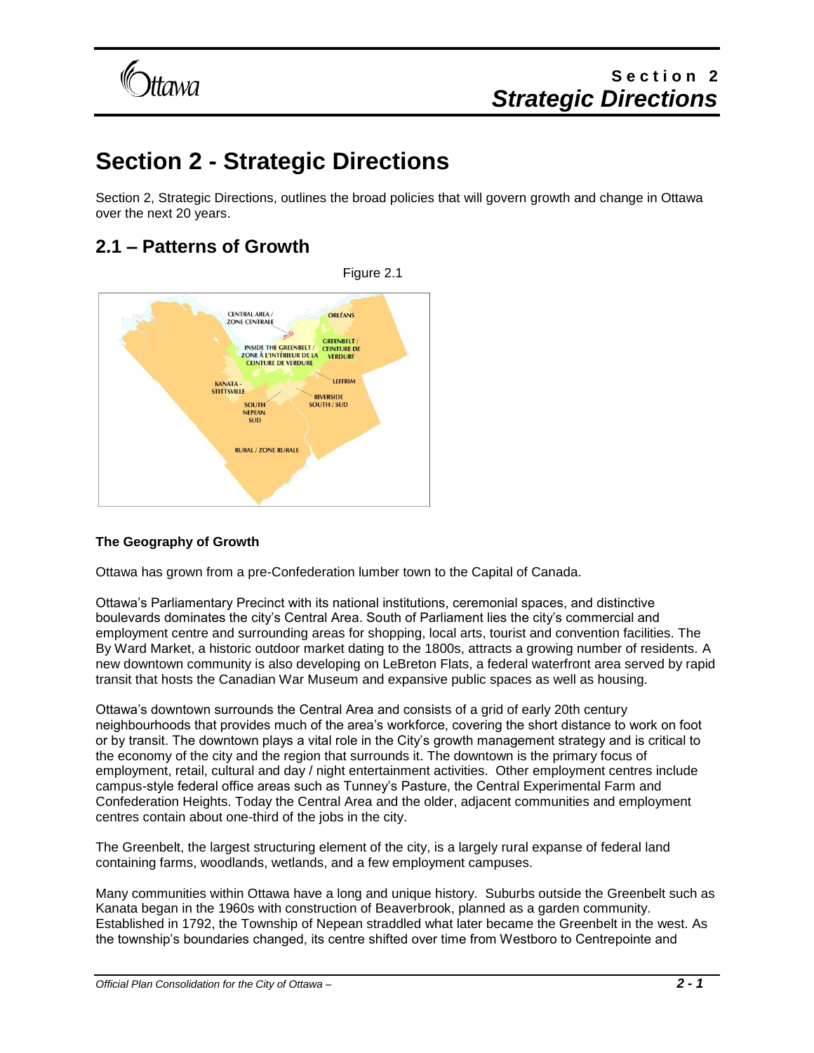

# **Section 2 - Strategic Directions**

Section 2, Strategic Directions, outlines the broad policies that will govern growth and change in Ottawa over the next 20 years.

## **2.1 – Patterns of Growth**



### **The Geography of Growth**

Ottawa has grown from a pre-Confederation lumber town to the Capital of Canada.

Ottawa's Parliamentary Precinct with its national institutions, ceremonial spaces, and distinctive boulevards dominates the city's Central Area. South of Parliament lies the city's commercial and employment centre and surrounding areas for shopping, local arts, tourist and convention facilities. The By Ward Market, a historic outdoor market dating to the 1800s, attracts a growing number of residents. A new downtown community is also developing on LeBreton Flats, a federal waterfront area served by rapid transit that hosts the Canadian War Museum and expansive public spaces as well as housing.

Ottawa's downtown surrounds the Central Area and consists of a grid of early 20th century neighbourhoods that provides much of the area's workforce, covering the short distance to work on foot or by transit. The downtown plays a vital role in the City's growth management strategy and is critical to the economy of the city and the region that surrounds it. The downtown is the primary focus of employment, retail, cultural and day / night entertainment activities. Other employment centres include campus-style federal office areas such as Tunney's Pasture, the Central Experimental Farm and Confederation Heights. Today the Central Area and the older, adjacent communities and employment centres contain about one-third of the jobs in the city.

The Greenbelt, the largest structuring element of the city, is a largely rural expanse of federal land containing farms, woodlands, wetlands, and a few employment campuses.

Many communities within Ottawa have a long and unique history. Suburbs outside the Greenbelt such as Kanata began in the 1960s with construction of Beaverbrook, planned as a garden community. Established in 1792, the Township of Nepean straddled what later became the Greenbelt in the west. As the township's boundaries changed, its centre shifted over time from Westboro to Centrepointe and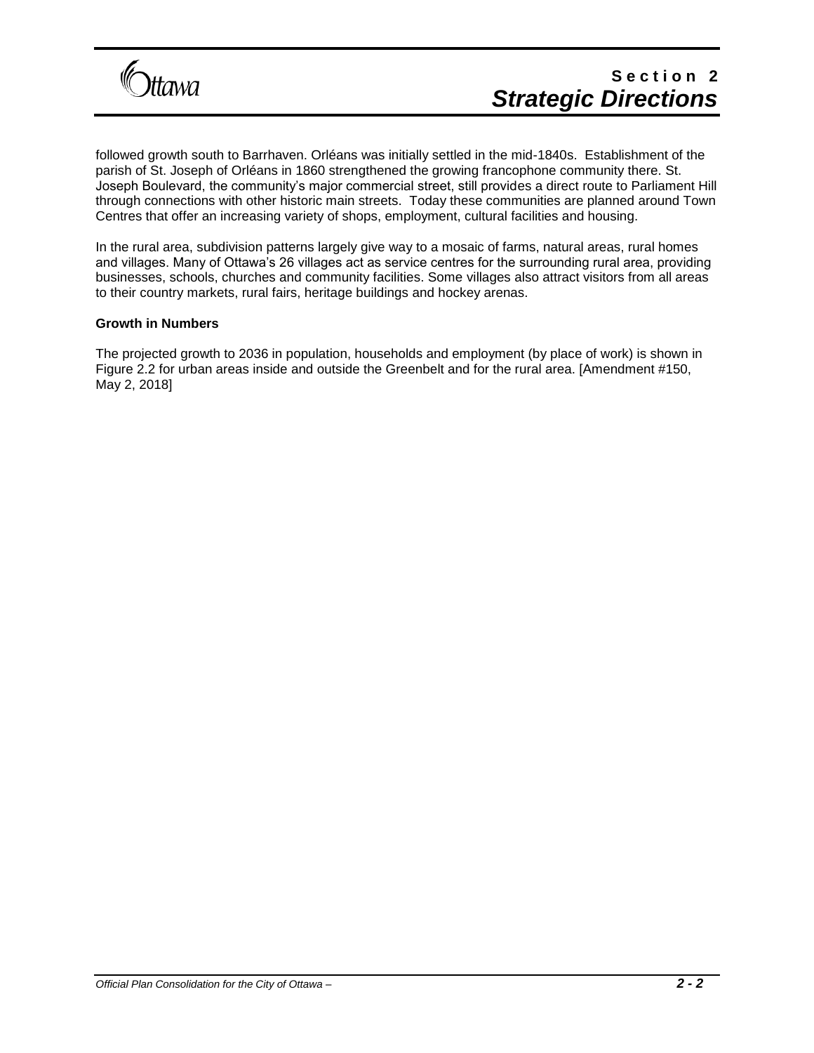

followed growth south to Barrhaven. Orléans was initially settled in the mid-1840s. Establishment of the parish of St. Joseph of Orléans in 1860 strengthened the growing francophone community there. St. Joseph Boulevard, the community's major commercial street, still provides a direct route to Parliament Hill through connections with other historic main streets. Today these communities are planned around Town Centres that offer an increasing variety of shops, employment, cultural facilities and housing.

In the rural area, subdivision patterns largely give way to a mosaic of farms, natural areas, rural homes and villages. Many of Ottawa's 26 villages act as service centres for the surrounding rural area, providing businesses, schools, churches and community facilities. Some villages also attract visitors from all areas to their country markets, rural fairs, heritage buildings and hockey arenas.

#### **Growth in Numbers**

The projected growth to 2036 in population, households and employment (by place of work) is shown in Figure 2.2 for urban areas inside and outside the Greenbelt and for the rural area. [Amendment #150, May 2, 2018]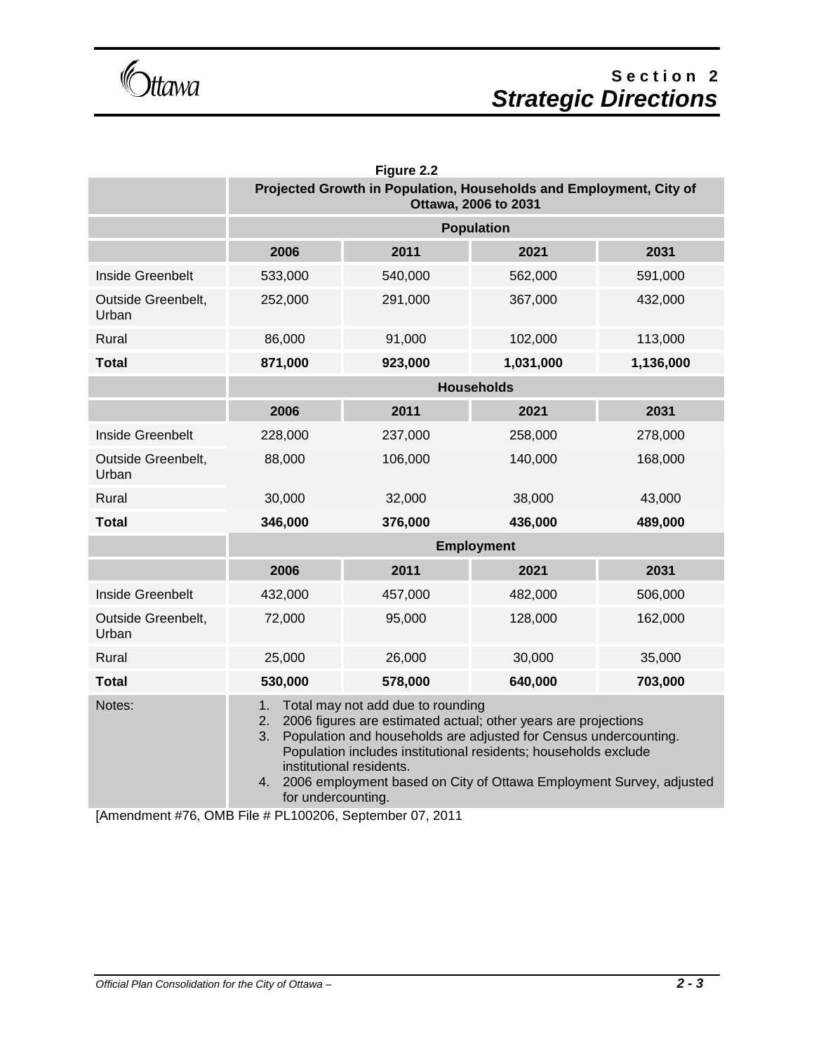Gttawa

# **S e c t i o n 2** *Strategic Directions*

|                             |                                                                                                                                                                                                                                                                                                                                                                                             | Figure 2.2 |           |           |  |
|-----------------------------|---------------------------------------------------------------------------------------------------------------------------------------------------------------------------------------------------------------------------------------------------------------------------------------------------------------------------------------------------------------------------------------------|------------|-----------|-----------|--|
|                             | Projected Growth in Population, Households and Employment, City of<br>Ottawa, 2006 to 2031                                                                                                                                                                                                                                                                                                  |            |           |           |  |
|                             | <b>Population</b>                                                                                                                                                                                                                                                                                                                                                                           |            |           |           |  |
|                             | 2006                                                                                                                                                                                                                                                                                                                                                                                        | 2011       | 2021      | 2031      |  |
| Inside Greenbelt            | 533,000                                                                                                                                                                                                                                                                                                                                                                                     | 540,000    | 562,000   | 591,000   |  |
| Outside Greenbelt,<br>Urban | 252,000                                                                                                                                                                                                                                                                                                                                                                                     | 291,000    | 367,000   | 432,000   |  |
| Rural                       | 86,000                                                                                                                                                                                                                                                                                                                                                                                      | 91,000     | 102,000   | 113,000   |  |
| <b>Total</b>                | 871,000                                                                                                                                                                                                                                                                                                                                                                                     | 923,000    | 1,031,000 | 1,136,000 |  |
|                             | <b>Households</b>                                                                                                                                                                                                                                                                                                                                                                           |            |           |           |  |
|                             | 2006                                                                                                                                                                                                                                                                                                                                                                                        | 2011       | 2021      | 2031      |  |
| Inside Greenbelt            | 228,000                                                                                                                                                                                                                                                                                                                                                                                     | 237,000    | 258,000   | 278,000   |  |
| Outside Greenbelt,<br>Urban | 88,000                                                                                                                                                                                                                                                                                                                                                                                      | 106,000    | 140,000   | 168,000   |  |
| Rural                       | 30,000                                                                                                                                                                                                                                                                                                                                                                                      | 32,000     | 38,000    | 43,000    |  |
| <b>Total</b>                | 346,000                                                                                                                                                                                                                                                                                                                                                                                     | 376,000    | 436,000   | 489,000   |  |
|                             | <b>Employment</b>                                                                                                                                                                                                                                                                                                                                                                           |            |           |           |  |
|                             | 2006                                                                                                                                                                                                                                                                                                                                                                                        | 2011       | 2021      | 2031      |  |
| Inside Greenbelt            | 432,000                                                                                                                                                                                                                                                                                                                                                                                     | 457,000    | 482,000   | 506,000   |  |
| Outside Greenbelt,<br>Urban | 72,000                                                                                                                                                                                                                                                                                                                                                                                      | 95,000     | 128,000   | 162,000   |  |
| Rural                       | 25,000                                                                                                                                                                                                                                                                                                                                                                                      | 26,000     | 30,000    | 35,000    |  |
| <b>Total</b>                | 530,000                                                                                                                                                                                                                                                                                                                                                                                     | 578,000    | 640,000   | 703,000   |  |
| Notes:                      | 1.<br>Total may not add due to rounding<br>2006 figures are estimated actual; other years are projections<br>2.<br>3.<br>Population and households are adjusted for Census undercounting.<br>Population includes institutional residents; households exclude<br>institutional residents.<br>2006 employment based on City of Ottawa Employment Survey, adjusted<br>4.<br>for undercounting. |            |           |           |  |

[Amendment #76, OMB File # PL100206, September 07, 2011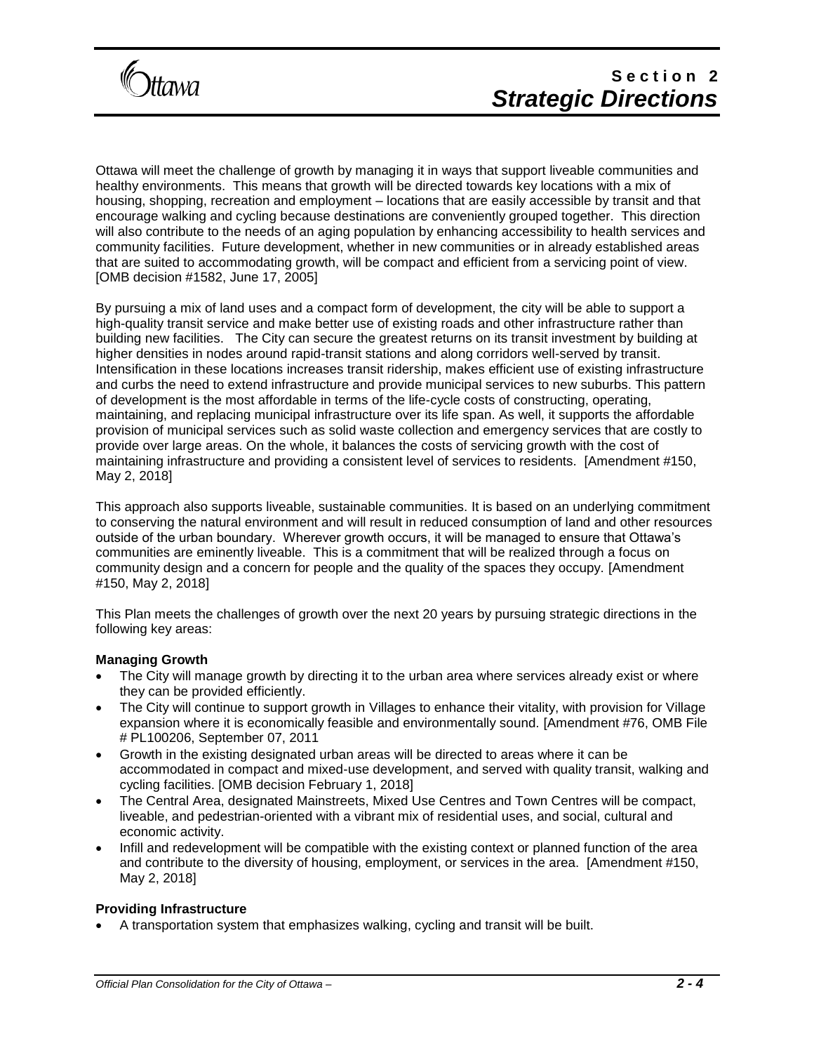

Ottawa will meet the challenge of growth by managing it in ways that support liveable communities and healthy environments. This means that growth will be directed towards key locations with a mix of housing, shopping, recreation and employment – locations that are easily accessible by transit and that encourage walking and cycling because destinations are conveniently grouped together. This direction will also contribute to the needs of an aging population by enhancing accessibility to health services and community facilities. Future development, whether in new communities or in already established areas that are suited to accommodating growth, will be compact and efficient from a servicing point of view. [OMB decision #1582, June 17, 2005]

By pursuing a mix of land uses and a compact form of development, the city will be able to support a high-quality transit service and make better use of existing roads and other infrastructure rather than building new facilities. The City can secure the greatest returns on its transit investment by building at higher densities in nodes around rapid-transit stations and along corridors well-served by transit. Intensification in these locations increases transit ridership, makes efficient use of existing infrastructure and curbs the need to extend infrastructure and provide municipal services to new suburbs. This pattern of development is the most affordable in terms of the life-cycle costs of constructing, operating, maintaining, and replacing municipal infrastructure over its life span. As well, it supports the affordable provision of municipal services such as solid waste collection and emergency services that are costly to provide over large areas. On the whole, it balances the costs of servicing growth with the cost of maintaining infrastructure and providing a consistent level of services to residents. [Amendment #150, May 2, 2018]

This approach also supports liveable, sustainable communities. It is based on an underlying commitment to conserving the natural environment and will result in reduced consumption of land and other resources outside of the urban boundary. Wherever growth occurs, it will be managed to ensure that Ottawa's communities are eminently liveable. This is a commitment that will be realized through a focus on community design and a concern for people and the quality of the spaces they occupy. [Amendment #150, May 2, 2018]

This Plan meets the challenges of growth over the next 20 years by pursuing strategic directions in the following key areas:

#### **Managing Growth**

- The City will manage growth by directing it to the urban area where services already exist or where they can be provided efficiently.
- The City will continue to support growth in Villages to enhance their vitality, with provision for Village expansion where it is economically feasible and environmentally sound. [Amendment #76, OMB File # PL100206, September 07, 2011
- Growth in the existing designated urban areas will be directed to areas where it can be accommodated in compact and mixed-use development, and served with quality transit, walking and cycling facilities. [OMB decision February 1, 2018]
- The Central Area, designated Mainstreets, Mixed Use Centres and Town Centres will be compact, liveable, and pedestrian-oriented with a vibrant mix of residential uses, and social, cultural and economic activity.
- Infill and redevelopment will be compatible with the existing context or planned function of the area and contribute to the diversity of housing, employment, or services in the area. [Amendment #150, May 2, 2018]

#### **Providing Infrastructure**

• A transportation system that emphasizes walking, cycling and transit will be built.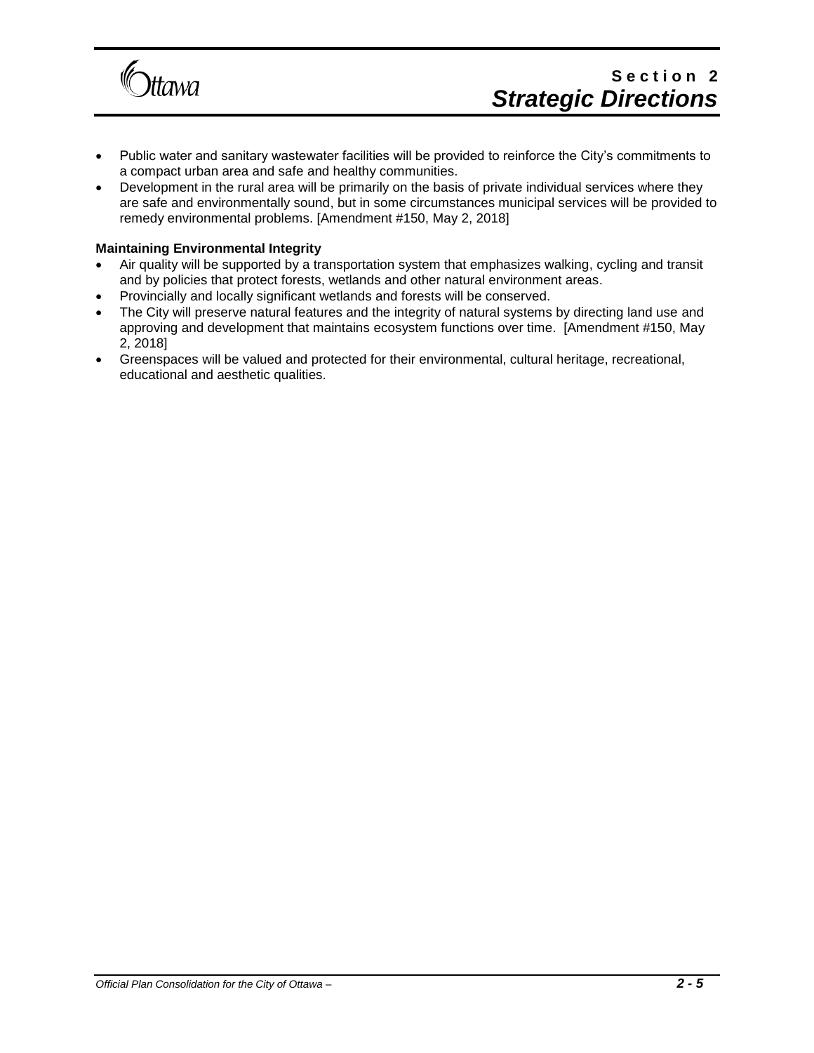

- Public water and sanitary wastewater facilities will be provided to reinforce the City's commitments to a compact urban area and safe and healthy communities.
- Development in the rural area will be primarily on the basis of private individual services where they are safe and environmentally sound, but in some circumstances municipal services will be provided to remedy environmental problems. [Amendment #150, May 2, 2018]

#### **Maintaining Environmental Integrity**

- Air quality will be supported by a transportation system that emphasizes walking, cycling and transit and by policies that protect forests, wetlands and other natural environment areas.
- Provincially and locally significant wetlands and forests will be conserved.
- The City will preserve natural features and the integrity of natural systems by directing land use and approving and development that maintains ecosystem functions over time. [Amendment #150, May 2, 2018]
- Greenspaces will be valued and protected for their environmental, cultural heritage, recreational, educational and aesthetic qualities.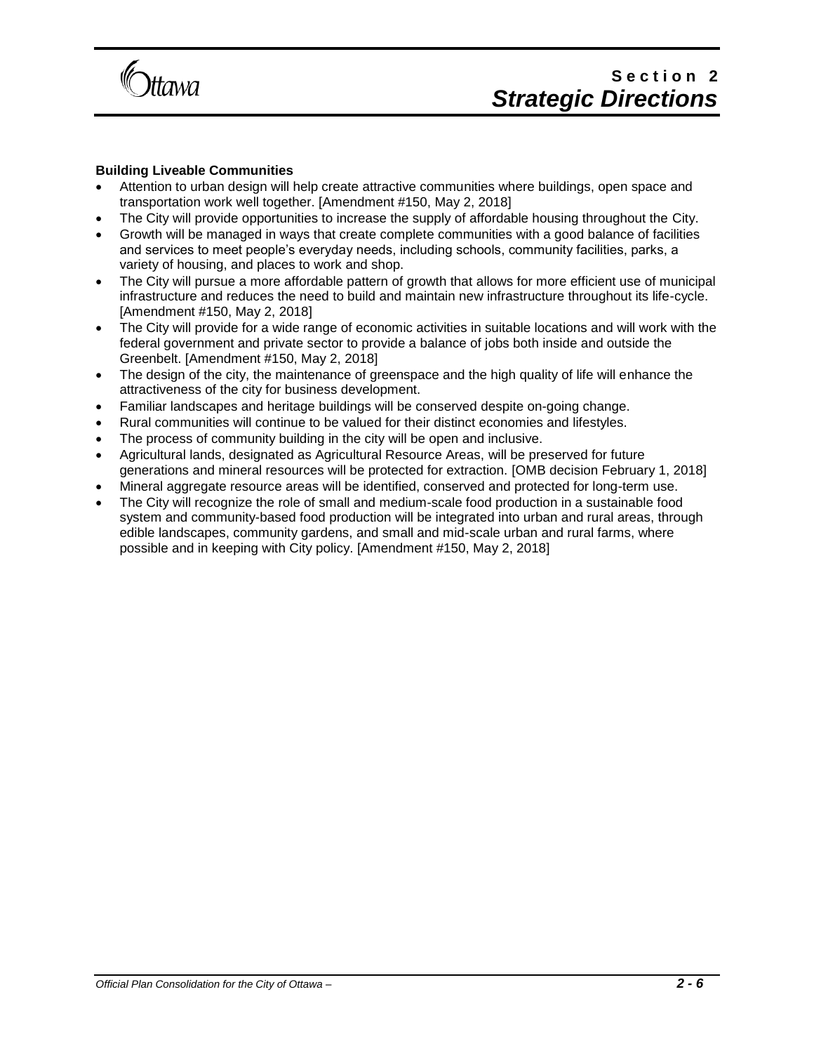

#### **Building Liveable Communities**

- Attention to urban design will help create attractive communities where buildings, open space and transportation work well together. [Amendment #150, May 2, 2018]
- The City will provide opportunities to increase the supply of affordable housing throughout the City.
- Growth will be managed in ways that create complete communities with a good balance of facilities and services to meet people's everyday needs, including schools, community facilities, parks, a variety of housing, and places to work and shop.
- The City will pursue a more affordable pattern of growth that allows for more efficient use of municipal infrastructure and reduces the need to build and maintain new infrastructure throughout its life-cycle. [Amendment #150, May 2, 2018]
- The City will provide for a wide range of economic activities in suitable locations and will work with the federal government and private sector to provide a balance of jobs both inside and outside the Greenbelt. [Amendment #150, May 2, 2018]
- The design of the city, the maintenance of greenspace and the high quality of life will enhance the attractiveness of the city for business development.
- Familiar landscapes and heritage buildings will be conserved despite on-going change.
- Rural communities will continue to be valued for their distinct economies and lifestyles.
- The process of community building in the city will be open and inclusive.
- Agricultural lands, designated as Agricultural Resource Areas, will be preserved for future generations and mineral resources will be protected for extraction. [OMB decision February 1, 2018]
- Mineral aggregate resource areas will be identified, conserved and protected for long-term use.
- The City will recognize the role of small and medium-scale food production in a sustainable food system and community-based food production will be integrated into urban and rural areas, through edible landscapes, community gardens, and small and mid-scale urban and rural farms, where possible and in keeping with City policy. [Amendment #150, May 2, 2018]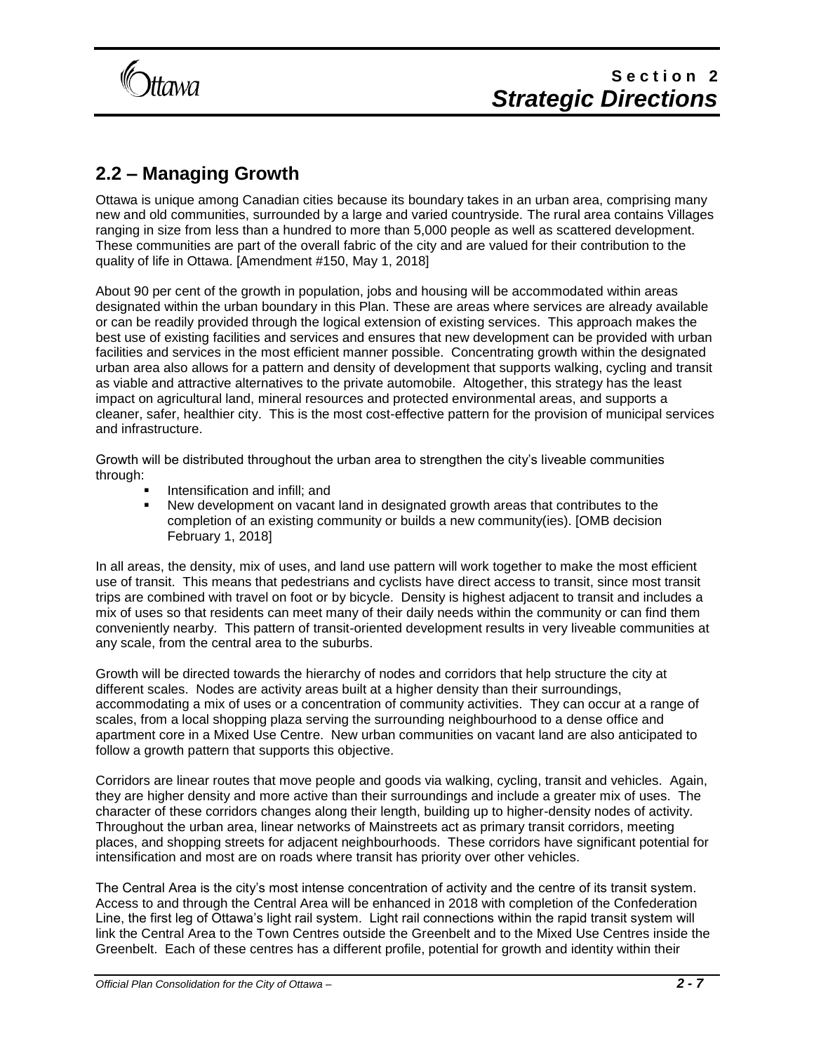

## **2.2 – Managing Growth**

Ottawa is unique among Canadian cities because its boundary takes in an urban area, comprising many new and old communities, surrounded by a large and varied countryside. The rural area contains Villages ranging in size from less than a hundred to more than 5,000 people as well as scattered development. These communities are part of the overall fabric of the city and are valued for their contribution to the quality of life in Ottawa. [Amendment #150, May 1, 2018]

About 90 per cent of the growth in population, jobs and housing will be accommodated within areas designated within the urban boundary in this Plan. These are areas where services are already available or can be readily provided through the logical extension of existing services. This approach makes the best use of existing facilities and services and ensures that new development can be provided with urban facilities and services in the most efficient manner possible. Concentrating growth within the designated urban area also allows for a pattern and density of development that supports walking, cycling and transit as viable and attractive alternatives to the private automobile. Altogether, this strategy has the least impact on agricultural land, mineral resources and protected environmental areas, and supports a cleaner, safer, healthier city. This is the most cost-effective pattern for the provision of municipal services and infrastructure.

Growth will be distributed throughout the urban area to strengthen the city's liveable communities through:

- Intensification and infill; and
- New development on vacant land in designated growth areas that contributes to the completion of an existing community or builds a new community(ies). [OMB decision February 1, 2018]

In all areas, the density, mix of uses, and land use pattern will work together to make the most efficient use of transit. This means that pedestrians and cyclists have direct access to transit, since most transit trips are combined with travel on foot or by bicycle. Density is highest adjacent to transit and includes a mix of uses so that residents can meet many of their daily needs within the community or can find them conveniently nearby. This pattern of transit-oriented development results in very liveable communities at any scale, from the central area to the suburbs.

Growth will be directed towards the hierarchy of nodes and corridors that help structure the city at different scales. Nodes are activity areas built at a higher density than their surroundings, accommodating a mix of uses or a concentration of community activities. They can occur at a range of scales, from a local shopping plaza serving the surrounding neighbourhood to a dense office and apartment core in a Mixed Use Centre. New urban communities on vacant land are also anticipated to follow a growth pattern that supports this objective.

Corridors are linear routes that move people and goods via walking, cycling, transit and vehicles. Again, they are higher density and more active than their surroundings and include a greater mix of uses. The character of these corridors changes along their length, building up to higher-density nodes of activity. Throughout the urban area, linear networks of Mainstreets act as primary transit corridors, meeting places, and shopping streets for adjacent neighbourhoods. These corridors have significant potential for intensification and most are on roads where transit has priority over other vehicles.

The Central Area is the city's most intense concentration of activity and the centre of its transit system. Access to and through the Central Area will be enhanced in 2018 with completion of the Confederation Line, the first leg of Ottawa's light rail system. Light rail connections within the rapid transit system will link the Central Area to the Town Centres outside the Greenbelt and to the Mixed Use Centres inside the Greenbelt. Each of these centres has a different profile, potential for growth and identity within their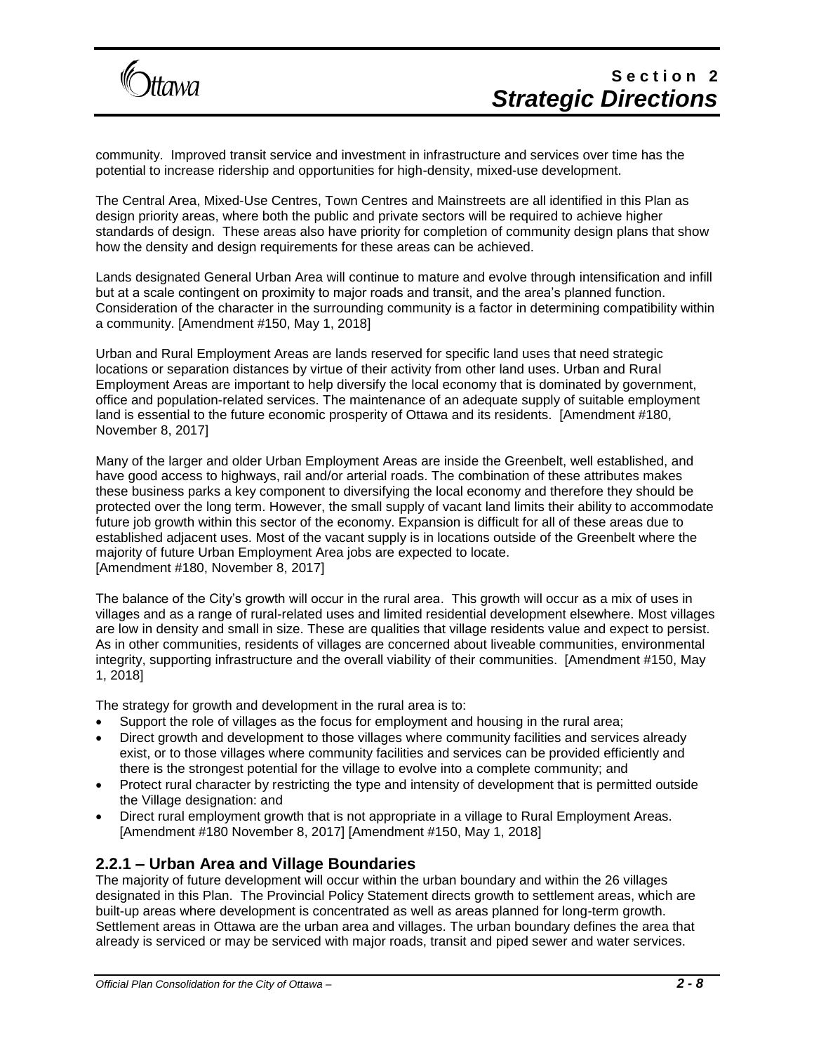

community. Improved transit service and investment in infrastructure and services over time has the potential to increase ridership and opportunities for high-density, mixed-use development.

The Central Area, Mixed-Use Centres, Town Centres and Mainstreets are all identified in this Plan as design priority areas, where both the public and private sectors will be required to achieve higher standards of design. These areas also have priority for completion of community design plans that show how the density and design requirements for these areas can be achieved.

Lands designated General Urban Area will continue to mature and evolve through intensification and infill but at a scale contingent on proximity to major roads and transit, and the area's planned function. Consideration of the character in the surrounding community is a factor in determining compatibility within a community. [Amendment #150, May 1, 2018]

Urban and Rural Employment Areas are lands reserved for specific land uses that need strategic locations or separation distances by virtue of their activity from other land uses. Urban and Rural Employment Areas are important to help diversify the local economy that is dominated by government, office and population-related services. The maintenance of an adequate supply of suitable employment land is essential to the future economic prosperity of Ottawa and its residents. [Amendment #180, November 8, 2017]

Many of the larger and older Urban Employment Areas are inside the Greenbelt, well established, and have good access to highways, rail and/or arterial roads. The combination of these attributes makes these business parks a key component to diversifying the local economy and therefore they should be protected over the long term. However, the small supply of vacant land limits their ability to accommodate future job growth within this sector of the economy. Expansion is difficult for all of these areas due to established adjacent uses. Most of the vacant supply is in locations outside of the Greenbelt where the majority of future Urban Employment Area jobs are expected to locate. [Amendment #180, November 8, 2017]

The balance of the City's growth will occur in the rural area. This growth will occur as a mix of uses in villages and as a range of rural-related uses and limited residential development elsewhere. Most villages are low in density and small in size. These are qualities that village residents value and expect to persist. As in other communities, residents of villages are concerned about liveable communities, environmental integrity, supporting infrastructure and the overall viability of their communities. [Amendment #150, May 1, 2018]

The strategy for growth and development in the rural area is to:

- Support the role of villages as the focus for employment and housing in the rural area;
- Direct growth and development to those villages where community facilities and services already exist, or to those villages where community facilities and services can be provided efficiently and there is the strongest potential for the village to evolve into a complete community; and
- Protect rural character by restricting the type and intensity of development that is permitted outside the Village designation: and
- Direct rural employment growth that is not appropriate in a village to Rural Employment Areas. [Amendment #180 November 8, 2017] [Amendment #150, May 1, 2018]

### **2.2.1 – Urban Area and Village Boundaries**

The majority of future development will occur within the urban boundary and within the 26 villages designated in this Plan. The Provincial Policy Statement directs growth to settlement areas, which are built-up areas where development is concentrated as well as areas planned for long-term growth. Settlement areas in Ottawa are the urban area and villages. The urban boundary defines the area that already is serviced or may be serviced with major roads, transit and piped sewer and water services.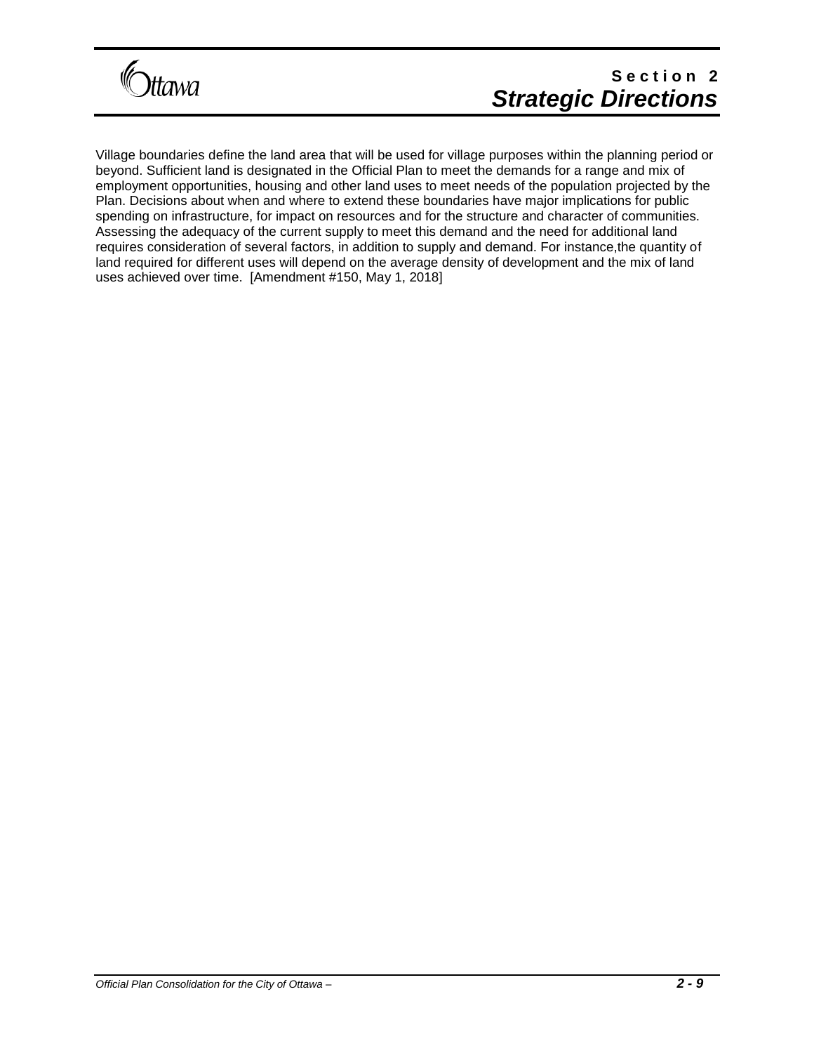

# **S e c t i o n 2** *Strategic Directions*

Village boundaries define the land area that will be used for village purposes within the planning period or beyond. Sufficient land is designated in the Official Plan to meet the demands for a range and mix of employment opportunities, housing and other land uses to meet needs of the population projected by the Plan. Decisions about when and where to extend these boundaries have major implications for public spending on infrastructure, for impact on resources and for the structure and character of communities. Assessing the adequacy of the current supply to meet this demand and the need for additional land requires consideration of several factors, in addition to supply and demand. For instance,the quantity of land required for different uses will depend on the average density of development and the mix of land uses achieved over time. [Amendment #150, May 1, 2018]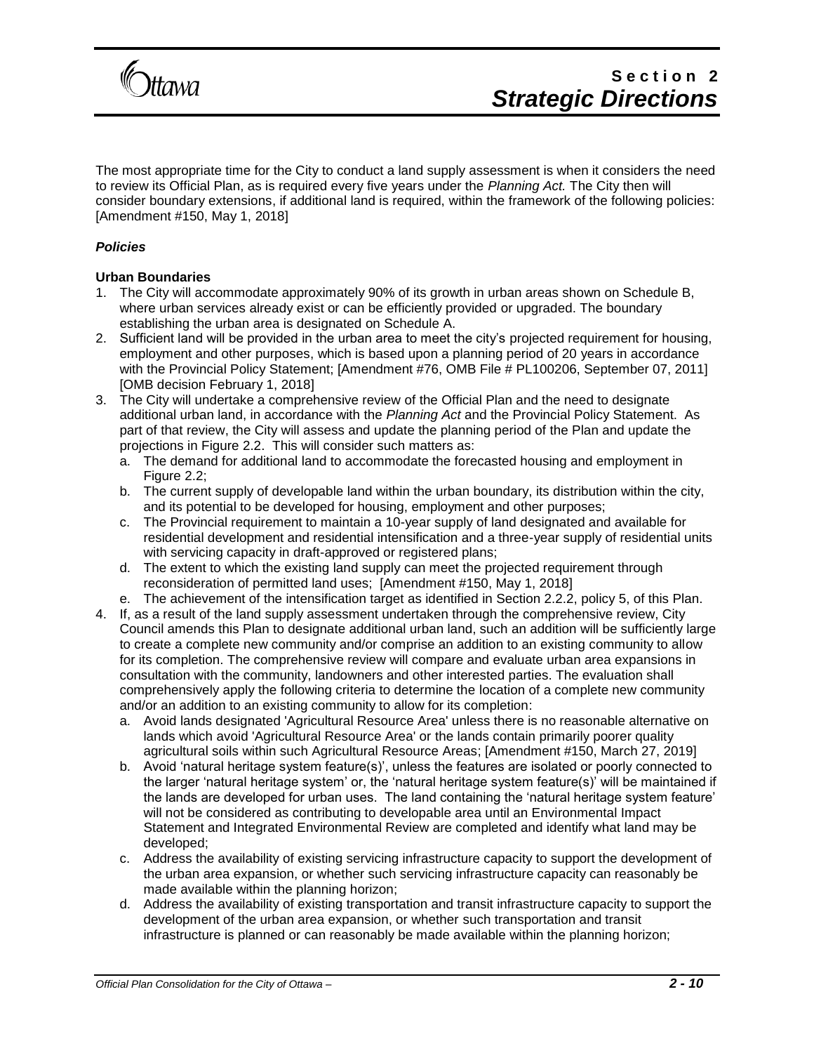

The most appropriate time for the City to conduct a land supply assessment is when it considers the need to review its Official Plan, as is required every five years under the *Planning Act.* The City then will consider boundary extensions, if additional land is required, within the framework of the following policies: [Amendment #150, May 1, 2018]

#### *Policies*

#### **Urban Boundaries**

- 1. The City will accommodate approximately 90% of its growth in urban areas shown on Schedule B, where urban services already exist or can be efficiently provided or upgraded. The boundary establishing the urban area is designated on Schedule A.
- 2. Sufficient land will be provided in the urban area to meet the city's projected requirement for housing, employment and other purposes, which is based upon a planning period of 20 years in accordance with the Provincial Policy Statement; [Amendment #76, OMB File # PL100206, September 07, 2011] [OMB decision February 1, 2018]
- 3. The City will undertake a comprehensive review of the Official Plan and the need to designate additional urban land, in accordance with the *Planning Act* and the Provincial Policy Statement. As part of that review, the City will assess and update the planning period of the Plan and update the projections in Figure 2.2. This will consider such matters as:
	- a. The demand for additional land to accommodate the forecasted housing and employment in Figure 2.2;
	- b. The current supply of developable land within the urban boundary, its distribution within the city, and its potential to be developed for housing, employment and other purposes;
	- c. The Provincial requirement to maintain a 10-year supply of land designated and available for residential development and residential intensification and a three-year supply of residential units with servicing capacity in draft-approved or registered plans;
	- d. The extent to which the existing land supply can meet the projected requirement through reconsideration of permitted land uses; [Amendment #150, May 1, 2018]
	- e. The achievement of the intensification target as identified in Section 2.2.2, policy 5, of this Plan.
- 4. If, as a result of the land supply assessment undertaken through the comprehensive review, City Council amends this Plan to designate additional urban land, such an addition will be sufficiently large to create a complete new community and/or comprise an addition to an existing community to allow for its completion. The comprehensive review will compare and evaluate urban area expansions in consultation with the community, landowners and other interested parties. The evaluation shall comprehensively apply the following criteria to determine the location of a complete new community and/or an addition to an existing community to allow for its completion:
	- a. Avoid lands designated 'Agricultural Resource Area' unless there is no reasonable alternative on lands which avoid 'Agricultural Resource Area' or the lands contain primarily poorer quality agricultural soils within such Agricultural Resource Areas; [Amendment #150, March 27, 2019]
	- b. Avoid 'natural heritage system feature(s)', unless the features are isolated or poorly connected to the larger 'natural heritage system' or, the 'natural heritage system feature(s)' will be maintained if the lands are developed for urban uses. The land containing the 'natural heritage system feature' will not be considered as contributing to developable area until an Environmental Impact Statement and Integrated Environmental Review are completed and identify what land may be developed;
	- c. Address the availability of existing servicing infrastructure capacity to support the development of the urban area expansion, or whether such servicing infrastructure capacity can reasonably be made available within the planning horizon;
	- d. Address the availability of existing transportation and transit infrastructure capacity to support the development of the urban area expansion, or whether such transportation and transit infrastructure is planned or can reasonably be made available within the planning horizon;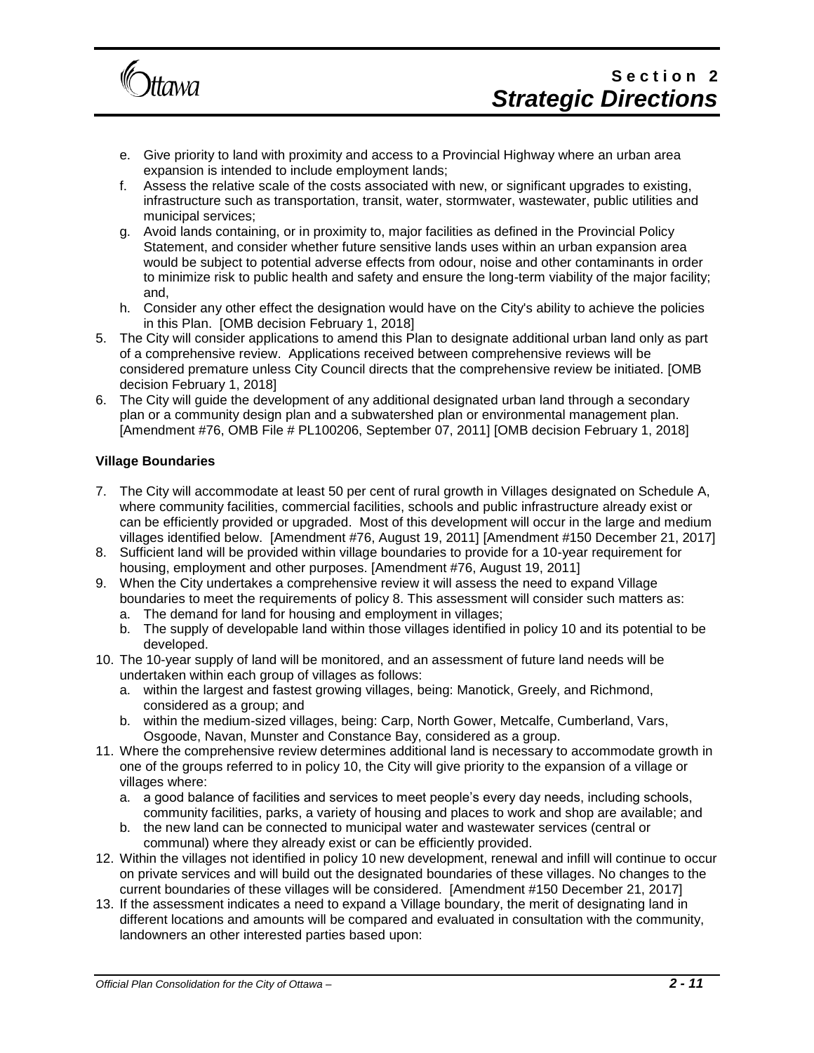

- e. Give priority to land with proximity and access to a Provincial Highway where an urban area expansion is intended to include employment lands;
- f. Assess the relative scale of the costs associated with new, or significant upgrades to existing, infrastructure such as transportation, transit, water, stormwater, wastewater, public utilities and municipal services;
- g. Avoid lands containing, or in proximity to, major facilities as defined in the Provincial Policy Statement, and consider whether future sensitive lands uses within an urban expansion area would be subject to potential adverse effects from odour, noise and other contaminants in order to minimize risk to public health and safety and ensure the long-term viability of the major facility; and,
- h. Consider any other effect the designation would have on the City's ability to achieve the policies in this Plan. [OMB decision February 1, 2018]
- 5. The City will consider applications to amend this Plan to designate additional urban land only as part of a comprehensive review. Applications received between comprehensive reviews will be considered premature unless City Council directs that the comprehensive review be initiated. [OMB decision February 1, 2018]
- 6. The City will guide the development of any additional designated urban land through a secondary plan or a community design plan and a subwatershed plan or environmental management plan. [Amendment #76, OMB File # PL100206, September 07, 2011] [OMB decision February 1, 2018]

#### **Village Boundaries**

- 7. The City will accommodate at least 50 per cent of rural growth in Villages designated on Schedule A, where community facilities, commercial facilities, schools and public infrastructure already exist or can be efficiently provided or upgraded. Most of this development will occur in the large and medium villages identified below. [Amendment #76, August 19, 2011] [Amendment #150 December 21, 2017]
- 8. Sufficient land will be provided within village boundaries to provide for a 10-year requirement for housing, employment and other purposes. [Amendment #76, August 19, 2011]
- 9. When the City undertakes a comprehensive review it will assess the need to expand Village boundaries to meet the requirements of policy 8. This assessment will consider such matters as:
	- a. The demand for land for housing and employment in villages;
	- b. The supply of developable land within those villages identified in policy 10 and its potential to be developed.
- 10. The 10-year supply of land will be monitored, and an assessment of future land needs will be undertaken within each group of villages as follows:
	- a. within the largest and fastest growing villages, being: Manotick, Greely, and Richmond, considered as a group; and
	- b. within the medium-sized villages, being: Carp, North Gower, Metcalfe, Cumberland, Vars, Osgoode, Navan, Munster and Constance Bay, considered as a group.
- 11. Where the comprehensive review determines additional land is necessary to accommodate growth in one of the groups referred to in policy 10, the City will give priority to the expansion of a village or villages where:
	- a. a good balance of facilities and services to meet people's every day needs, including schools, community facilities, parks, a variety of housing and places to work and shop are available; and
	- b. the new land can be connected to municipal water and wastewater services (central or communal) where they already exist or can be efficiently provided.
- 12. Within the villages not identified in policy 10 new development, renewal and infill will continue to occur on private services and will build out the designated boundaries of these villages. No changes to the current boundaries of these villages will be considered. [Amendment #150 December 21, 2017]
- 13. If the assessment indicates a need to expand a Village boundary, the merit of designating land in different locations and amounts will be compared and evaluated in consultation with the community, landowners an other interested parties based upon: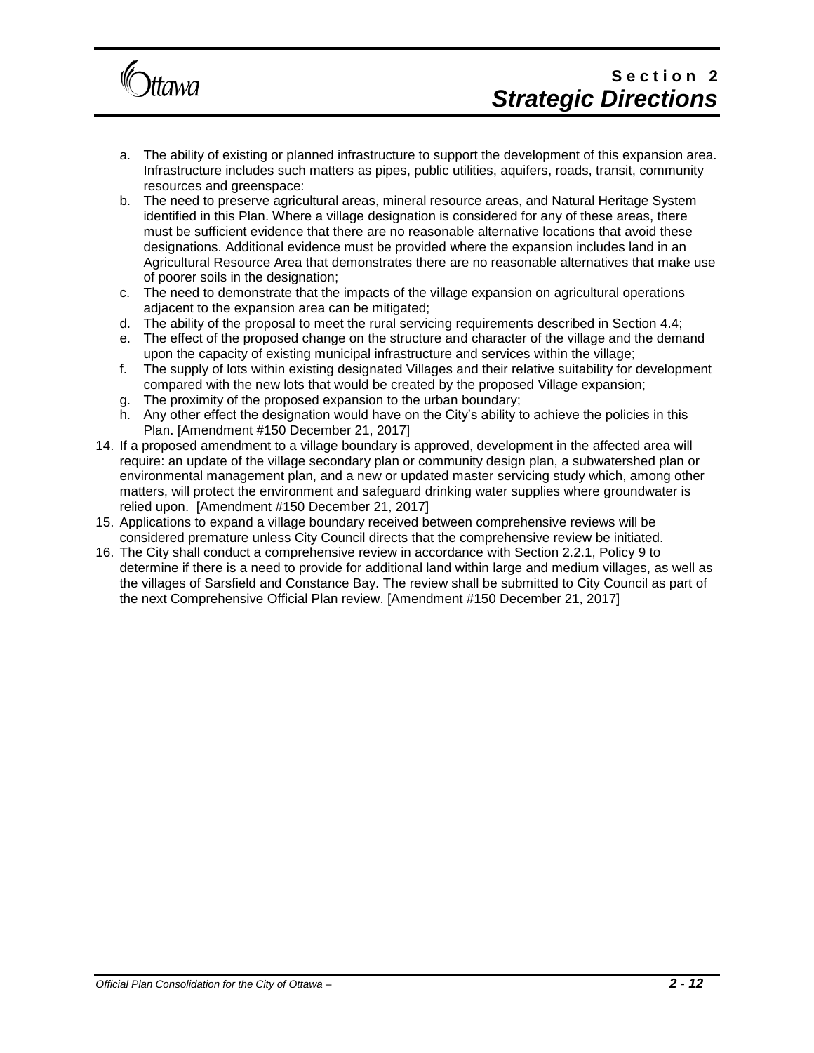

# Section<sub>2</sub> *Strategic Directions*

- a. The ability of existing or planned infrastructure to support the development of this expansion area. Infrastructure includes such matters as pipes, public utilities, aquifers, roads, transit, community resources and greenspace:
- b. The need to preserve agricultural areas, mineral resource areas, and Natural Heritage System identified in this Plan. Where a village designation is considered for any of these areas, there must be sufficient evidence that there are no reasonable alternative locations that avoid these designations. Additional evidence must be provided where the expansion includes land in an Agricultural Resource Area that demonstrates there are no reasonable alternatives that make use of poorer soils in the designation;
- c. The need to demonstrate that the impacts of the village expansion on agricultural operations adjacent to the expansion area can be mitigated;
- d. The ability of the proposal to meet the rural servicing requirements described in Section 4.4;
- e. The effect of the proposed change on the structure and character of the village and the demand upon the capacity of existing municipal infrastructure and services within the village;
- f. The supply of lots within existing designated Villages and their relative suitability for development compared with the new lots that would be created by the proposed Village expansion;
- g. The proximity of the proposed expansion to the urban boundary;
- h. Any other effect the designation would have on the City's ability to achieve the policies in this Plan. [Amendment #150 December 21, 2017]
- 14. If a proposed amendment to a village boundary is approved, development in the affected area will require: an update of the village secondary plan or community design plan, a subwatershed plan or environmental management plan, and a new or updated master servicing study which, among other matters, will protect the environment and safeguard drinking water supplies where groundwater is relied upon. [Amendment #150 December 21, 2017]
- 15. Applications to expand a village boundary received between comprehensive reviews will be considered premature unless City Council directs that the comprehensive review be initiated.
- 16. The City shall conduct a comprehensive review in accordance with Section 2.2.1, Policy 9 to determine if there is a need to provide for additional land within large and medium villages, as well as the villages of Sarsfield and Constance Bay. The review shall be submitted to City Council as part of the next Comprehensive Official Plan review. [Amendment #150 December 21, 2017]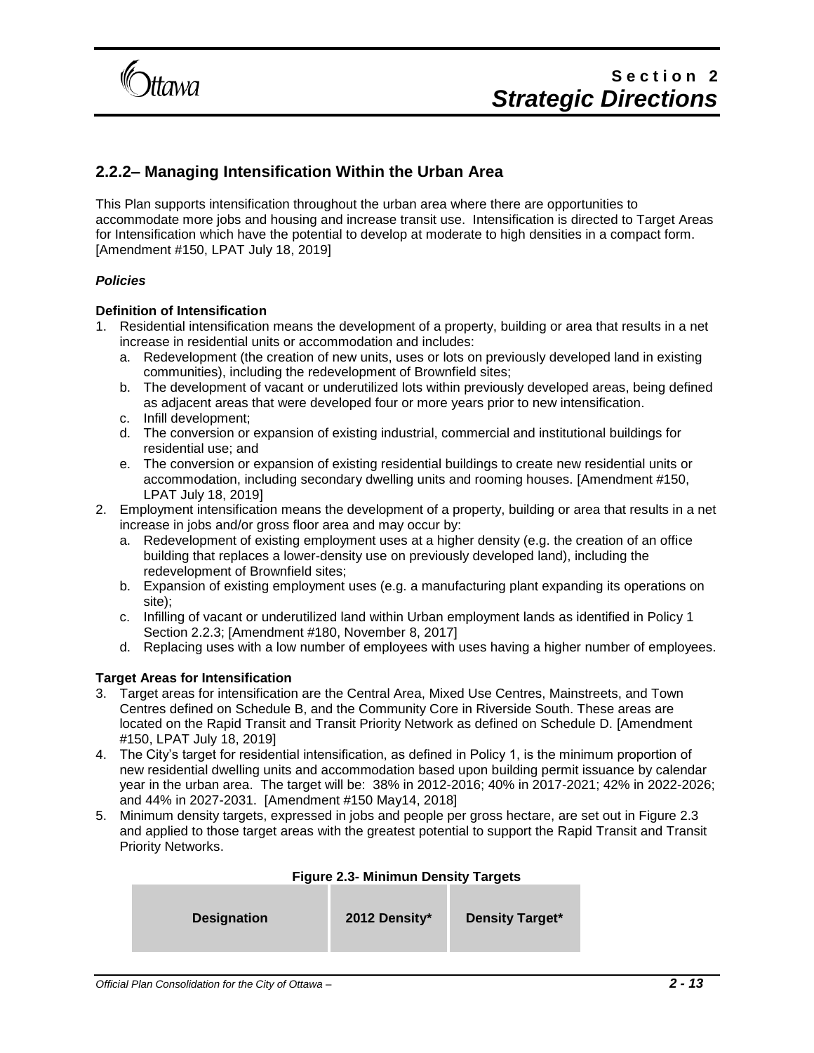

### **2.2.2– Managing Intensification Within the Urban Area**

This Plan supports intensification throughout the urban area where there are opportunities to accommodate more jobs and housing and increase transit use. Intensification is directed to Target Areas for Intensification which have the potential to develop at moderate to high densities in a compact form. [Amendment #150, LPAT July 18, 2019]

#### *Policies*

#### **Definition of Intensification**

- 1. Residential intensification means the development of a property, building or area that results in a net increase in residential units or accommodation and includes:
	- a. Redevelopment (the creation of new units, uses or lots on previously developed land in existing communities), including the redevelopment of Brownfield sites;
	- b. The development of vacant or underutilized lots within previously developed areas, being defined as adjacent areas that were developed four or more years prior to new intensification.
	- c. Infill development;
	- d. The conversion or expansion of existing industrial, commercial and institutional buildings for residential use; and
	- e. The conversion or expansion of existing residential buildings to create new residential units or accommodation, including secondary dwelling units and rooming houses. [Amendment #150, LPAT July 18, 2019]
- 2. Employment intensification means the development of a property, building or area that results in a net increase in jobs and/or gross floor area and may occur by:
	- a. Redevelopment of existing employment uses at a higher density (e.g. the creation of an office building that replaces a lower-density use on previously developed land), including the redevelopment of Brownfield sites;
	- b. Expansion of existing employment uses (e.g. a manufacturing plant expanding its operations on site);
	- c. Infilling of vacant or underutilized land within Urban employment lands as identified in Policy 1 Section 2.2.3; [Amendment #180, November 8, 2017]
	- d. Replacing uses with a low number of employees with uses having a higher number of employees.

#### **Target Areas for Intensification**

- 3. Target areas for intensification are the Central Area, Mixed Use Centres, Mainstreets, and Town Centres defined on Schedule B, and the Community Core in Riverside South. These areas are located on the Rapid Transit and Transit Priority Network as defined on Schedule D. [Amendment #150, LPAT July 18, 2019]
- 4. The City's target for residential intensification, as defined in Policy 1, is the minimum proportion of new residential dwelling units and accommodation based upon building permit issuance by calendar year in the urban area. The target will be: 38% in 2012-2016; 40% in 2017-2021; 42% in 2022-2026; and 44% in 2027-2031. [Amendment #150 May14, 2018]
- 5. Minimum density targets, expressed in jobs and people per gross hectare, are set out in Figure 2.3 and applied to those target areas with the greatest potential to support the Rapid Transit and Transit Priority Networks.

#### **Figure 2.3- Minimun Density Targets**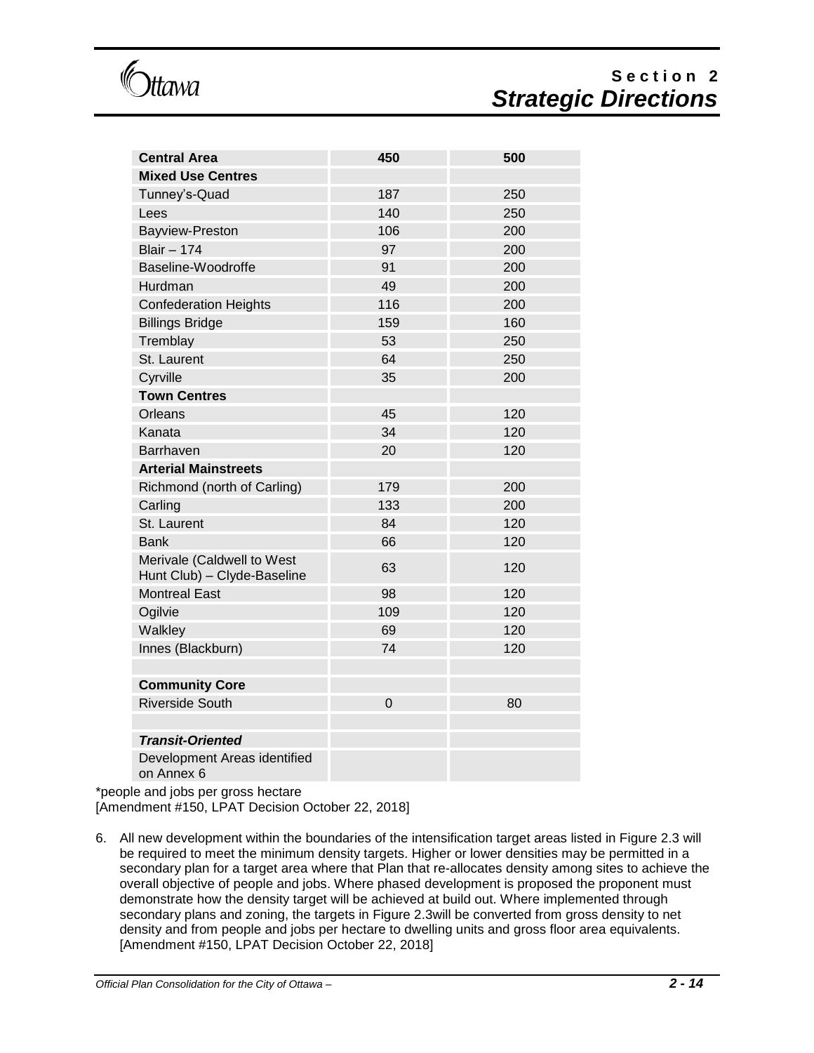**Itawa** 

# **S e c t i o n 2** *Strategic Directions*

| <b>Central Area</b>                                       | 450            | 500 |
|-----------------------------------------------------------|----------------|-----|
| <b>Mixed Use Centres</b>                                  |                |     |
| Tunney's-Quad                                             | 187            | 250 |
| Lees                                                      | 140            | 250 |
| Bayview-Preston                                           | 106            | 200 |
| <b>Blair - 174</b>                                        | 97             | 200 |
| Baseline-Woodroffe                                        | 91             | 200 |
| Hurdman                                                   | 49             | 200 |
| <b>Confederation Heights</b>                              | 116            | 200 |
| <b>Billings Bridge</b>                                    | 159            | 160 |
| Tremblay                                                  | 53             | 250 |
| St. Laurent                                               | 64             | 250 |
| Cyrville                                                  | 35             | 200 |
| <b>Town Centres</b>                                       |                |     |
| Orleans                                                   | 45             | 120 |
| Kanata                                                    | 34             | 120 |
| Barrhaven                                                 | 20             | 120 |
| <b>Arterial Mainstreets</b>                               |                |     |
| Richmond (north of Carling)                               | 179            | 200 |
| Carling                                                   | 133            | 200 |
| St. Laurent                                               | 84             | 120 |
| <b>Bank</b>                                               | 66             | 120 |
| Merivale (Caldwell to West<br>Hunt Club) - Clyde-Baseline | 63             | 120 |
| <b>Montreal East</b>                                      | 98             | 120 |
| Ogilvie                                                   | 109            | 120 |
| Walkley                                                   | 69             | 120 |
| Innes (Blackburn)                                         | 74             | 120 |
|                                                           |                |     |
| <b>Community Core</b>                                     |                |     |
| <b>Riverside South</b>                                    | $\overline{0}$ | 80  |
|                                                           |                |     |
| <b>Transit-Oriented</b>                                   |                |     |
| Development Areas identified<br>on Annex 6                |                |     |

\*people and jobs per gross hectare

[Amendment #150, LPAT Decision October 22, 2018]

6. All new development within the boundaries of the intensification target areas listed in Figure 2.3 will be required to meet the minimum density targets. Higher or lower densities may be permitted in a secondary plan for a target area where that Plan that re-allocates density among sites to achieve the overall objective of people and jobs. Where phased development is proposed the proponent must demonstrate how the density target will be achieved at build out. Where implemented through secondary plans and zoning, the targets in Figure 2.3will be converted from gross density to net density and from people and jobs per hectare to dwelling units and gross floor area equivalents. [Amendment #150, LPAT Decision October 22, 2018]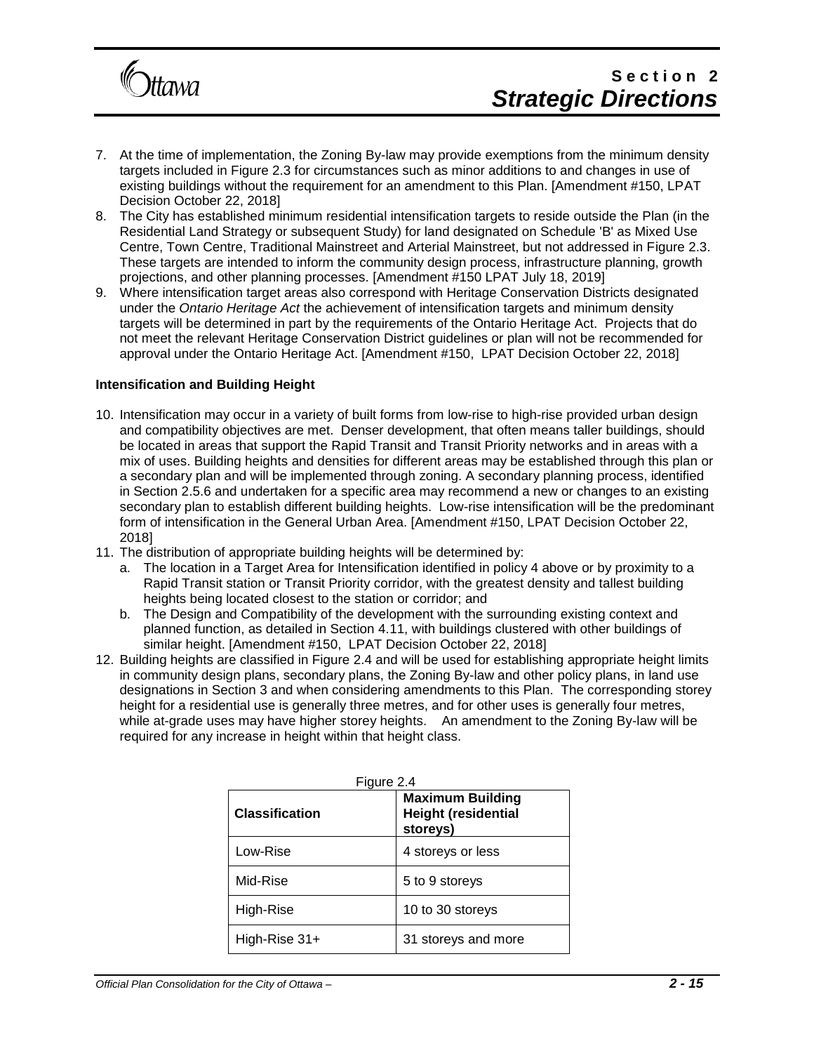

## Section<sub>2</sub> *Strategic Directions*

- 7. At the time of implementation, the Zoning By-law may provide exemptions from the minimum density targets included in Figure 2.3 for circumstances such as minor additions to and changes in use of existing buildings without the requirement for an amendment to this Plan. [Amendment #150, LPAT Decision October 22, 2018]
- 8. The City has established minimum residential intensification targets to reside outside the Plan (in the Residential Land Strategy or subsequent Study) for land designated on Schedule 'B' as Mixed Use Centre, Town Centre, Traditional Mainstreet and Arterial Mainstreet, but not addressed in Figure 2.3. These targets are intended to inform the community design process, infrastructure planning, growth projections, and other planning processes. [Amendment #150 LPAT July 18, 2019]
- 9. Where intensification target areas also correspond with Heritage Conservation Districts designated under the *Ontario Heritage Act* the achievement of intensification targets and minimum density targets will be determined in part by the requirements of the Ontario Heritage Act. Projects that do not meet the relevant Heritage Conservation District guidelines or plan will not be recommended for approval under the Ontario Heritage Act. [Amendment #150, LPAT Decision October 22, 2018]

#### **Intensification and Building Height**

- 10. Intensification may occur in a variety of built forms from low-rise to high-rise provided urban design and compatibility objectives are met. Denser development, that often means taller buildings, should be located in areas that support the Rapid Transit and Transit Priority networks and in areas with a mix of uses. Building heights and densities for different areas may be established through this plan or a secondary plan and will be implemented through zoning. A secondary planning process, identified in Section 2.5.6 and undertaken for a specific area may recommend a new or changes to an existing secondary plan to establish different building heights. Low-rise intensification will be the predominant form of intensification in the General Urban Area. [Amendment #150, LPAT Decision October 22, 2018]
- 11. The distribution of appropriate building heights will be determined by:
	- a. The location in a Target Area for Intensification identified in policy 4 above or by proximity to a Rapid Transit station or Transit Priority corridor, with the greatest density and tallest building heights being located closest to the station or corridor; and
	- b. The Design and Compatibility of the development with the surrounding existing context and planned function, as detailed in Section 4.11, with buildings clustered with other buildings of similar height. [Amendment #150, LPAT Decision October 22, 2018]
- 12. Building heights are classified in Figure 2.4 and will be used for establishing appropriate height limits in community design plans, secondary plans, the Zoning By-law and other policy plans, in land use designations in Section 3 and when considering amendments to this Plan. The corresponding storey height for a residential use is generally three metres, and for other uses is generally four metres, while at-grade uses may have higher storey heights. An amendment to the Zoning By-law will be required for any increase in height within that height class.

| Figure 2.4            |                                                                   |  |  |
|-----------------------|-------------------------------------------------------------------|--|--|
| <b>Classification</b> | <b>Maximum Building</b><br><b>Height (residential</b><br>storeys) |  |  |
| Low-Rise              | 4 storeys or less                                                 |  |  |
| Mid-Rise              | 5 to 9 storeys                                                    |  |  |
| High-Rise             | 10 to 30 storeys                                                  |  |  |
| High-Rise $31+$       | 31 storeys and more                                               |  |  |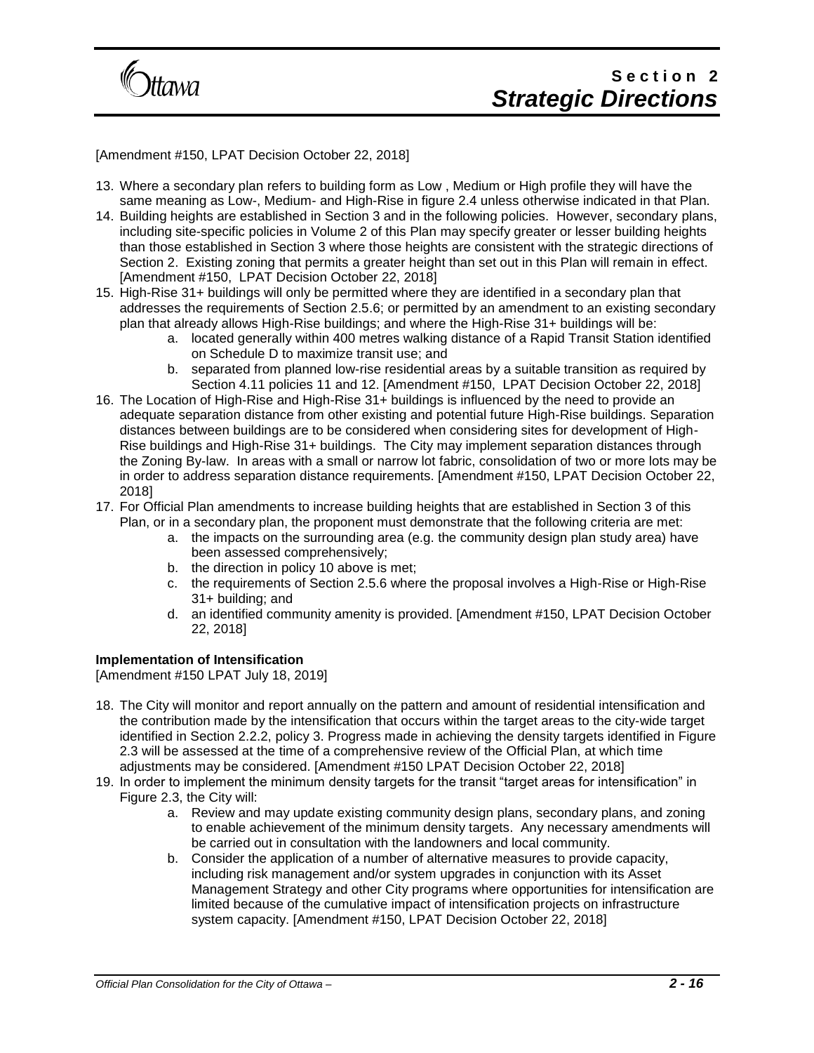

[Amendment #150, LPAT Decision October 22, 2018]

- 13. Where a secondary plan refers to building form as Low , Medium or High profile they will have the same meaning as Low-, Medium- and High-Rise in figure 2.4 unless otherwise indicated in that Plan.
- 14. Building heights are established in Section 3 and in the following policies. However, secondary plans, including site-specific policies in Volume 2 of this Plan may specify greater or lesser building heights than those established in Section 3 where those heights are consistent with the strategic directions of Section 2. Existing zoning that permits a greater height than set out in this Plan will remain in effect. [Amendment #150, LPAT Decision October 22, 2018]
- 15. High-Rise 31+ buildings will only be permitted where they are identified in a secondary plan that addresses the requirements of Section 2.5.6; or permitted by an amendment to an existing secondary plan that already allows High-Rise buildings; and where the High-Rise 31+ buildings will be:
	- a. located generally within 400 metres walking distance of a Rapid Transit Station identified on Schedule D to maximize transit use; and
	- b. separated from planned low-rise residential areas by a suitable transition as required by Section 4.11 policies 11 and 12. [Amendment #150, LPAT Decision October 22, 2018]
- 16. The Location of High-Rise and High-Rise 31+ buildings is influenced by the need to provide an adequate separation distance from other existing and potential future High-Rise buildings. Separation distances between buildings are to be considered when considering sites for development of High-Rise buildings and High-Rise 31+ buildings. The City may implement separation distances through the Zoning By-law. In areas with a small or narrow lot fabric, consolidation of two or more lots may be in order to address separation distance requirements. [Amendment #150, LPAT Decision October 22, 2018]
- 17. For Official Plan amendments to increase building heights that are established in Section 3 of this Plan, or in a secondary plan, the proponent must demonstrate that the following criteria are met:
	- a. the impacts on the surrounding area (e.g. the community design plan study area) have been assessed comprehensively;
	- b. the direction in policy 10 above is met;
	- c. the requirements of Section 2.5.6 where the proposal involves a High-Rise or High-Rise 31+ building; and
	- d. an identified community amenity is provided. [Amendment #150, LPAT Decision October 22, 2018]

#### **Implementation of Intensification**

[Amendment #150 LPAT July 18, 2019]

- 18. The City will monitor and report annually on the pattern and amount of residential intensification and the contribution made by the intensification that occurs within the target areas to the city-wide target identified in Section 2.2.2, policy 3. Progress made in achieving the density targets identified in Figure 2.3 will be assessed at the time of a comprehensive review of the Official Plan, at which time adjustments may be considered. [Amendment #150 LPAT Decision October 22, 2018]
- 19. In order to implement the minimum density targets for the transit "target areas for intensification" in Figure 2.3, the City will:
	- a. Review and may update existing community design plans, secondary plans, and zoning to enable achievement of the minimum density targets. Any necessary amendments will be carried out in consultation with the landowners and local community.
	- b. Consider the application of a number of alternative measures to provide capacity, including risk management and/or system upgrades in conjunction with its Asset Management Strategy and other City programs where opportunities for intensification are limited because of the cumulative impact of intensification projects on infrastructure system capacity. [Amendment #150, LPAT Decision October 22, 2018]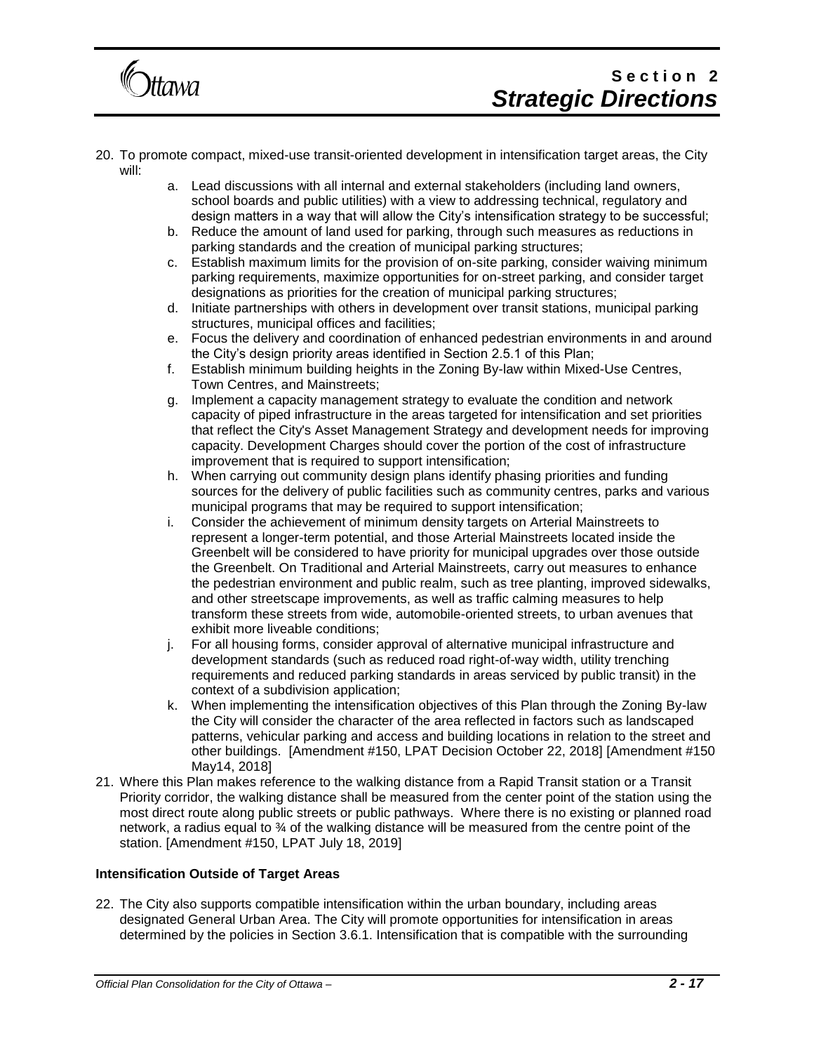

## Section<sub>2</sub> *Strategic Directions*

- 20. To promote compact, mixed-use transit-oriented development in intensification target areas, the City will:
	- a. Lead discussions with all internal and external stakeholders (including land owners, school boards and public utilities) with a view to addressing technical, regulatory and design matters in a way that will allow the City's intensification strategy to be successful;
	- b. Reduce the amount of land used for parking, through such measures as reductions in parking standards and the creation of municipal parking structures;
	- c. Establish maximum limits for the provision of on-site parking, consider waiving minimum parking requirements, maximize opportunities for on-street parking, and consider target designations as priorities for the creation of municipal parking structures;
	- d. Initiate partnerships with others in development over transit stations, municipal parking structures, municipal offices and facilities;
	- e. Focus the delivery and coordination of enhanced pedestrian environments in and around the City's design priority areas identified in Section 2.5.1 of this Plan;
	- f. Establish minimum building heights in the Zoning By-law within Mixed-Use Centres, Town Centres, and Mainstreets;
	- g. Implement a capacity management strategy to evaluate the condition and network capacity of piped infrastructure in the areas targeted for intensification and set priorities that reflect the City's Asset Management Strategy and development needs for improving capacity. Development Charges should cover the portion of the cost of infrastructure improvement that is required to support intensification;
	- h. When carrying out community design plans identify phasing priorities and funding sources for the delivery of public facilities such as community centres, parks and various municipal programs that may be required to support intensification;
	- i. Consider the achievement of minimum density targets on Arterial Mainstreets to represent a longer-term potential, and those Arterial Mainstreets located inside the Greenbelt will be considered to have priority for municipal upgrades over those outside the Greenbelt. On Traditional and Arterial Mainstreets, carry out measures to enhance the pedestrian environment and public realm, such as tree planting, improved sidewalks, and other streetscape improvements, as well as traffic calming measures to help transform these streets from wide, automobile-oriented streets, to urban avenues that exhibit more liveable conditions;
	- j. For all housing forms, consider approval of alternative municipal infrastructure and development standards (such as reduced road right-of-way width, utility trenching requirements and reduced parking standards in areas serviced by public transit) in the context of a subdivision application;
	- k. When implementing the intensification objectives of this Plan through the Zoning By-law the City will consider the character of the area reflected in factors such as landscaped patterns, vehicular parking and access and building locations in relation to the street and other buildings. [Amendment #150, LPAT Decision October 22, 2018] [Amendment #150 May14, 2018]
- 21. Where this Plan makes reference to the walking distance from a Rapid Transit station or a Transit Priority corridor, the walking distance shall be measured from the center point of the station using the most direct route along public streets or public pathways. Where there is no existing or planned road network, a radius equal to  $\frac{3}{4}$  of the walking distance will be measured from the centre point of the station. [Amendment #150, LPAT July 18, 2019]

#### **Intensification Outside of Target Areas**

22. The City also supports compatible intensification within the urban boundary, including areas designated General Urban Area. The City will promote opportunities for intensification in areas determined by the policies in Section 3.6.1. Intensification that is compatible with the surrounding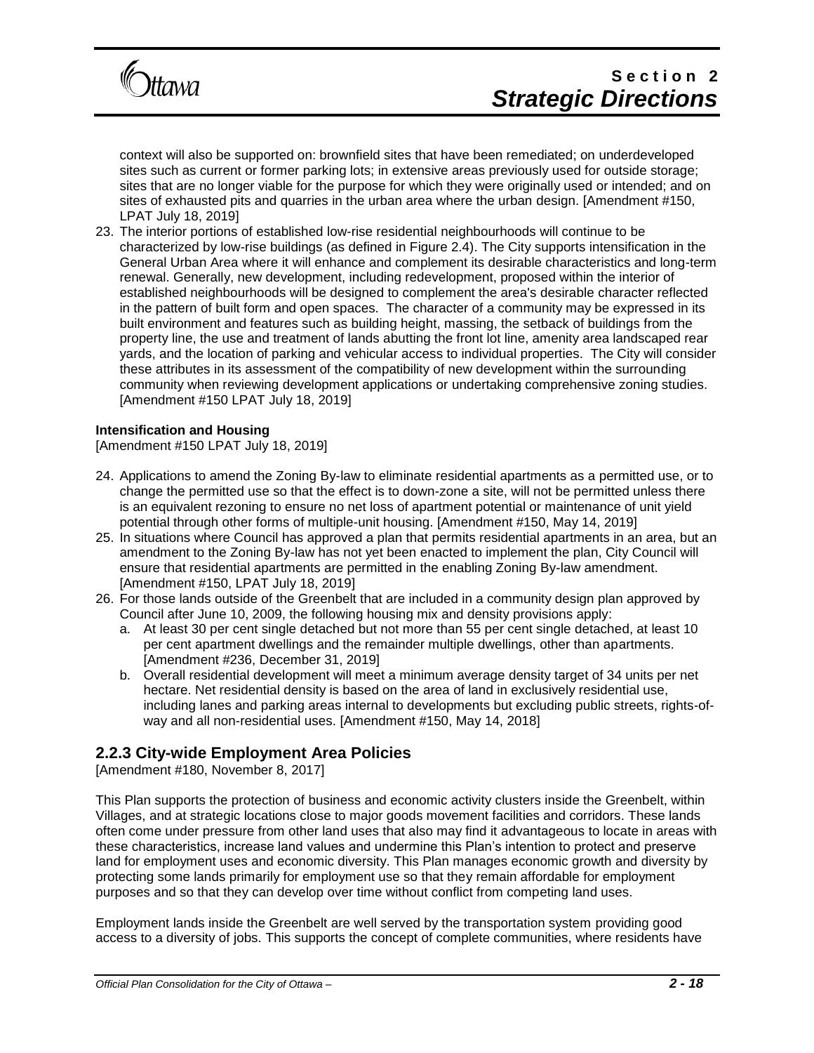

# Section<sub>2</sub> *Strategic Directions*

context will also be supported on: brownfield sites that have been remediated; on underdeveloped sites such as current or former parking lots; in extensive areas previously used for outside storage; sites that are no longer viable for the purpose for which they were originally used or intended; and on sites of exhausted pits and quarries in the urban area where the urban design. [Amendment #150, LPAT July 18, 2019]

23. The interior portions of established low-rise residential neighbourhoods will continue to be characterized by low-rise buildings (as defined in Figure 2.4). The City supports intensification in the General Urban Area where it will enhance and complement its desirable characteristics and long-term renewal. Generally, new development, including redevelopment, proposed within the interior of established neighbourhoods will be designed to complement the area's desirable character reflected in the pattern of built form and open spaces. The character of a community may be expressed in its built environment and features such as building height, massing, the setback of buildings from the property line, the use and treatment of lands abutting the front lot line, amenity area landscaped rear yards, and the location of parking and vehicular access to individual properties. The City will consider these attributes in its assessment of the compatibility of new development within the surrounding community when reviewing development applications or undertaking comprehensive zoning studies. [Amendment #150 LPAT July 18, 2019]

#### **Intensification and Housing**

[Amendment #150 LPAT July 18, 2019]

- 24. Applications to amend the Zoning By-law to eliminate residential apartments as a permitted use, or to change the permitted use so that the effect is to down-zone a site, will not be permitted unless there is an equivalent rezoning to ensure no net loss of apartment potential or maintenance of unit yield potential through other forms of multiple-unit housing. [Amendment #150, May 14, 2019]
- 25. In situations where Council has approved a plan that permits residential apartments in an area, but an amendment to the Zoning By-law has not yet been enacted to implement the plan, City Council will ensure that residential apartments are permitted in the enabling Zoning By-law amendment. [Amendment #150, LPAT July 18, 2019]
- 26. For those lands outside of the Greenbelt that are included in a community design plan approved by Council after June 10, 2009, the following housing mix and density provisions apply:
	- a. At least 30 per cent single detached but not more than 55 per cent single detached, at least 10 per cent apartment dwellings and the remainder multiple dwellings, other than apartments. [Amendment #236, December 31, 2019]
	- b. Overall residential development will meet a minimum average density target of 34 units per net hectare. Net residential density is based on the area of land in exclusively residential use, including lanes and parking areas internal to developments but excluding public streets, rights-ofway and all non-residential uses. [Amendment #150, May 14, 2018]

### **2.2.3 City-wide Employment Area Policies**

[Amendment #180, November 8, 2017]

This Plan supports the protection of business and economic activity clusters inside the Greenbelt, within Villages, and at strategic locations close to major goods movement facilities and corridors. These lands often come under pressure from other land uses that also may find it advantageous to locate in areas with these characteristics, increase land values and undermine this Plan's intention to protect and preserve land for employment uses and economic diversity. This Plan manages economic growth and diversity by protecting some lands primarily for employment use so that they remain affordable for employment purposes and so that they can develop over time without conflict from competing land uses.

Employment lands inside the Greenbelt are well served by the transportation system providing good access to a diversity of jobs. This supports the concept of complete communities, where residents have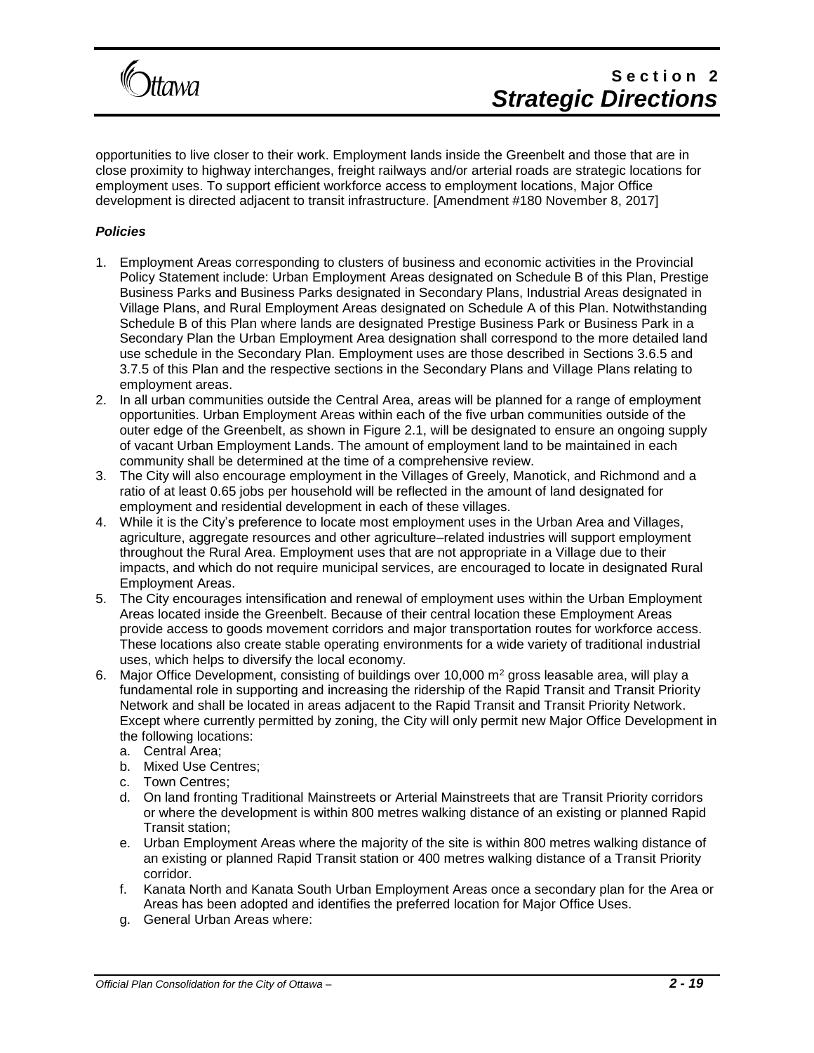

opportunities to live closer to their work. Employment lands inside the Greenbelt and those that are in close proximity to highway interchanges, freight railways and/or arterial roads are strategic locations for employment uses. To support efficient workforce access to employment locations, Major Office development is directed adjacent to transit infrastructure. [Amendment #180 November 8, 2017]

#### *Policies*

- 1. Employment Areas corresponding to clusters of business and economic activities in the Provincial Policy Statement include: Urban Employment Areas designated on Schedule B of this Plan, Prestige Business Parks and Business Parks designated in Secondary Plans, Industrial Areas designated in Village Plans, and Rural Employment Areas designated on Schedule A of this Plan. Notwithstanding Schedule B of this Plan where lands are designated Prestige Business Park or Business Park in a Secondary Plan the Urban Employment Area designation shall correspond to the more detailed land use schedule in the Secondary Plan. Employment uses are those described in Sections 3.6.5 and 3.7.5 of this Plan and the respective sections in the Secondary Plans and Village Plans relating to employment areas.
- 2. In all urban communities outside the Central Area, areas will be planned for a range of employment opportunities. Urban Employment Areas within each of the five urban communities outside of the outer edge of the Greenbelt, as shown in Figure 2.1, will be designated to ensure an ongoing supply of vacant Urban Employment Lands. The amount of employment land to be maintained in each community shall be determined at the time of a comprehensive review.
- 3. The City will also encourage employment in the Villages of Greely, Manotick, and Richmond and a ratio of at least 0.65 jobs per household will be reflected in the amount of land designated for employment and residential development in each of these villages.
- 4. While it is the City's preference to locate most employment uses in the Urban Area and Villages, agriculture, aggregate resources and other agriculture–related industries will support employment throughout the Rural Area. Employment uses that are not appropriate in a Village due to their impacts, and which do not require municipal services, are encouraged to locate in designated Rural Employment Areas.
- 5. The City encourages intensification and renewal of employment uses within the Urban Employment Areas located inside the Greenbelt. Because of their central location these Employment Areas provide access to goods movement corridors and major transportation routes for workforce access. These locations also create stable operating environments for a wide variety of traditional industrial uses, which helps to diversify the local economy.
- 6. Major Office Development, consisting of buildings over 10,000  $m<sup>2</sup>$  gross leasable area, will play a fundamental role in supporting and increasing the ridership of the Rapid Transit and Transit Priority Network and shall be located in areas adjacent to the Rapid Transit and Transit Priority Network. Except where currently permitted by zoning, the City will only permit new Major Office Development in the following locations:
	- a. Central Area;
	- b. Mixed Use Centres;
	- c. Town Centres;
	- d. On land fronting Traditional Mainstreets or Arterial Mainstreets that are Transit Priority corridors or where the development is within 800 metres walking distance of an existing or planned Rapid Transit station;
	- e. Urban Employment Areas where the majority of the site is within 800 metres walking distance of an existing or planned Rapid Transit station or 400 metres walking distance of a Transit Priority corridor.
	- f. Kanata North and Kanata South Urban Employment Areas once a secondary plan for the Area or Areas has been adopted and identifies the preferred location for Major Office Uses.
	- g. General Urban Areas where: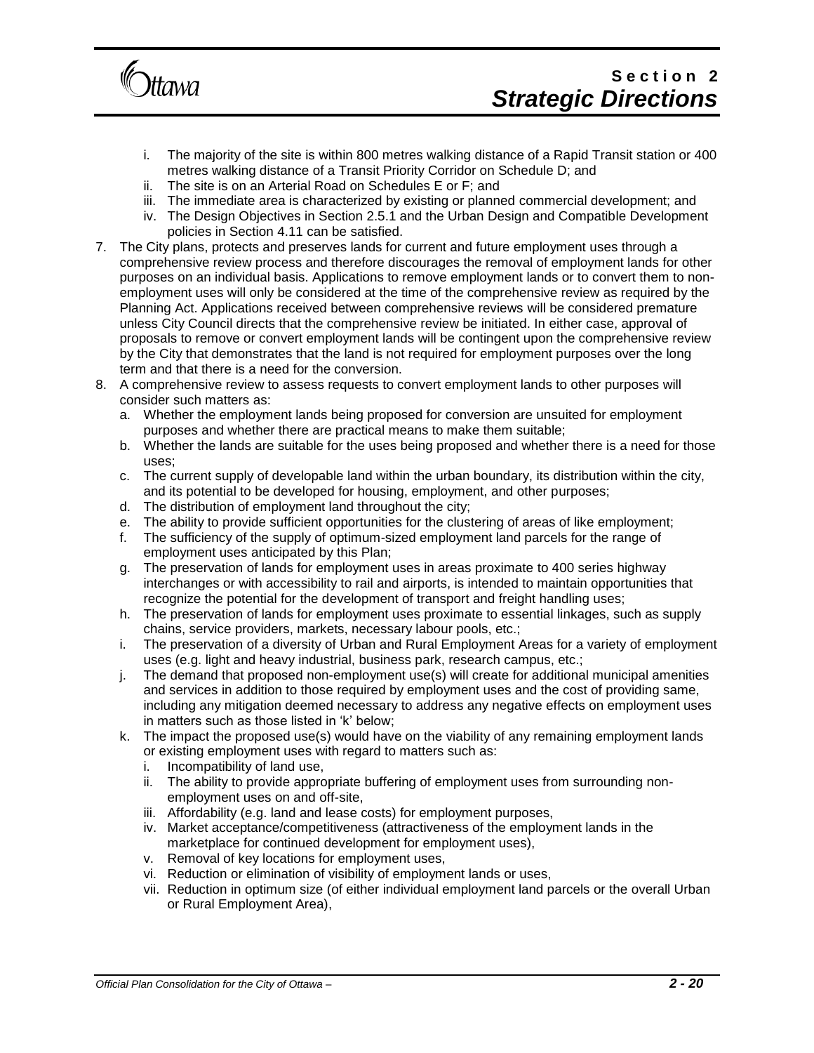

## Section<sub>2</sub> *Strategic Directions*

- i. The majority of the site is within 800 metres walking distance of a Rapid Transit station or 400 metres walking distance of a Transit Priority Corridor on Schedule D; and
- ii. The site is on an Arterial Road on Schedules E or F; and
- iii. The immediate area is characterized by existing or planned commercial development; and
- iv. The Design Objectives in Section 2.5.1 and the Urban Design and Compatible Development policies in Section 4.11 can be satisfied.
- 7. The City plans, protects and preserves lands for current and future employment uses through a comprehensive review process and therefore discourages the removal of employment lands for other purposes on an individual basis. Applications to remove employment lands or to convert them to nonemployment uses will only be considered at the time of the comprehensive review as required by the Planning Act. Applications received between comprehensive reviews will be considered premature unless City Council directs that the comprehensive review be initiated. In either case, approval of proposals to remove or convert employment lands will be contingent upon the comprehensive review by the City that demonstrates that the land is not required for employment purposes over the long term and that there is a need for the conversion.
- 8. A comprehensive review to assess requests to convert employment lands to other purposes will consider such matters as:
	- a. Whether the employment lands being proposed for conversion are unsuited for employment purposes and whether there are practical means to make them suitable;
	- b. Whether the lands are suitable for the uses being proposed and whether there is a need for those uses;
	- c. The current supply of developable land within the urban boundary, its distribution within the city, and its potential to be developed for housing, employment, and other purposes;
	- d. The distribution of employment land throughout the city;
	- e. The ability to provide sufficient opportunities for the clustering of areas of like employment;
	- f. The sufficiency of the supply of optimum-sized employment land parcels for the range of employment uses anticipated by this Plan;
	- g. The preservation of lands for employment uses in areas proximate to 400 series highway interchanges or with accessibility to rail and airports, is intended to maintain opportunities that recognize the potential for the development of transport and freight handling uses;
	- h. The preservation of lands for employment uses proximate to essential linkages, such as supply chains, service providers, markets, necessary labour pools, etc.;
	- i. The preservation of a diversity of Urban and Rural Employment Areas for a variety of employment uses (e.g. light and heavy industrial, business park, research campus, etc.;
	- j. The demand that proposed non-employment use(s) will create for additional municipal amenities and services in addition to those required by employment uses and the cost of providing same, including any mitigation deemed necessary to address any negative effects on employment uses in matters such as those listed in 'k' below;
	- k. The impact the proposed use(s) would have on the viability of any remaining employment lands or existing employment uses with regard to matters such as:
		- i. Incompatibility of land use,
		- ii. The ability to provide appropriate buffering of employment uses from surrounding nonemployment uses on and off-site,
		- iii. Affordability (e.g. land and lease costs) for employment purposes,
		- iv. Market acceptance/competitiveness (attractiveness of the employment lands in the marketplace for continued development for employment uses),
		- v. Removal of key locations for employment uses,
		- vi. Reduction or elimination of visibility of employment lands or uses,
		- vii. Reduction in optimum size (of either individual employment land parcels or the overall Urban or Rural Employment Area),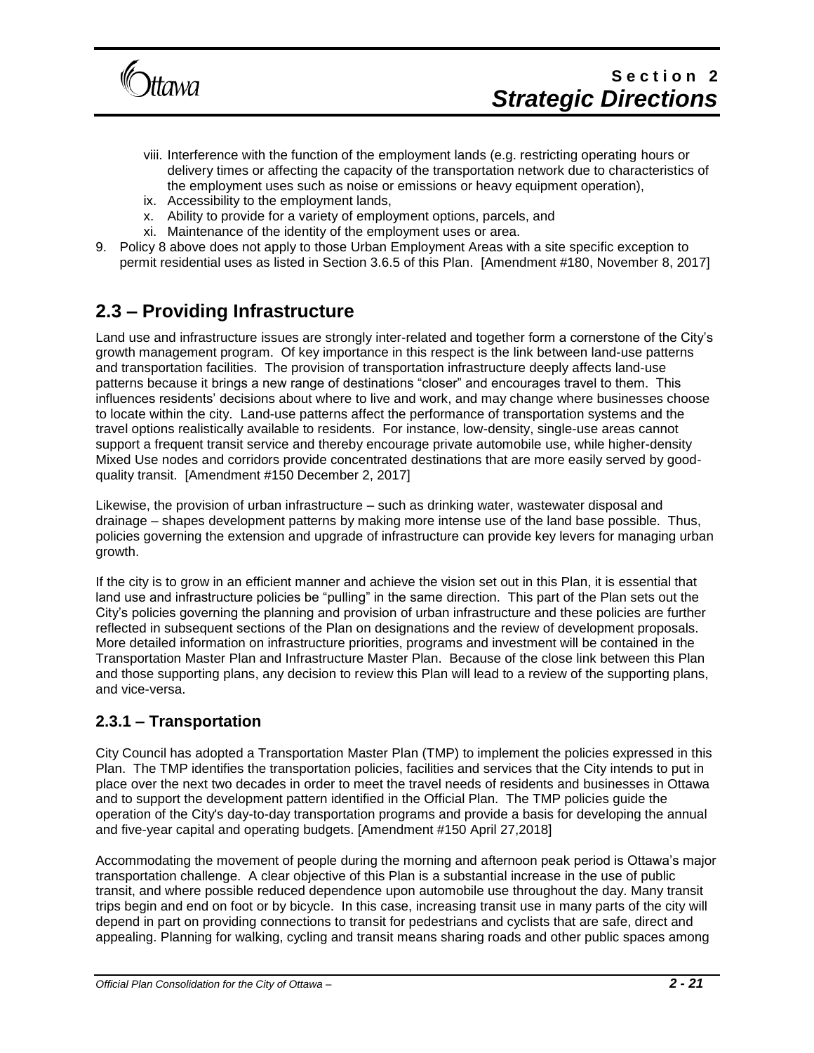

- viii. Interference with the function of the employment lands (e.g. restricting operating hours or delivery times or affecting the capacity of the transportation network due to characteristics of the employment uses such as noise or emissions or heavy equipment operation),
- ix. Accessibility to the employment lands,
- x. Ability to provide for a variety of employment options, parcels, and
- xi. Maintenance of the identity of the employment uses or area.
- 9. Policy 8 above does not apply to those Urban Employment Areas with a site specific exception to permit residential uses as listed in Section 3.6.5 of this Plan. [Amendment #180, November 8, 2017]

# **2.3 – Providing Infrastructure**

Land use and infrastructure issues are strongly inter-related and together form a cornerstone of the City's growth management program. Of key importance in this respect is the link between land-use patterns and transportation facilities. The provision of transportation infrastructure deeply affects land-use patterns because it brings a new range of destinations "closer" and encourages travel to them. This influences residents' decisions about where to live and work, and may change where businesses choose to locate within the city. Land-use patterns affect the performance of transportation systems and the travel options realistically available to residents. For instance, low-density, single-use areas cannot support a frequent transit service and thereby encourage private automobile use, while higher-density Mixed Use nodes and corridors provide concentrated destinations that are more easily served by goodquality transit. [Amendment #150 December 2, 2017]

Likewise, the provision of urban infrastructure – such as drinking water, wastewater disposal and drainage – shapes development patterns by making more intense use of the land base possible. Thus, policies governing the extension and upgrade of infrastructure can provide key levers for managing urban growth.

If the city is to grow in an efficient manner and achieve the vision set out in this Plan, it is essential that land use and infrastructure policies be "pulling" in the same direction. This part of the Plan sets out the City's policies governing the planning and provision of urban infrastructure and these policies are further reflected in subsequent sections of the Plan on designations and the review of development proposals. More detailed information on infrastructure priorities, programs and investment will be contained in the Transportation Master Plan and Infrastructure Master Plan. Because of the close link between this Plan and those supporting plans, any decision to review this Plan will lead to a review of the supporting plans, and vice-versa.

## **2.3.1 – Transportation**

City Council has adopted a Transportation Master Plan (TMP) to implement the policies expressed in this Plan. The TMP identifies the transportation policies, facilities and services that the City intends to put in place over the next two decades in order to meet the travel needs of residents and businesses in Ottawa and to support the development pattern identified in the Official Plan. The TMP policies guide the operation of the City's day-to-day transportation programs and provide a basis for developing the annual and five-year capital and operating budgets. [Amendment #150 April 27,2018]

Accommodating the movement of people during the morning and afternoon peak period is Ottawa's major transportation challenge. A clear objective of this Plan is a substantial increase in the use of public transit, and where possible reduced dependence upon automobile use throughout the day. Many transit trips begin and end on foot or by bicycle. In this case, increasing transit use in many parts of the city will depend in part on providing connections to transit for pedestrians and cyclists that are safe, direct and appealing. Planning for walking, cycling and transit means sharing roads and other public spaces among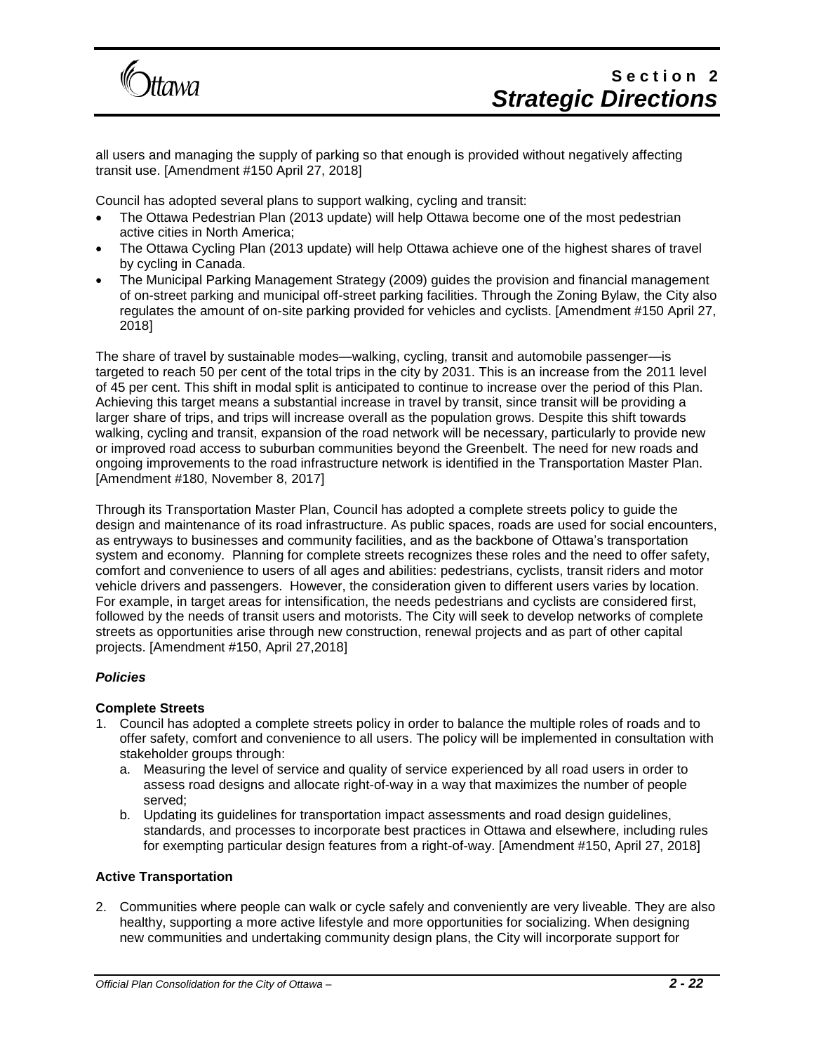

all users and managing the supply of parking so that enough is provided without negatively affecting transit use. [Amendment #150 April 27, 2018]

Council has adopted several plans to support walking, cycling and transit:

- The Ottawa Pedestrian Plan (2013 update) will help Ottawa become one of the most pedestrian active cities in North America;
- The Ottawa Cycling Plan (2013 update) will help Ottawa achieve one of the highest shares of travel by cycling in Canada.
- The Municipal Parking Management Strategy (2009) guides the provision and financial management of on-street parking and municipal off-street parking facilities. Through the Zoning Bylaw, the City also regulates the amount of on-site parking provided for vehicles and cyclists. [Amendment #150 April 27, 2018]

The share of travel by sustainable modes—walking, cycling, transit and automobile passenger—is targeted to reach 50 per cent of the total trips in the city by 2031. This is an increase from the 2011 level of 45 per cent. This shift in modal split is anticipated to continue to increase over the period of this Plan. Achieving this target means a substantial increase in travel by transit, since transit will be providing a larger share of trips, and trips will increase overall as the population grows. Despite this shift towards walking, cycling and transit, expansion of the road network will be necessary, particularly to provide new or improved road access to suburban communities beyond the Greenbelt. The need for new roads and ongoing improvements to the road infrastructure network is identified in the Transportation Master Plan. [Amendment #180, November 8, 2017]

Through its Transportation Master Plan, Council has adopted a complete streets policy to guide the design and maintenance of its road infrastructure. As public spaces, roads are used for social encounters, as entryways to businesses and community facilities, and as the backbone of Ottawa's transportation system and economy. Planning for complete streets recognizes these roles and the need to offer safety, comfort and convenience to users of all ages and abilities: pedestrians, cyclists, transit riders and motor vehicle drivers and passengers. However, the consideration given to different users varies by location. For example, in target areas for intensification, the needs pedestrians and cyclists are considered first, followed by the needs of transit users and motorists. The City will seek to develop networks of complete streets as opportunities arise through new construction, renewal projects and as part of other capital projects. [Amendment #150, April 27,2018]

#### *Policies*

#### **Complete Streets**

- 1. Council has adopted a complete streets policy in order to balance the multiple roles of roads and to offer safety, comfort and convenience to all users. The policy will be implemented in consultation with stakeholder groups through:
	- a. Measuring the level of service and quality of service experienced by all road users in order to assess road designs and allocate right-of-way in a way that maximizes the number of people served;
	- b. Updating its guidelines for transportation impact assessments and road design guidelines, standards, and processes to incorporate best practices in Ottawa and elsewhere, including rules for exempting particular design features from a right-of-way. [Amendment #150, April 27, 2018]

#### **Active Transportation**

2. Communities where people can walk or cycle safely and conveniently are very liveable. They are also healthy, supporting a more active lifestyle and more opportunities for socializing. When designing new communities and undertaking community design plans, the City will incorporate support for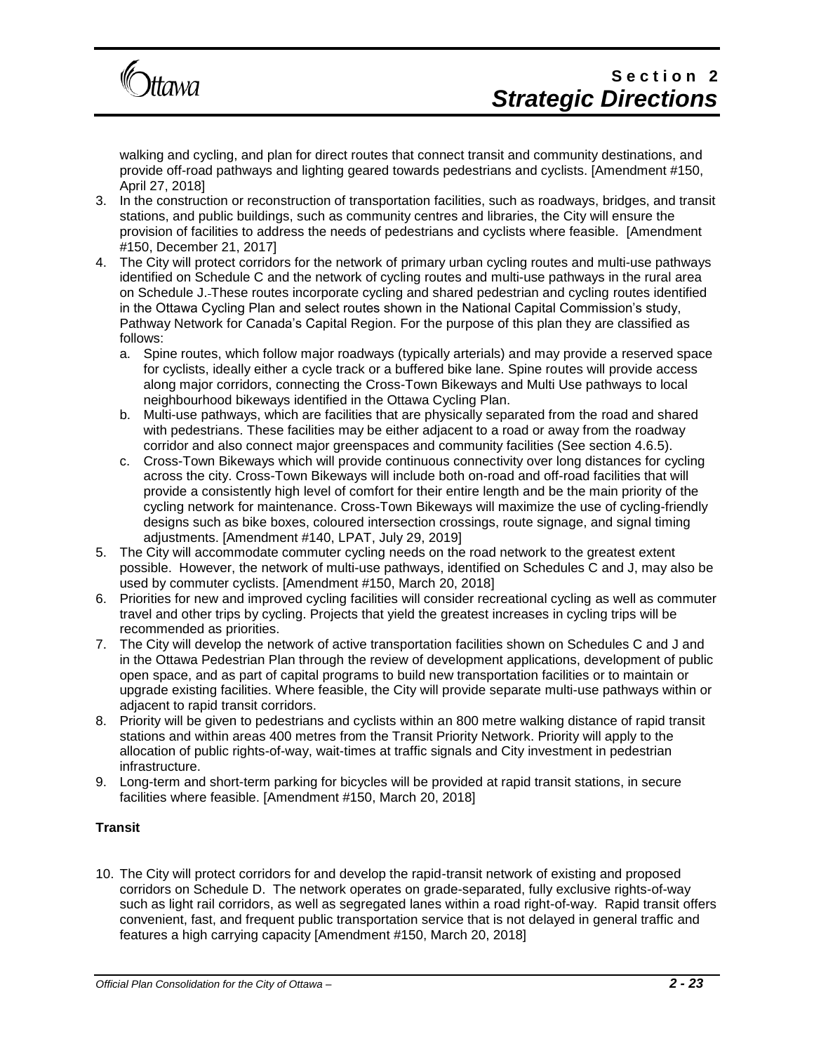

walking and cycling, and plan for direct routes that connect transit and community destinations, and provide off-road pathways and lighting geared towards pedestrians and cyclists. [Amendment #150, April 27, 2018]

- 3. In the construction or reconstruction of transportation facilities, such as roadways, bridges, and transit stations, and public buildings, such as community centres and libraries, the City will ensure the provision of facilities to address the needs of pedestrians and cyclists where feasible. [Amendment #150, December 21, 2017]
- 4. The City will protect corridors for the network of primary urban cycling routes and multi-use pathways identified on Schedule C and the network of cycling routes and multi-use pathways in the rural area on Schedule J. These routes incorporate cycling and shared pedestrian and cycling routes identified in the Ottawa Cycling Plan and select routes shown in the National Capital Commission's study, Pathway Network for Canada's Capital Region. For the purpose of this plan they are classified as follows:
	- a. Spine routes, which follow major roadways (typically arterials) and may provide a reserved space for cyclists, ideally either a cycle track or a buffered bike lane. Spine routes will provide access along major corridors, connecting the Cross-Town Bikeways and Multi Use pathways to local neighbourhood bikeways identified in the Ottawa Cycling Plan.
	- b. Multi-use pathways, which are facilities that are physically separated from the road and shared with pedestrians. These facilities may be either adjacent to a road or away from the roadway corridor and also connect major greenspaces and community facilities (See section 4.6.5).
	- c. Cross-Town Bikeways which will provide continuous connectivity over long distances for cycling across the city. Cross-Town Bikeways will include both on-road and off-road facilities that will provide a consistently high level of comfort for their entire length and be the main priority of the cycling network for maintenance. Cross-Town Bikeways will maximize the use of cycling-friendly designs such as bike boxes, coloured intersection crossings, route signage, and signal timing adjustments. [Amendment #140, LPAT, July 29, 2019]
- 5. The City will accommodate commuter cycling needs on the road network to the greatest extent possible. However, the network of multi-use pathways, identified on Schedules C and J, may also be used by commuter cyclists. [Amendment #150, March 20, 2018]
- 6. Priorities for new and improved cycling facilities will consider recreational cycling as well as commuter travel and other trips by cycling. Projects that yield the greatest increases in cycling trips will be recommended as priorities.
- 7. The City will develop the network of active transportation facilities shown on Schedules C and J and in the Ottawa Pedestrian Plan through the review of development applications, development of public open space, and as part of capital programs to build new transportation facilities or to maintain or upgrade existing facilities. Where feasible, the City will provide separate multi-use pathways within or adjacent to rapid transit corridors.
- 8. Priority will be given to pedestrians and cyclists within an 800 metre walking distance of rapid transit stations and within areas 400 metres from the Transit Priority Network. Priority will apply to the allocation of public rights-of-way, wait-times at traffic signals and City investment in pedestrian infrastructure.
- 9. Long-term and short-term parking for bicycles will be provided at rapid transit stations, in secure facilities where feasible. [Amendment #150, March 20, 2018]

### **Transit**

10. The City will protect corridors for and develop the rapid-transit network of existing and proposed corridors on Schedule D. The network operates on grade-separated, fully exclusive rights-of-way such as light rail corridors, as well as segregated lanes within a road right-of-way. Rapid transit offers convenient, fast, and frequent public transportation service that is not delayed in general traffic and features a high carrying capacity [Amendment #150, March 20, 2018]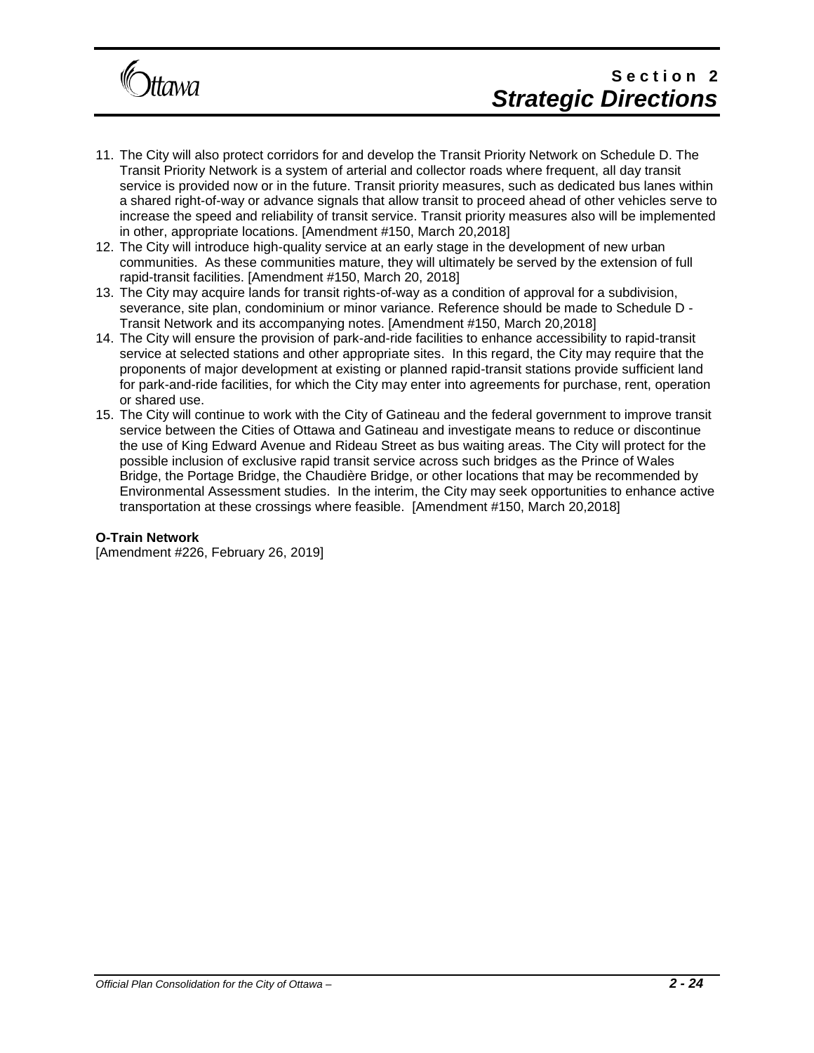

- 11. The City will also protect corridors for and develop the Transit Priority Network on Schedule D. The Transit Priority Network is a system of arterial and collector roads where frequent, all day transit service is provided now or in the future. Transit priority measures, such as dedicated bus lanes within a shared right-of-way or advance signals that allow transit to proceed ahead of other vehicles serve to increase the speed and reliability of transit service. Transit priority measures also will be implemented in other, appropriate locations. [Amendment #150, March 20,2018]
- 12. The City will introduce high-quality service at an early stage in the development of new urban communities. As these communities mature, they will ultimately be served by the extension of full rapid-transit facilities. [Amendment #150, March 20, 2018]
- 13. The City may acquire lands for transit rights-of-way as a condition of approval for a subdivision, severance, site plan, condominium or minor variance. Reference should be made to Schedule D - Transit Network and its accompanying notes. [Amendment #150, March 20,2018]
- 14. The City will ensure the provision of park-and-ride facilities to enhance accessibility to rapid-transit service at selected stations and other appropriate sites. In this regard, the City may require that the proponents of major development at existing or planned rapid-transit stations provide sufficient land for park-and-ride facilities, for which the City may enter into agreements for purchase, rent, operation or shared use.
- 15. The City will continue to work with the City of Gatineau and the federal government to improve transit service between the Cities of Ottawa and Gatineau and investigate means to reduce or discontinue the use of King Edward Avenue and Rideau Street as bus waiting areas. The City will protect for the possible inclusion of exclusive rapid transit service across such bridges as the Prince of Wales Bridge, the Portage Bridge, the Chaudière Bridge, or other locations that may be recommended by Environmental Assessment studies. In the interim, the City may seek opportunities to enhance active transportation at these crossings where feasible. [Amendment #150, March 20,2018]

#### **O-Train Network**

[Amendment #226, February 26, 2019]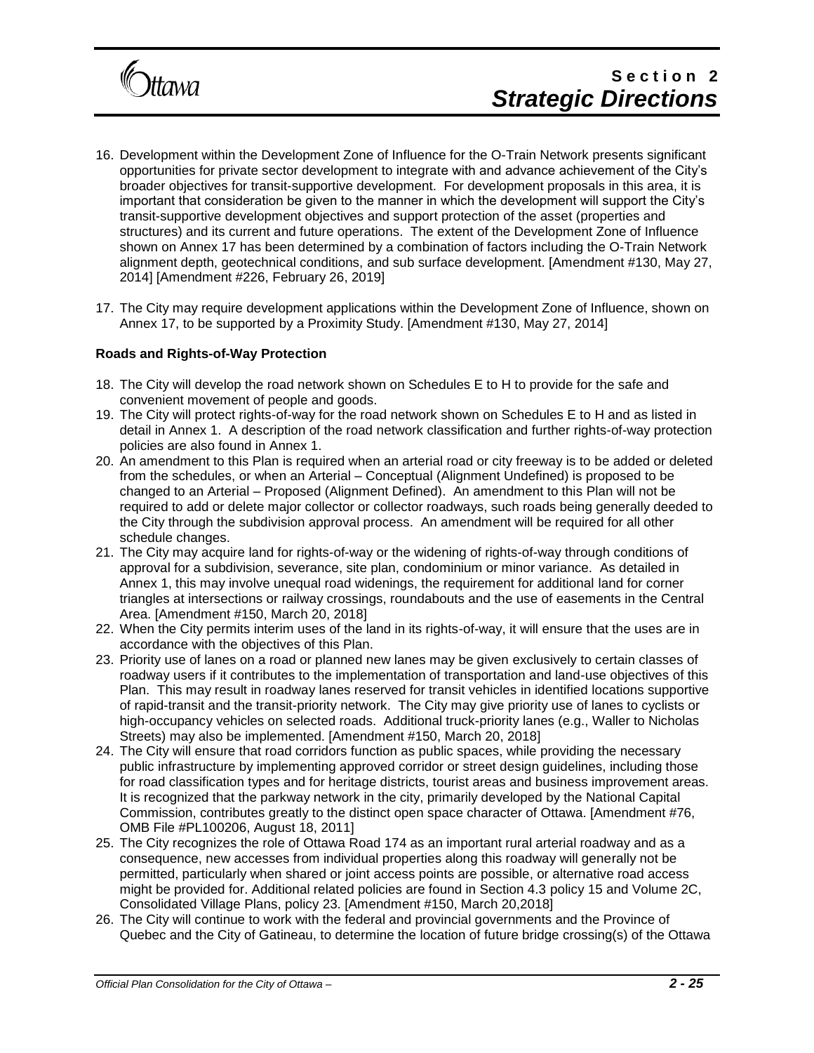

- 16. Development within the Development Zone of Influence for the O-Train Network presents significant opportunities for private sector development to integrate with and advance achievement of the City's broader objectives for transit-supportive development. For development proposals in this area, it is important that consideration be given to the manner in which the development will support the City's transit-supportive development objectives and support protection of the asset (properties and structures) and its current and future operations. The extent of the Development Zone of Influence shown on Annex 17 has been determined by a combination of factors including the O-Train Network alignment depth, geotechnical conditions, and sub surface development. [Amendment #130, May 27, 2014] [Amendment #226, February 26, 2019]
- 17. The City may require development applications within the Development Zone of Influence, shown on Annex 17, to be supported by a Proximity Study. [Amendment #130, May 27, 2014]

#### **Roads and Rights-of-Way Protection**

- 18. The City will develop the road network shown on Schedules E to H to provide for the safe and convenient movement of people and goods.
- 19. The City will protect rights-of-way for the road network shown on Schedules E to H and as listed in detail in Annex 1. A description of the road network classification and further rights-of-way protection policies are also found in Annex 1.
- 20. An amendment to this Plan is required when an arterial road or city freeway is to be added or deleted from the schedules, or when an Arterial – Conceptual (Alignment Undefined) is proposed to be changed to an Arterial – Proposed (Alignment Defined). An amendment to this Plan will not be required to add or delete major collector or collector roadways, such roads being generally deeded to the City through the subdivision approval process. An amendment will be required for all other schedule changes.
- 21. The City may acquire land for rights-of-way or the widening of rights-of-way through conditions of approval for a subdivision, severance, site plan, condominium or minor variance. As detailed in Annex 1, this may involve unequal road widenings, the requirement for additional land for corner triangles at intersections or railway crossings, roundabouts and the use of easements in the Central Area. [Amendment #150, March 20, 2018]
- 22. When the City permits interim uses of the land in its rights-of-way, it will ensure that the uses are in accordance with the objectives of this Plan.
- 23. Priority use of lanes on a road or planned new lanes may be given exclusively to certain classes of roadway users if it contributes to the implementation of transportation and land-use objectives of this Plan. This may result in roadway lanes reserved for transit vehicles in identified locations supportive of rapid-transit and the transit-priority network. The City may give priority use of lanes to cyclists or high-occupancy vehicles on selected roads. Additional truck-priority lanes (e.g., Waller to Nicholas Streets) may also be implemented. [Amendment #150, March 20, 2018]
- 24. The City will ensure that road corridors function as public spaces, while providing the necessary public infrastructure by implementing approved corridor or street design guidelines, including those for road classification types and for heritage districts, tourist areas and business improvement areas. It is recognized that the parkway network in the city, primarily developed by the National Capital Commission, contributes greatly to the distinct open space character of Ottawa. [Amendment #76, OMB File #PL100206, August 18, 2011]
- 25. The City recognizes the role of Ottawa Road 174 as an important rural arterial roadway and as a consequence, new accesses from individual properties along this roadway will generally not be permitted, particularly when shared or joint access points are possible, or alternative road access might be provided for. Additional related policies are found in Section 4.3 policy 15 and Volume 2C, Consolidated Village Plans, policy 23. [Amendment #150, March 20,2018]
- 26. The City will continue to work with the federal and provincial governments and the Province of Quebec and the City of Gatineau, to determine the location of future bridge crossing(s) of the Ottawa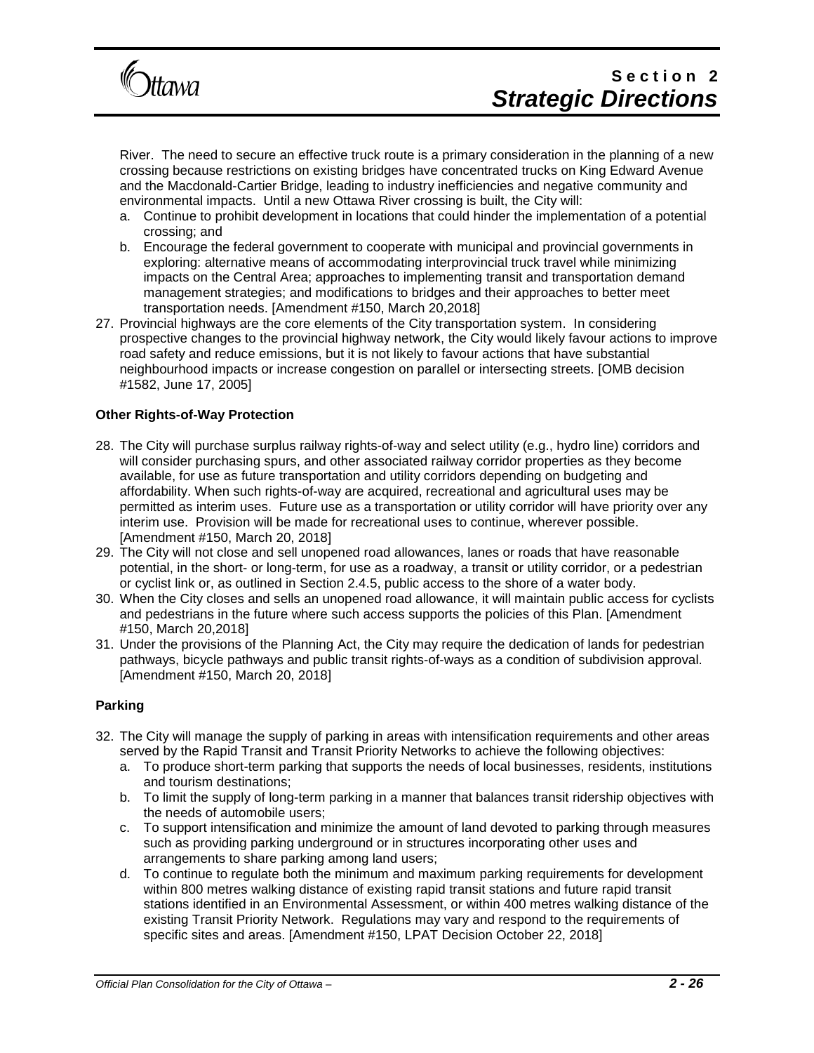

River. The need to secure an effective truck route is a primary consideration in the planning of a new crossing because restrictions on existing bridges have concentrated trucks on King Edward Avenue and the Macdonald-Cartier Bridge, leading to industry inefficiencies and negative community and environmental impacts. Until a new Ottawa River crossing is built, the City will:

- a. Continue to prohibit development in locations that could hinder the implementation of a potential crossing; and
- b. Encourage the federal government to cooperate with municipal and provincial governments in exploring: alternative means of accommodating interprovincial truck travel while minimizing impacts on the Central Area; approaches to implementing transit and transportation demand management strategies; and modifications to bridges and their approaches to better meet transportation needs. [Amendment #150, March 20,2018]
- 27. Provincial highways are the core elements of the City transportation system. In considering prospective changes to the provincial highway network, the City would likely favour actions to improve road safety and reduce emissions, but it is not likely to favour actions that have substantial neighbourhood impacts or increase congestion on parallel or intersecting streets. [OMB decision #1582, June 17, 2005]

#### **Other Rights-of-Way Protection**

- 28. The City will purchase surplus railway rights-of-way and select utility (e.g., hydro line) corridors and will consider purchasing spurs, and other associated railway corridor properties as they become available, for use as future transportation and utility corridors depending on budgeting and affordability. When such rights-of-way are acquired, recreational and agricultural uses may be permitted as interim uses. Future use as a transportation or utility corridor will have priority over any interim use. Provision will be made for recreational uses to continue, wherever possible. [Amendment #150, March 20, 2018]
- 29. The City will not close and sell unopened road allowances, lanes or roads that have reasonable potential, in the short- or long-term, for use as a roadway, a transit or utility corridor, or a pedestrian or cyclist link or, as outlined in Section 2.4.5, public access to the shore of a water body.
- 30. When the City closes and sells an unopened road allowance, it will maintain public access for cyclists and pedestrians in the future where such access supports the policies of this Plan. [Amendment #150, March 20,2018]
- 31. Under the provisions of the Planning Act, the City may require the dedication of lands for pedestrian pathways, bicycle pathways and public transit rights-of-ways as a condition of subdivision approval. [Amendment #150, March 20, 2018]

#### **Parking**

- 32. The City will manage the supply of parking in areas with intensification requirements and other areas served by the Rapid Transit and Transit Priority Networks to achieve the following objectives:
	- a. To produce short-term parking that supports the needs of local businesses, residents, institutions and tourism destinations;
	- b. To limit the supply of long-term parking in a manner that balances transit ridership objectives with the needs of automobile users;
	- c. To support intensification and minimize the amount of land devoted to parking through measures such as providing parking underground or in structures incorporating other uses and arrangements to share parking among land users;
	- d. To continue to regulate both the minimum and maximum parking requirements for development within 800 metres walking distance of existing rapid transit stations and future rapid transit stations identified in an Environmental Assessment, or within 400 metres walking distance of the existing Transit Priority Network. Regulations may vary and respond to the requirements of specific sites and areas. [Amendment #150, LPAT Decision October 22, 2018]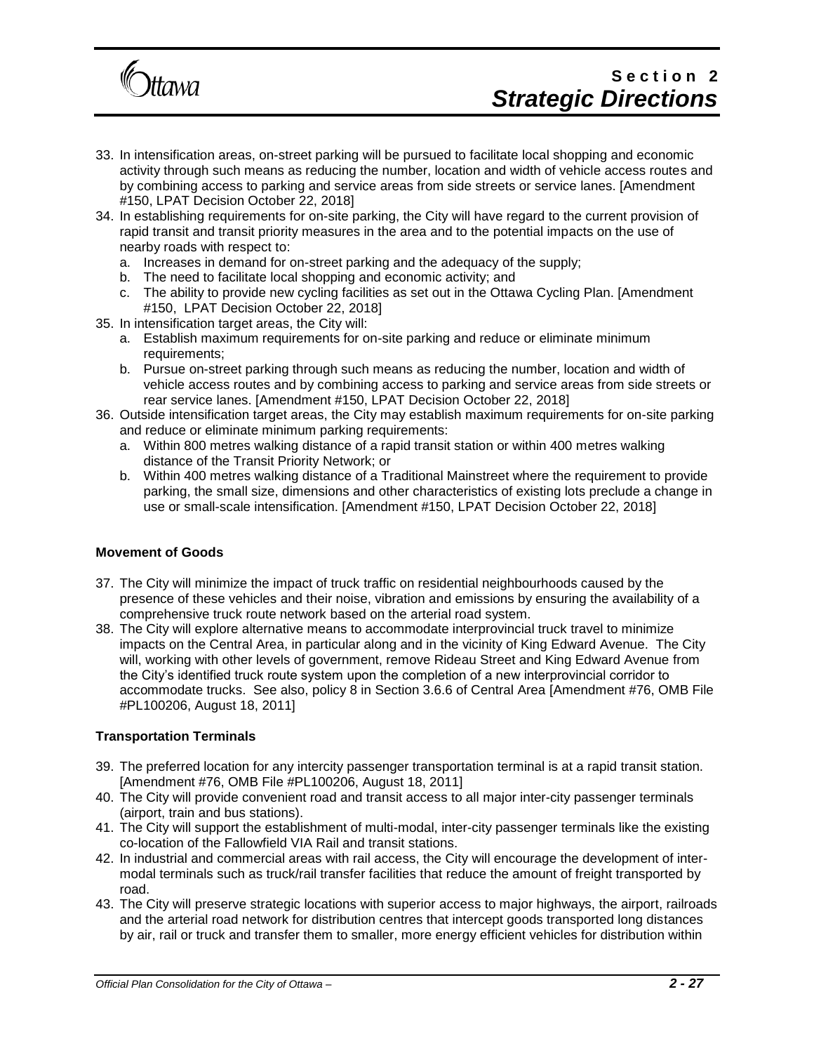

# Section<sub>2</sub> *Strategic Directions*

- 33. In intensification areas, on-street parking will be pursued to facilitate local shopping and economic activity through such means as reducing the number, location and width of vehicle access routes and by combining access to parking and service areas from side streets or service lanes. [Amendment #150, LPAT Decision October 22, 2018]
- 34. In establishing requirements for on-site parking, the City will have regard to the current provision of rapid transit and transit priority measures in the area and to the potential impacts on the use of nearby roads with respect to:
	- a. Increases in demand for on-street parking and the adequacy of the supply;
	- b. The need to facilitate local shopping and economic activity; and
	- c. The ability to provide new cycling facilities as set out in the Ottawa Cycling Plan. [Amendment #150, LPAT Decision October 22, 2018]
- 35. In intensification target areas, the City will:
	- a. Establish maximum requirements for on-site parking and reduce or eliminate minimum requirements;
	- b. Pursue on-street parking through such means as reducing the number, location and width of vehicle access routes and by combining access to parking and service areas from side streets or rear service lanes. [Amendment #150, LPAT Decision October 22, 2018]
- 36. Outside intensification target areas, the City may establish maximum requirements for on-site parking and reduce or eliminate minimum parking requirements:
	- a. Within 800 metres walking distance of a rapid transit station or within 400 metres walking distance of the Transit Priority Network; or
	- b. Within 400 metres walking distance of a Traditional Mainstreet where the requirement to provide parking, the small size, dimensions and other characteristics of existing lots preclude a change in use or small-scale intensification. [Amendment #150, LPAT Decision October 22, 2018]

#### **Movement of Goods**

- 37. The City will minimize the impact of truck traffic on residential neighbourhoods caused by the presence of these vehicles and their noise, vibration and emissions by ensuring the availability of a comprehensive truck route network based on the arterial road system.
- 38. The City will explore alternative means to accommodate interprovincial truck travel to minimize impacts on the Central Area, in particular along and in the vicinity of King Edward Avenue. The City will, working with other levels of government, remove Rideau Street and King Edward Avenue from the City's identified truck route system upon the completion of a new interprovincial corridor to accommodate trucks. See also, policy 8 in Section 3.6.6 of Central Area [Amendment #76, OMB File #PL100206, August 18, 2011]

#### **Transportation Terminals**

- 39. The preferred location for any intercity passenger transportation terminal is at a rapid transit station. [Amendment #76, OMB File #PL100206, August 18, 2011]
- 40. The City will provide convenient road and transit access to all major inter-city passenger terminals (airport, train and bus stations).
- 41. The City will support the establishment of multi-modal, inter-city passenger terminals like the existing co-location of the Fallowfield VIA Rail and transit stations.
- 42. In industrial and commercial areas with rail access, the City will encourage the development of intermodal terminals such as truck/rail transfer facilities that reduce the amount of freight transported by road.
- 43. The City will preserve strategic locations with superior access to major highways, the airport, railroads and the arterial road network for distribution centres that intercept goods transported long distances by air, rail or truck and transfer them to smaller, more energy efficient vehicles for distribution within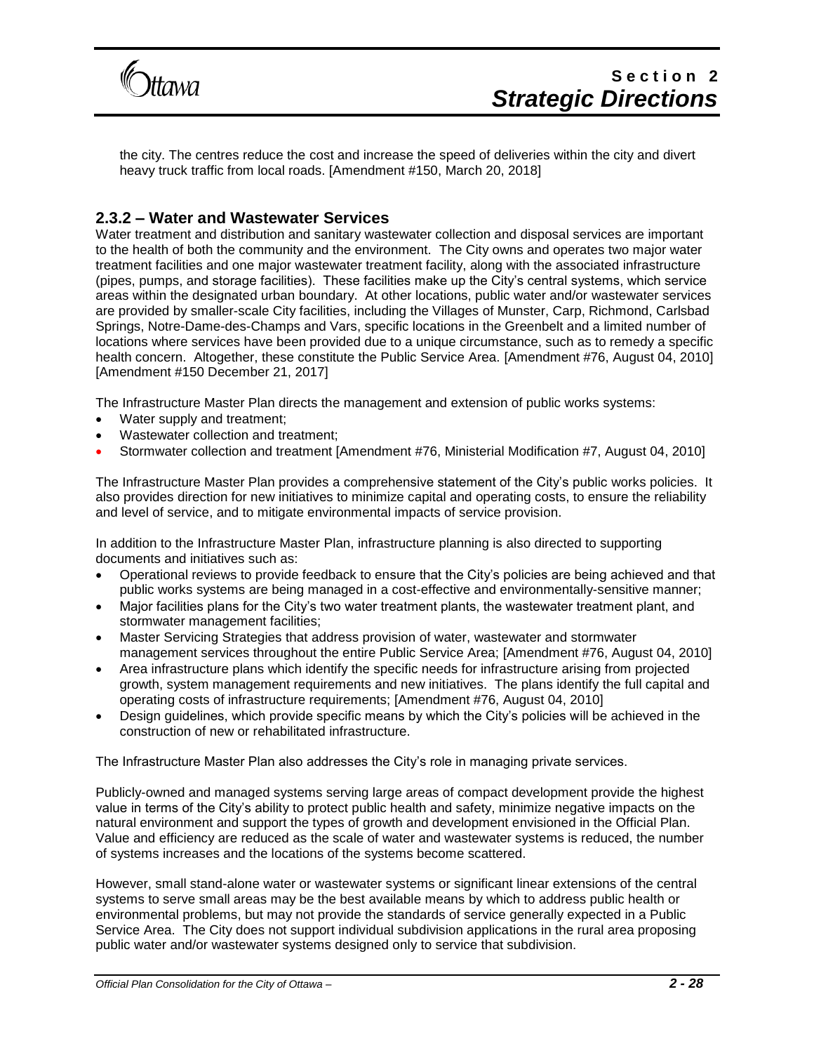

the city. The centres reduce the cost and increase the speed of deliveries within the city and divert heavy truck traffic from local roads. [Amendment #150, March 20, 2018]

### **2.3.2 – Water and Wastewater Services**

Water treatment and distribution and sanitary wastewater collection and disposal services are important to the health of both the community and the environment. The City owns and operates two major water treatment facilities and one major wastewater treatment facility, along with the associated infrastructure (pipes, pumps, and storage facilities). These facilities make up the City's central systems, which service areas within the designated urban boundary. At other locations, public water and/or wastewater services are provided by smaller-scale City facilities, including the Villages of Munster, Carp, Richmond, Carlsbad Springs, Notre-Dame-des-Champs and Vars, specific locations in the Greenbelt and a limited number of locations where services have been provided due to a unique circumstance, such as to remedy a specific health concern. Altogether, these constitute the Public Service Area. [Amendment #76, August 04, 2010] [Amendment #150 December 21, 2017]

The Infrastructure Master Plan directs the management and extension of public works systems:

- Water supply and treatment;
- Wastewater collection and treatment;
- Stormwater collection and treatment [Amendment #76, Ministerial Modification #7, August 04, 2010]

The Infrastructure Master Plan provides a comprehensive statement of the City's public works policies. It also provides direction for new initiatives to minimize capital and operating costs, to ensure the reliability and level of service, and to mitigate environmental impacts of service provision.

In addition to the Infrastructure Master Plan, infrastructure planning is also directed to supporting documents and initiatives such as:

- Operational reviews to provide feedback to ensure that the City's policies are being achieved and that public works systems are being managed in a cost-effective and environmentally-sensitive manner;
- Major facilities plans for the City's two water treatment plants, the wastewater treatment plant, and stormwater management facilities;
- Master Servicing Strategies that address provision of water, wastewater and stormwater management services throughout the entire Public Service Area; [Amendment #76, August 04, 2010]
- Area infrastructure plans which identify the specific needs for infrastructure arising from projected growth, system management requirements and new initiatives. The plans identify the full capital and operating costs of infrastructure requirements; [Amendment #76, August 04, 2010]
- Design guidelines, which provide specific means by which the City's policies will be achieved in the construction of new or rehabilitated infrastructure.

The Infrastructure Master Plan also addresses the City's role in managing private services.

Publicly-owned and managed systems serving large areas of compact development provide the highest value in terms of the City's ability to protect public health and safety, minimize negative impacts on the natural environment and support the types of growth and development envisioned in the Official Plan. Value and efficiency are reduced as the scale of water and wastewater systems is reduced, the number of systems increases and the locations of the systems become scattered.

However, small stand-alone water or wastewater systems or significant linear extensions of the central systems to serve small areas may be the best available means by which to address public health or environmental problems, but may not provide the standards of service generally expected in a Public Service Area. The City does not support individual subdivision applications in the rural area proposing public water and/or wastewater systems designed only to service that subdivision.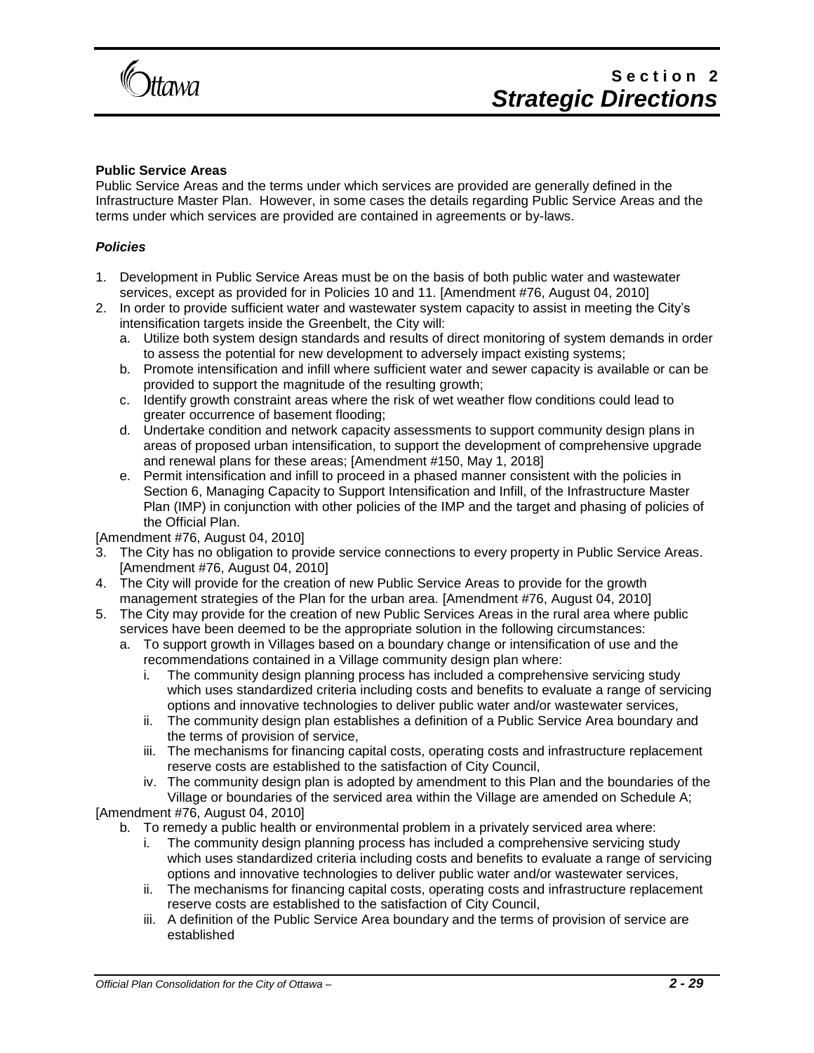

#### **Public Service Areas**

Public Service Areas and the terms under which services are provided are generally defined in the Infrastructure Master Plan. However, in some cases the details regarding Public Service Areas and the terms under which services are provided are contained in agreements or by-laws.

#### *Policies*

- 1. Development in Public Service Areas must be on the basis of both public water and wastewater services, except as provided for in Policies 10 and 11. [Amendment #76, August 04, 2010]
- 2. In order to provide sufficient water and wastewater system capacity to assist in meeting the City's intensification targets inside the Greenbelt, the City will:
	- a. Utilize both system design standards and results of direct monitoring of system demands in order to assess the potential for new development to adversely impact existing systems;
	- b. Promote intensification and infill where sufficient water and sewer capacity is available or can be provided to support the magnitude of the resulting growth;
	- c. Identify growth constraint areas where the risk of wet weather flow conditions could lead to greater occurrence of basement flooding;
	- d. Undertake condition and network capacity assessments to support community design plans in areas of proposed urban intensification, to support the development of comprehensive upgrade and renewal plans for these areas; [Amendment #150, May 1, 2018]
	- e. Permit intensification and infill to proceed in a phased manner consistent with the policies in Section 6, Managing Capacity to Support Intensification and Infill, of the Infrastructure Master Plan (IMP) in conjunction with other policies of the IMP and the target and phasing of policies of the Official Plan.

#### [Amendment #76, August 04, 2010]

- 3. The City has no obligation to provide service connections to every property in Public Service Areas. [Amendment #76, August 04, 2010]
- 4. The City will provide for the creation of new Public Service Areas to provide for the growth management strategies of the Plan for the urban area. [Amendment #76, August 04, 2010]
- 5. The City may provide for the creation of new Public Services Areas in the rural area where public services have been deemed to be the appropriate solution in the following circumstances:
	- a. To support growth in Villages based on a boundary change or intensification of use and the recommendations contained in a Village community design plan where:
		- i. The community design planning process has included a comprehensive servicing study which uses standardized criteria including costs and benefits to evaluate a range of servicing options and innovative technologies to deliver public water and/or wastewater services,
		- ii. The community design plan establishes a definition of a Public Service Area boundary and the terms of provision of service,
		- iii. The mechanisms for financing capital costs, operating costs and infrastructure replacement reserve costs are established to the satisfaction of City Council,
		- iv. The community design plan is adopted by amendment to this Plan and the boundaries of the Village or boundaries of the serviced area within the Village are amended on Schedule A;

#### [Amendment #76, August 04, 2010]

b. To remedy a public health or environmental problem in a privately serviced area where:

- i. The community design planning process has included a comprehensive servicing study which uses standardized criteria including costs and benefits to evaluate a range of servicing options and innovative technologies to deliver public water and/or wastewater services,
- ii. The mechanisms for financing capital costs, operating costs and infrastructure replacement reserve costs are established to the satisfaction of City Council,
- iii. A definition of the Public Service Area boundary and the terms of provision of service are established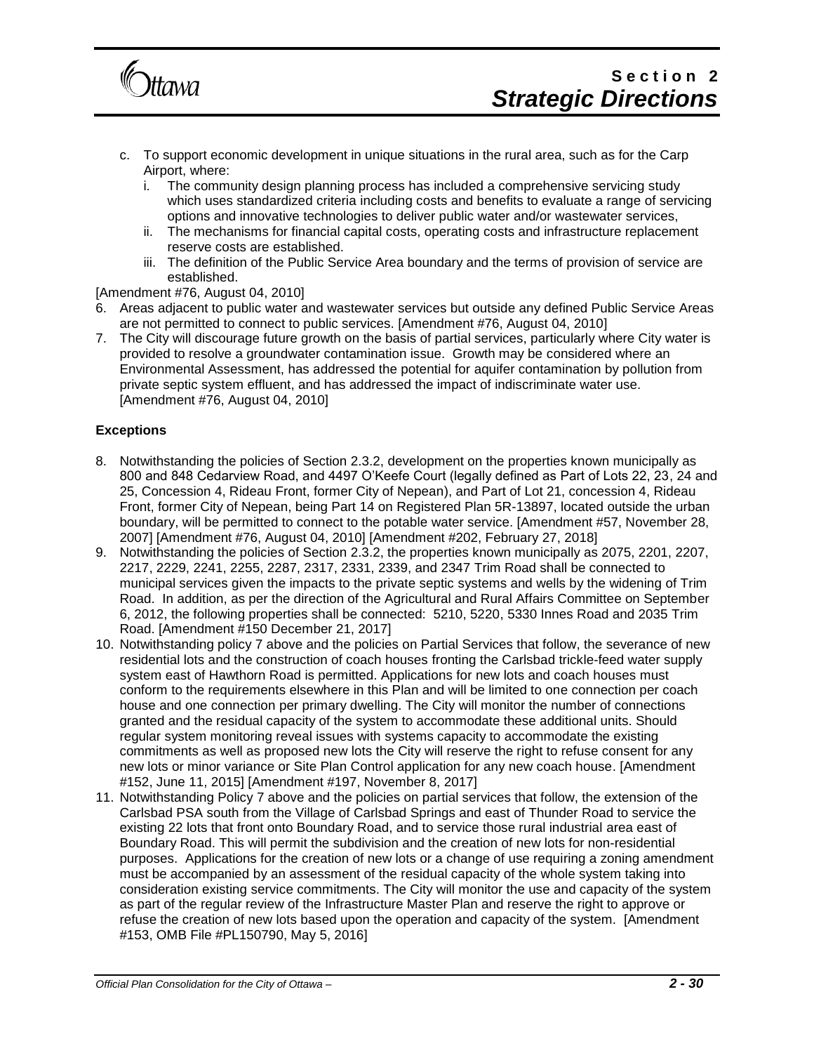

- c. To support economic development in unique situations in the rural area, such as for the Carp Airport, where:
	- i. The community design planning process has included a comprehensive servicing study which uses standardized criteria including costs and benefits to evaluate a range of servicing options and innovative technologies to deliver public water and/or wastewater services,
	- ii. The mechanisms for financial capital costs, operating costs and infrastructure replacement reserve costs are established.
	- iii. The definition of the Public Service Area boundary and the terms of provision of service are established.

[Amendment #76, August 04, 2010]

- 6. Areas adjacent to public water and wastewater services but outside any defined Public Service Areas are not permitted to connect to public services. [Amendment #76, August 04, 2010]
- 7. The City will discourage future growth on the basis of partial services, particularly where City water is provided to resolve a groundwater contamination issue. Growth may be considered where an Environmental Assessment, has addressed the potential for aquifer contamination by pollution from private septic system effluent, and has addressed the impact of indiscriminate water use. [Amendment #76, August 04, 2010]

#### **Exceptions**

- 8. Notwithstanding the policies of Section 2.3.2, development on the properties known municipally as 800 and 848 Cedarview Road, and 4497 O'Keefe Court (legally defined as Part of Lots 22, 23, 24 and 25, Concession 4, Rideau Front, former City of Nepean), and Part of Lot 21, concession 4, Rideau Front, former City of Nepean, being Part 14 on Registered Plan 5R-13897, located outside the urban boundary, will be permitted to connect to the potable water service. [Amendment #57, November 28, 2007] [Amendment #76, August 04, 2010] [Amendment #202, February 27, 2018]
- 9. Notwithstanding the policies of Section 2.3.2, the properties known municipally as 2075, 2201, 2207, 2217, 2229, 2241, 2255, 2287, 2317, 2331, 2339, and 2347 Trim Road shall be connected to municipal services given the impacts to the private septic systems and wells by the widening of Trim Road. In addition, as per the direction of the Agricultural and Rural Affairs Committee on September 6, 2012, the following properties shall be connected: 5210, 5220, 5330 Innes Road and 2035 Trim Road. [Amendment #150 December 21, 2017]
- 10. Notwithstanding policy 7 above and the policies on Partial Services that follow, the severance of new residential lots and the construction of coach houses fronting the Carlsbad trickle-feed water supply system east of Hawthorn Road is permitted. Applications for new lots and coach houses must conform to the requirements elsewhere in this Plan and will be limited to one connection per coach house and one connection per primary dwelling. The City will monitor the number of connections granted and the residual capacity of the system to accommodate these additional units. Should regular system monitoring reveal issues with systems capacity to accommodate the existing commitments as well as proposed new lots the City will reserve the right to refuse consent for any new lots or minor variance or Site Plan Control application for any new coach house. [Amendment #152, June 11, 2015] [Amendment #197, November 8, 2017]
- 11. Notwithstanding Policy 7 above and the policies on partial services that follow, the extension of the Carlsbad PSA south from the Village of Carlsbad Springs and east of Thunder Road to service the existing 22 lots that front onto Boundary Road, and to service those rural industrial area east of Boundary Road. This will permit the subdivision and the creation of new lots for non-residential purposes. Applications for the creation of new lots or a change of use requiring a zoning amendment must be accompanied by an assessment of the residual capacity of the whole system taking into consideration existing service commitments. The City will monitor the use and capacity of the system as part of the regular review of the Infrastructure Master Plan and reserve the right to approve or refuse the creation of new lots based upon the operation and capacity of the system. [Amendment #153, OMB File #PL150790, May 5, 2016]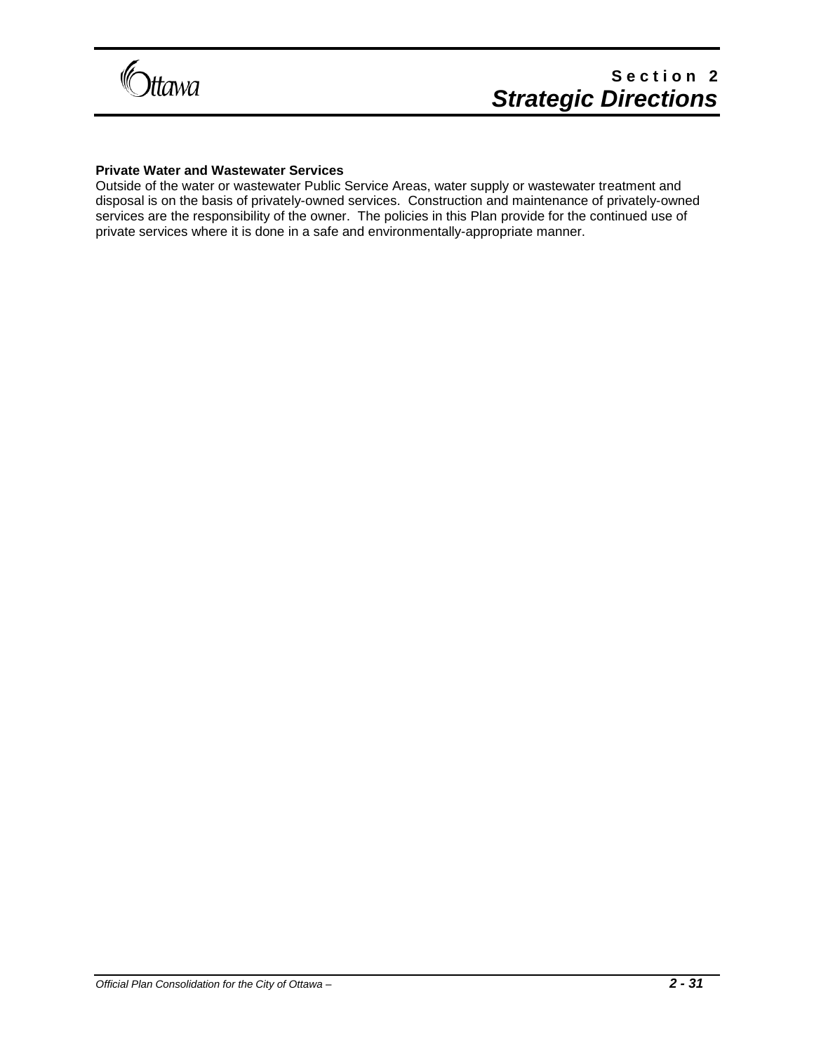

#### **Private Water and Wastewater Services**

Outside of the water or wastewater Public Service Areas, water supply or wastewater treatment and disposal is on the basis of privately-owned services. Construction and maintenance of privately-owned services are the responsibility of the owner. The policies in this Plan provide for the continued use of private services where it is done in a safe and environmentally-appropriate manner.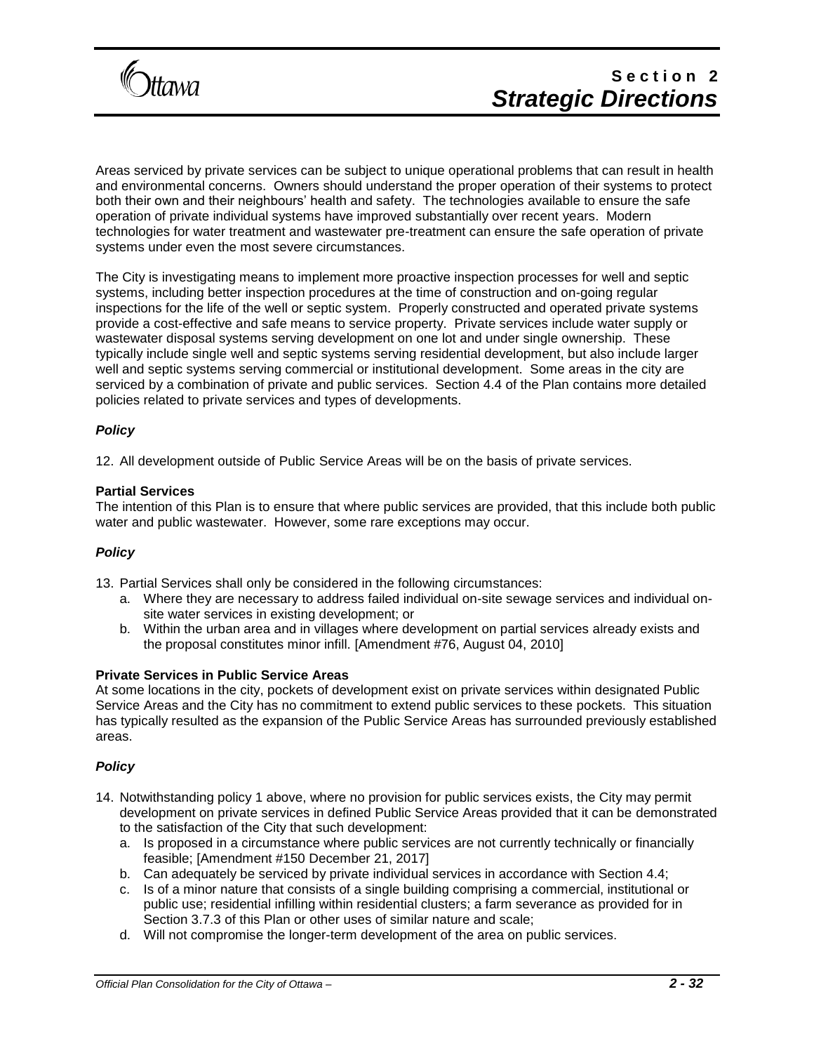

Areas serviced by private services can be subject to unique operational problems that can result in health and environmental concerns. Owners should understand the proper operation of their systems to protect both their own and their neighbours' health and safety. The technologies available to ensure the safe operation of private individual systems have improved substantially over recent years. Modern technologies for water treatment and wastewater pre-treatment can ensure the safe operation of private systems under even the most severe circumstances.

The City is investigating means to implement more proactive inspection processes for well and septic systems, including better inspection procedures at the time of construction and on-going regular inspections for the life of the well or septic system. Properly constructed and operated private systems provide a cost-effective and safe means to service property. Private services include water supply or wastewater disposal systems serving development on one lot and under single ownership. These typically include single well and septic systems serving residential development, but also include larger well and septic systems serving commercial or institutional development. Some areas in the city are serviced by a combination of private and public services. Section 4.4 of the Plan contains more detailed policies related to private services and types of developments.

#### *Policy*

12. All development outside of Public Service Areas will be on the basis of private services.

#### **Partial Services**

The intention of this Plan is to ensure that where public services are provided, that this include both public water and public wastewater. However, some rare exceptions may occur.

#### *Policy*

13. Partial Services shall only be considered in the following circumstances:

- a. Where they are necessary to address failed individual on-site sewage services and individual onsite water services in existing development; or
- b. Within the urban area and in villages where development on partial services already exists and the proposal constitutes minor infill. [Amendment #76, August 04, 2010]

#### **Private Services in Public Service Areas**

At some locations in the city, pockets of development exist on private services within designated Public Service Areas and the City has no commitment to extend public services to these pockets. This situation has typically resulted as the expansion of the Public Service Areas has surrounded previously established areas.

#### *Policy*

- 14. Notwithstanding policy 1 above, where no provision for public services exists, the City may permit development on private services in defined Public Service Areas provided that it can be demonstrated to the satisfaction of the City that such development:
	- a. Is proposed in a circumstance where public services are not currently technically or financially feasible; [Amendment #150 December 21, 2017]
	- b. Can adequately be serviced by private individual services in accordance with Section 4.4;
	- c. Is of a minor nature that consists of a single building comprising a commercial, institutional or public use; residential infilling within residential clusters; a farm severance as provided for in Section 3.7.3 of this Plan or other uses of similar nature and scale;
	- d. Will not compromise the longer-term development of the area on public services.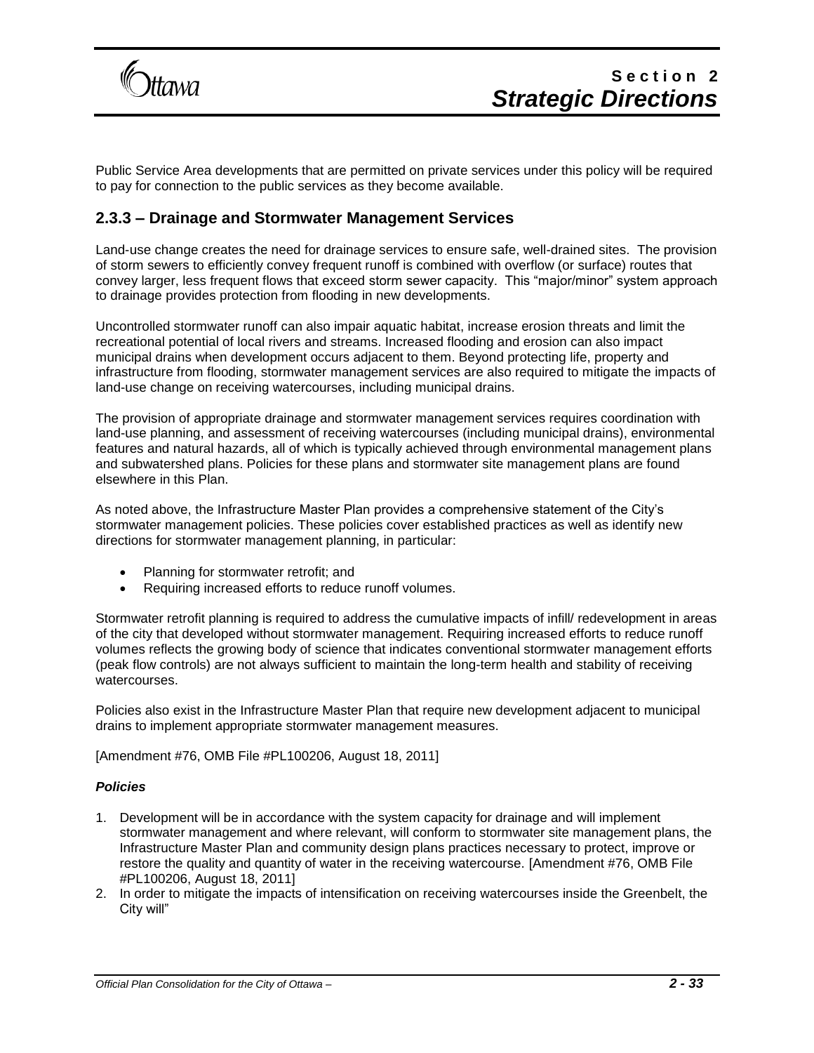

Public Service Area developments that are permitted on private services under this policy will be required to pay for connection to the public services as they become available.

### **2.3.3 – Drainage and Stormwater Management Services**

Land-use change creates the need for drainage services to ensure safe, well-drained sites. The provision of storm sewers to efficiently convey frequent runoff is combined with overflow (or surface) routes that convey larger, less frequent flows that exceed storm sewer capacity. This "major/minor" system approach to drainage provides protection from flooding in new developments.

Uncontrolled stormwater runoff can also impair aquatic habitat, increase erosion threats and limit the recreational potential of local rivers and streams. Increased flooding and erosion can also impact municipal drains when development occurs adjacent to them. Beyond protecting life, property and infrastructure from flooding, stormwater management services are also required to mitigate the impacts of land-use change on receiving watercourses, including municipal drains.

The provision of appropriate drainage and stormwater management services requires coordination with land-use planning, and assessment of receiving watercourses (including municipal drains), environmental features and natural hazards, all of which is typically achieved through environmental management plans and subwatershed plans. Policies for these plans and stormwater site management plans are found elsewhere in this Plan.

As noted above, the Infrastructure Master Plan provides a comprehensive statement of the City's stormwater management policies. These policies cover established practices as well as identify new directions for stormwater management planning, in particular:

- Planning for stormwater retrofit; and
- Requiring increased efforts to reduce runoff volumes.

Stormwater retrofit planning is required to address the cumulative impacts of infill/ redevelopment in areas of the city that developed without stormwater management. Requiring increased efforts to reduce runoff volumes reflects the growing body of science that indicates conventional stormwater management efforts (peak flow controls) are not always sufficient to maintain the long-term health and stability of receiving watercourses.

Policies also exist in the Infrastructure Master Plan that require new development adjacent to municipal drains to implement appropriate stormwater management measures.

[Amendment #76, OMB File #PL100206, August 18, 2011]

#### *Policies*

- 1. Development will be in accordance with the system capacity for drainage and will implement stormwater management and where relevant, will conform to stormwater site management plans, the Infrastructure Master Plan and community design plans practices necessary to protect, improve or restore the quality and quantity of water in the receiving watercourse. [Amendment #76, OMB File #PL100206, August 18, 2011]
- 2. In order to mitigate the impacts of intensification on receiving watercourses inside the Greenbelt, the City will"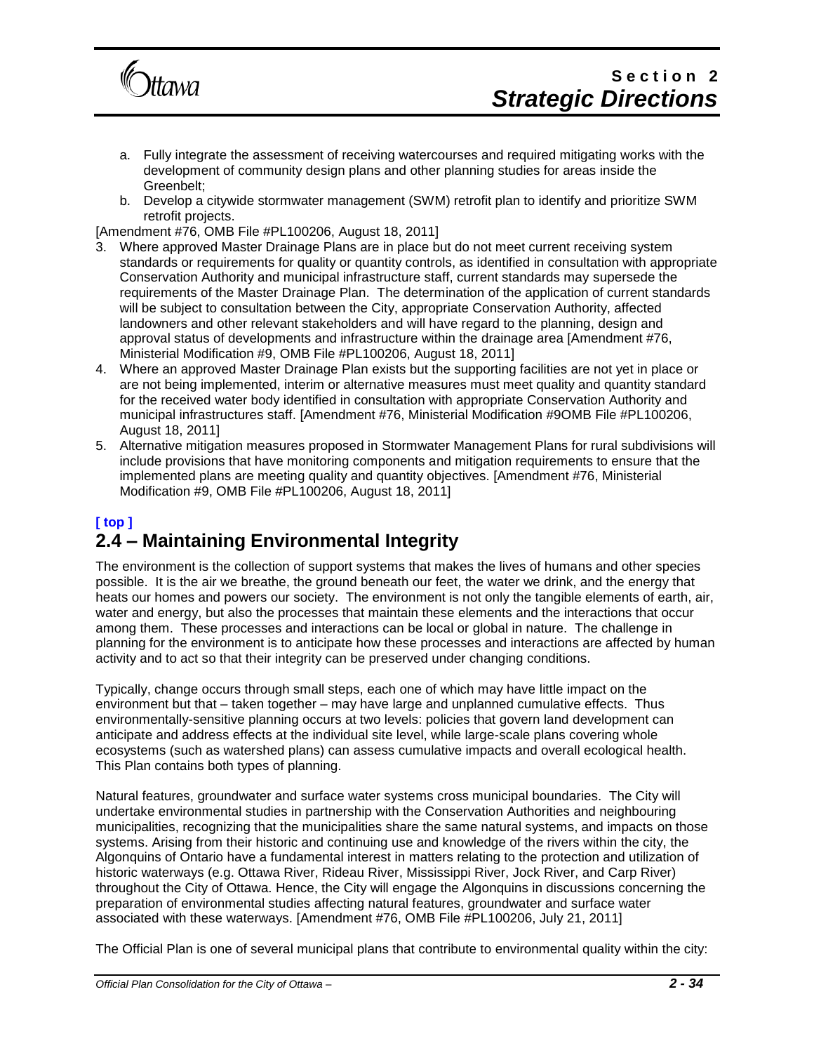

- a. Fully integrate the assessment of receiving watercourses and required mitigating works with the development of community design plans and other planning studies for areas inside the Greenbelt;
- b. Develop a citywide stormwater management (SWM) retrofit plan to identify and prioritize SWM retrofit projects.

- 3. Where approved Master Drainage Plans are in place but do not meet current receiving system standards or requirements for quality or quantity controls, as identified in consultation with appropriate Conservation Authority and municipal infrastructure staff, current standards may supersede the requirements of the Master Drainage Plan. The determination of the application of current standards will be subject to consultation between the City, appropriate Conservation Authority, affected landowners and other relevant stakeholders and will have regard to the planning, design and approval status of developments and infrastructure within the drainage area [Amendment #76, Ministerial Modification #9, OMB File #PL100206, August 18, 2011]
- 4. Where an approved Master Drainage Plan exists but the supporting facilities are not yet in place or are not being implemented, interim or alternative measures must meet quality and quantity standard for the received water body identified in consultation with appropriate Conservation Authority and municipal infrastructures staff. [Amendment #76, Ministerial Modification #9OMB File #PL100206, August 18, 2011]
- 5. Alternative mitigation measures proposed in Stormwater Management Plans for rural subdivisions will include provisions that have monitoring components and mitigation requirements to ensure that the implemented plans are meeting quality and quantity objectives. [Amendment #76, Ministerial Modification #9, OMB File #PL100206, August 18, 2011]

## **[ top ] 2.4 – Maintaining Environmental Integrity**

The environment is the collection of support systems that makes the lives of humans and other species possible. It is the air we breathe, the ground beneath our feet, the water we drink, and the energy that heats our homes and powers our society. The environment is not only the tangible elements of earth, air, water and energy, but also the processes that maintain these elements and the interactions that occur among them. These processes and interactions can be local or global in nature. The challenge in planning for the environment is to anticipate how these processes and interactions are affected by human activity and to act so that their integrity can be preserved under changing conditions.

Typically, change occurs through small steps, each one of which may have little impact on the environment but that – taken together – may have large and unplanned cumulative effects. Thus environmentally-sensitive planning occurs at two levels: policies that govern land development can anticipate and address effects at the individual site level, while large-scale plans covering whole ecosystems (such as watershed plans) can assess cumulative impacts and overall ecological health. This Plan contains both types of planning.

Natural features, groundwater and surface water systems cross municipal boundaries. The City will undertake environmental studies in partnership with the Conservation Authorities and neighbouring municipalities, recognizing that the municipalities share the same natural systems, and impacts on those systems. Arising from their historic and continuing use and knowledge of the rivers within the city, the Algonquins of Ontario have a fundamental interest in matters relating to the protection and utilization of historic waterways (e.g. Ottawa River, Rideau River, Mississippi River, Jock River, and Carp River) throughout the City of Ottawa. Hence, the City will engage the Algonquins in discussions concerning the preparation of environmental studies affecting natural features, groundwater and surface water associated with these waterways. [Amendment #76, OMB File #PL100206, July 21, 2011]

The Official Plan is one of several municipal plans that contribute to environmental quality within the city: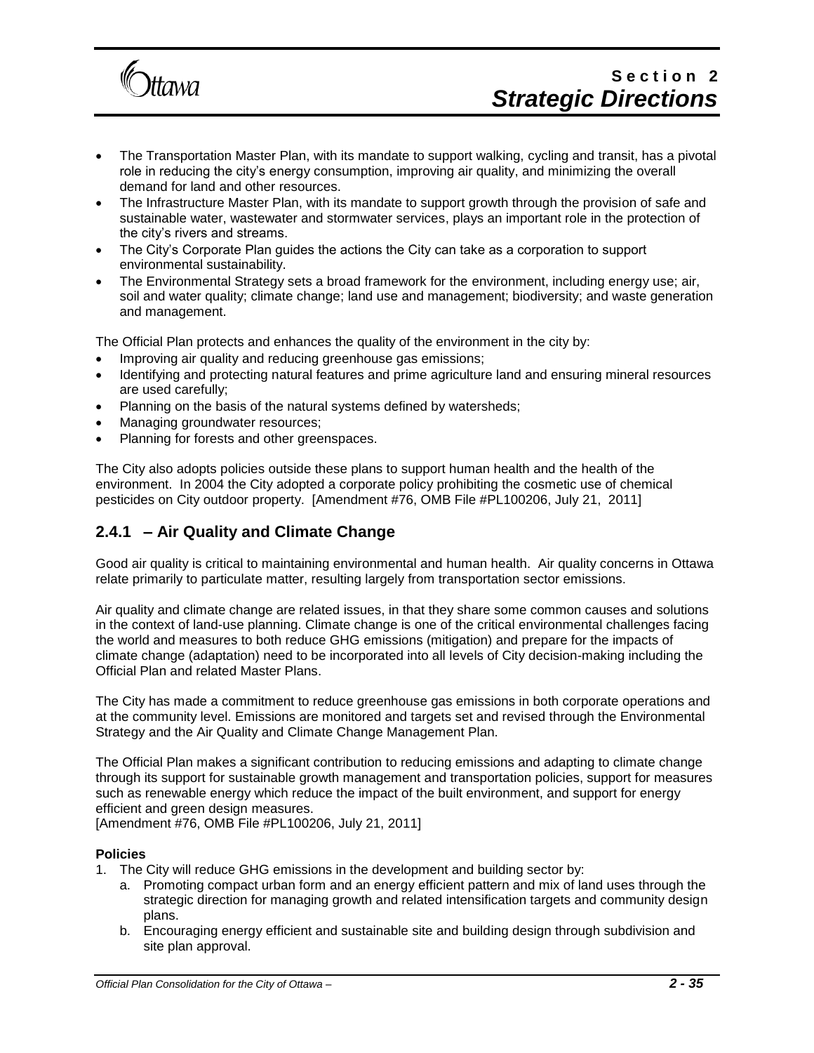

# Section<sub>2</sub> *Strategic Directions*

- The Transportation Master Plan, with its mandate to support walking, cycling and transit, has a pivotal role in reducing the city's energy consumption, improving air quality, and minimizing the overall demand for land and other resources.
- The Infrastructure Master Plan, with its mandate to support growth through the provision of safe and sustainable water, wastewater and stormwater services, plays an important role in the protection of the city's rivers and streams.
- The City's Corporate Plan guides the actions the City can take as a corporation to support environmental sustainability.
- The Environmental Strategy sets a broad framework for the environment, including energy use; air, soil and water quality; climate change; land use and management; biodiversity; and waste generation and management.

The Official Plan protects and enhances the quality of the environment in the city by:

- Improving air quality and reducing greenhouse gas emissions;
- Identifying and protecting natural features and prime agriculture land and ensuring mineral resources are used carefully;
- Planning on the basis of the natural systems defined by watersheds;
- Managing groundwater resources;
- Planning for forests and other greenspaces.

The City also adopts policies outside these plans to support human health and the health of the environment. In 2004 the City adopted a corporate policy prohibiting the cosmetic use of chemical pesticides on City outdoor property. [Amendment #76, OMB File #PL100206, July 21, 2011]

### **2.4.1 – Air Quality and Climate Change**

Good air quality is critical to maintaining environmental and human health. Air quality concerns in Ottawa relate primarily to particulate matter, resulting largely from transportation sector emissions.

Air quality and climate change are related issues, in that they share some common causes and solutions in the context of land-use planning. Climate change is one of the critical environmental challenges facing the world and measures to both reduce GHG emissions (mitigation) and prepare for the impacts of climate change (adaptation) need to be incorporated into all levels of City decision-making including the Official Plan and related Master Plans.

The City has made a commitment to reduce greenhouse gas emissions in both corporate operations and at the community level. Emissions are monitored and targets set and revised through the Environmental Strategy and the Air Quality and Climate Change Management Plan.

The Official Plan makes a significant contribution to reducing emissions and adapting to climate change through its support for sustainable growth management and transportation policies, support for measures such as renewable energy which reduce the impact of the built environment, and support for energy efficient and green design measures.

[Amendment #76, OMB File #PL100206, July 21, 2011]

#### **Policies**

- 1. The City will reduce GHG emissions in the development and building sector by:
	- a. Promoting compact urban form and an energy efficient pattern and mix of land uses through the strategic direction for managing growth and related intensification targets and community design plans.
	- b. Encouraging energy efficient and sustainable site and building design through subdivision and site plan approval.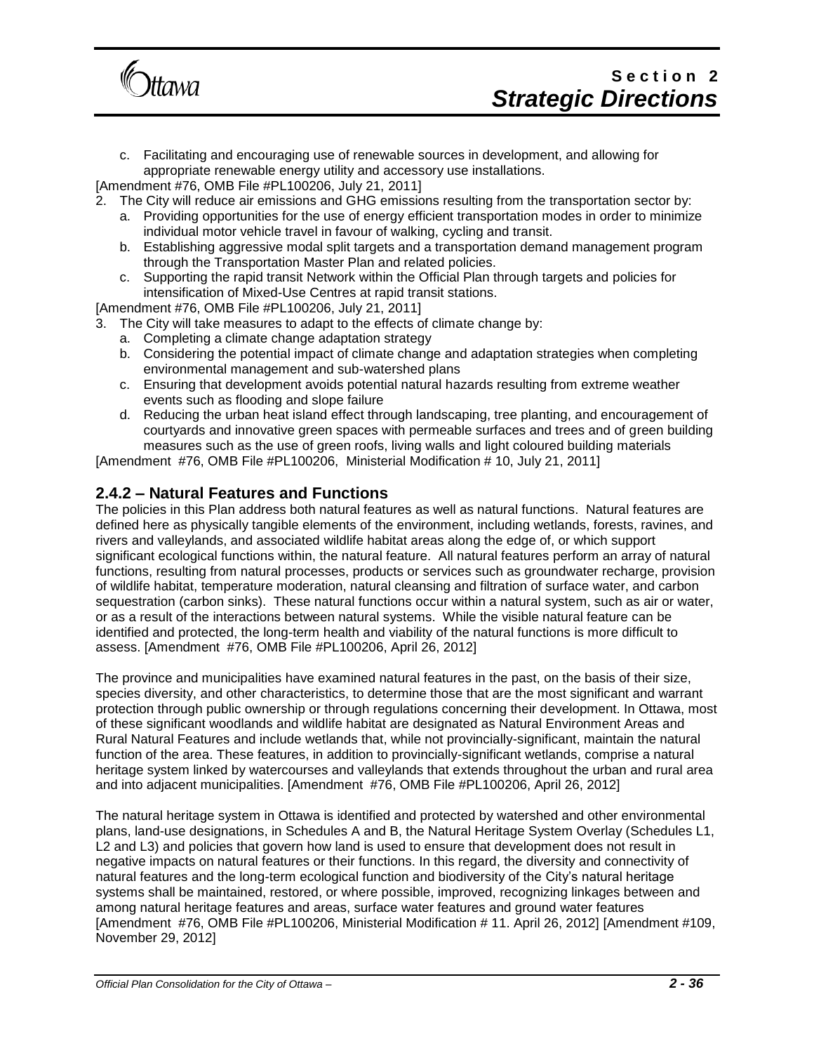

c. Facilitating and encouraging use of renewable sources in development, and allowing for appropriate renewable energy utility and accessory use installations.

[Amendment #76, OMB File #PL100206, July 21, 2011]

- 2. The City will reduce air emissions and GHG emissions resulting from the transportation sector by:
	- a. Providing opportunities for the use of energy efficient transportation modes in order to minimize individual motor vehicle travel in favour of walking, cycling and transit.
	- b. Establishing aggressive modal split targets and a transportation demand management program through the Transportation Master Plan and related policies.
	- c. Supporting the rapid transit Network within the Official Plan through targets and policies for intensification of Mixed-Use Centres at rapid transit stations.

[Amendment #76, OMB File #PL100206, July 21, 2011]

- 3. The City will take measures to adapt to the effects of climate change by:
	- a. Completing a climate change adaptation strategy
	- b. Considering the potential impact of climate change and adaptation strategies when completing environmental management and sub-watershed plans
	- c. Ensuring that development avoids potential natural hazards resulting from extreme weather events such as flooding and slope failure
	- d. Reducing the urban heat island effect through landscaping, tree planting, and encouragement of courtyards and innovative green spaces with permeable surfaces and trees and of green building measures such as the use of green roofs, living walls and light coloured building materials

[Amendment #76, OMB File #PL100206, Ministerial Modification # 10, July 21, 2011]

### **2.4.2 – Natural Features and Functions**

The policies in this Plan address both natural features as well as natural functions. Natural features are defined here as physically tangible elements of the environment, including wetlands, forests, ravines, and rivers and valleylands, and associated wildlife habitat areas along the edge of, or which support significant ecological functions within, the natural feature. All natural features perform an array of natural functions, resulting from natural processes, products or services such as groundwater recharge, provision of wildlife habitat, temperature moderation, natural cleansing and filtration of surface water, and carbon sequestration (carbon sinks). These natural functions occur within a natural system, such as air or water, or as a result of the interactions between natural systems. While the visible natural feature can be identified and protected, the long-term health and viability of the natural functions is more difficult to assess. [Amendment #76, OMB File #PL100206, April 26, 2012]

The province and municipalities have examined natural features in the past, on the basis of their size, species diversity, and other characteristics, to determine those that are the most significant and warrant protection through public ownership or through regulations concerning their development. In Ottawa, most of these significant woodlands and wildlife habitat are designated as Natural Environment Areas and Rural Natural Features and include wetlands that, while not provincially-significant, maintain the natural function of the area. These features, in addition to provincially-significant wetlands, comprise a natural heritage system linked by watercourses and valleylands that extends throughout the urban and rural area and into adjacent municipalities. [Amendment #76, OMB File #PL100206, April 26, 2012]

The natural heritage system in Ottawa is identified and protected by watershed and other environmental plans, land-use designations, in Schedules A and B, the Natural Heritage System Overlay (Schedules L1, L2 and L3) and policies that govern how land is used to ensure that development does not result in negative impacts on natural features or their functions. In this regard, the diversity and connectivity of natural features and the long-term ecological function and biodiversity of the City's natural heritage systems shall be maintained, restored, or where possible, improved, recognizing linkages between and among natural heritage features and areas, surface water features and ground water features [Amendment #76, OMB File #PL100206, Ministerial Modification # 11. April 26, 2012] [Amendment #109, November 29, 2012]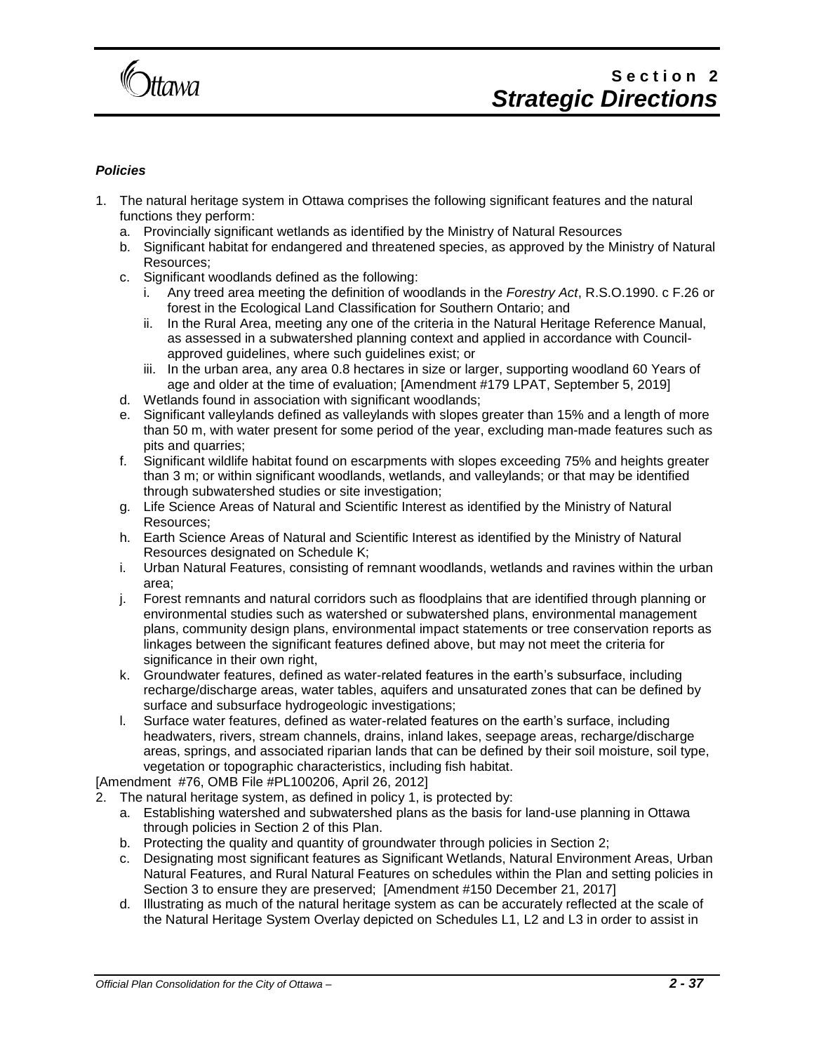

#### *Policies*

- 1. The natural heritage system in Ottawa comprises the following significant features and the natural functions they perform:
	- a. Provincially significant wetlands as identified by the Ministry of Natural Resources
	- b. Significant habitat for endangered and threatened species, as approved by the Ministry of Natural Resources;
	- c. Significant woodlands defined as the following:
		- i. Any treed area meeting the definition of woodlands in the *Forestry Act*, R.S.O.1990. c F.26 or forest in the Ecological Land Classification for Southern Ontario; and
		- ii. In the Rural Area, meeting any one of the criteria in the Natural Heritage Reference Manual, as assessed in a subwatershed planning context and applied in accordance with Councilapproved guidelines, where such guidelines exist; or
		- iii. In the urban area, any area 0.8 hectares in size or larger, supporting woodland 60 Years of age and older at the time of evaluation; [Amendment #179 LPAT, September 5, 2019]
	- d. Wetlands found in association with significant woodlands;
	- e. Significant valleylands defined as valleylands with slopes greater than 15% and a length of more than 50 m, with water present for some period of the year, excluding man-made features such as pits and quarries;
	- f. Significant wildlife habitat found on escarpments with slopes exceeding 75% and heights greater than 3 m; or within significant woodlands, wetlands, and valleylands; or that may be identified through subwatershed studies or site investigation;
	- g. Life Science Areas of Natural and Scientific Interest as identified by the Ministry of Natural Resources;
	- h. Earth Science Areas of Natural and Scientific Interest as identified by the Ministry of Natural Resources designated on Schedule K;
	- i. Urban Natural Features, consisting of remnant woodlands, wetlands and ravines within the urban area;
	- j. Forest remnants and natural corridors such as floodplains that are identified through planning or environmental studies such as watershed or subwatershed plans, environmental management plans, community design plans, environmental impact statements or tree conservation reports as linkages between the significant features defined above, but may not meet the criteria for significance in their own right,
	- k. Groundwater features, defined as water-related features in the earth's subsurface, including recharge/discharge areas, water tables, aquifers and unsaturated zones that can be defined by surface and subsurface hydrogeologic investigations;
	- l. Surface water features, defined as water-related features on the earth's surface, including headwaters, rivers, stream channels, drains, inland lakes, seepage areas, recharge/discharge areas, springs, and associated riparian lands that can be defined by their soil moisture, soil type, vegetation or topographic characteristics, including fish habitat.

[Amendment #76, OMB File #PL100206, April 26, 2012]

- 2. The natural heritage system, as defined in policy 1, is protected by:
	- a. Establishing watershed and subwatershed plans as the basis for land-use planning in Ottawa through policies in Section 2 of this Plan.
	- b. Protecting the quality and quantity of groundwater through policies in Section 2;
	- c. Designating most significant features as Significant Wetlands, Natural Environment Areas, Urban Natural Features, and Rural Natural Features on schedules within the Plan and setting policies in Section 3 to ensure they are preserved; [Amendment #150 December 21, 2017]
	- d. Illustrating as much of the natural heritage system as can be accurately reflected at the scale of the Natural Heritage System Overlay depicted on Schedules L1, L2 and L3 in order to assist in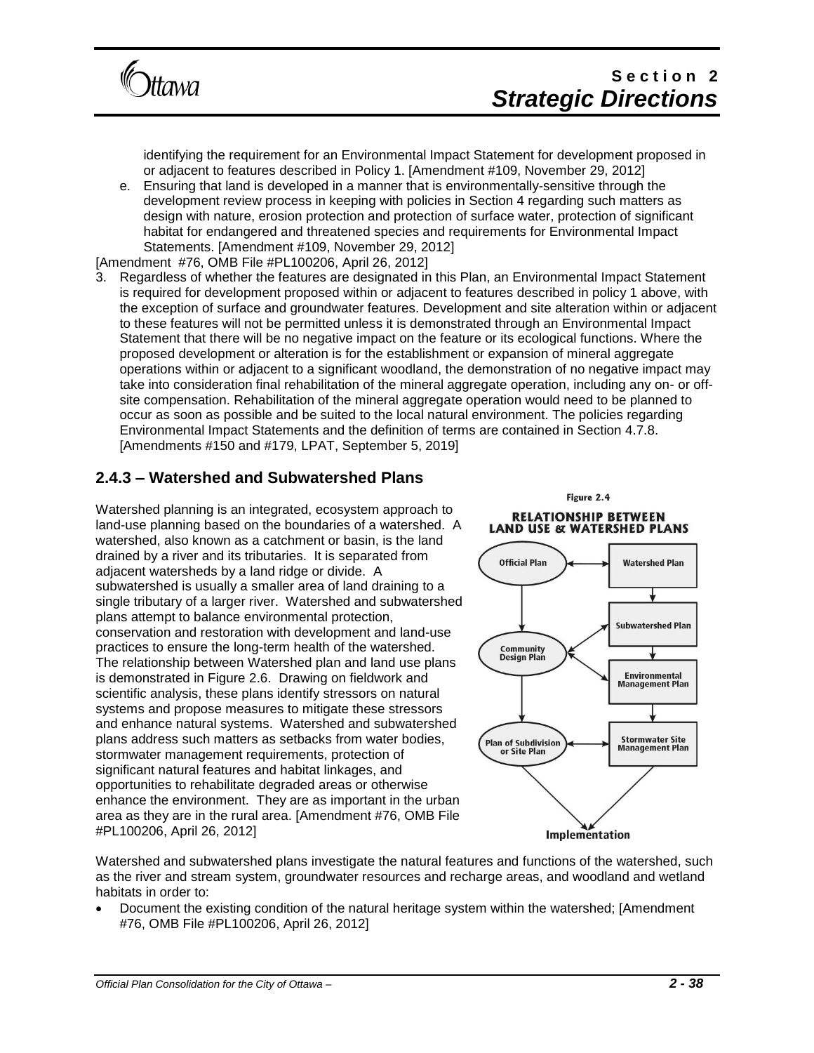

identifying the requirement for an Environmental Impact Statement for development proposed in or adjacent to features described in Policy 1. [Amendment #109, November 29, 2012]

e. Ensuring that land is developed in a manner that is environmentally-sensitive through the development review process in keeping with policies in Section 4 regarding such matters as design with nature, erosion protection and protection of surface water, protection of significant habitat for endangered and threatened species and requirements for Environmental Impact Statements. [Amendment #109, November 29, 2012]

[Amendment #76, OMB File #PL100206, April 26, 2012]

3. Regardless of whether the features are designated in this Plan, an Environmental Impact Statement is required for development proposed within or adjacent to features described in policy 1 above, with the exception of surface and groundwater features. Development and site alteration within or adjacent to these features will not be permitted unless it is demonstrated through an Environmental Impact Statement that there will be no negative impact on the feature or its ecological functions. Where the proposed development or alteration is for the establishment or expansion of mineral aggregate operations within or adjacent to a significant woodland, the demonstration of no negative impact may take into consideration final rehabilitation of the mineral aggregate operation, including any on- or offsite compensation. Rehabilitation of the mineral aggregate operation would need to be planned to occur as soon as possible and be suited to the local natural environment. The policies regarding Environmental Impact Statements and the definition of terms are contained in Section 4.7.8. [Amendments #150 and #179, LPAT, September 5, 2019]

## **2.4.3 – Watershed and Subwatershed Plans**

Watershed planning is an integrated, ecosystem approach to land-use planning based on the boundaries of a watershed. A watershed, also known as a catchment or basin, is the land drained by a river and its tributaries. It is separated from adjacent watersheds by a land ridge or divide. A subwatershed is usually a smaller area of land draining to a single tributary of a larger river. Watershed and subwatershed plans attempt to balance environmental protection, conservation and restoration with development and land-use practices to ensure the long-term health of the watershed. The relationship between Watershed plan and land use plans is demonstrated in Figure 2.6. Drawing on fieldwork and scientific analysis, these plans identify stressors on natural systems and propose measures to mitigate these stressors and enhance natural systems. Watershed and subwatershed plans address such matters as setbacks from water bodies, stormwater management requirements, protection of significant natural features and habitat linkages, and opportunities to rehabilitate degraded areas or otherwise enhance the environment. They are as important in the urban area as they are in the rural area. [Amendment #76, OMB File #PL100206, April 26, 2012]

Figure 2.4 **RELATIONSHIP BETWEEN LAND USE & WATERSHED PLANS** 



Watershed and subwatershed plans investigate the natural features and functions of the watershed, such as the river and stream system, groundwater resources and recharge areas, and woodland and wetland habitats in order to:

• Document the existing condition of the natural heritage system within the watershed; [Amendment #76, OMB File #PL100206, April 26, 2012]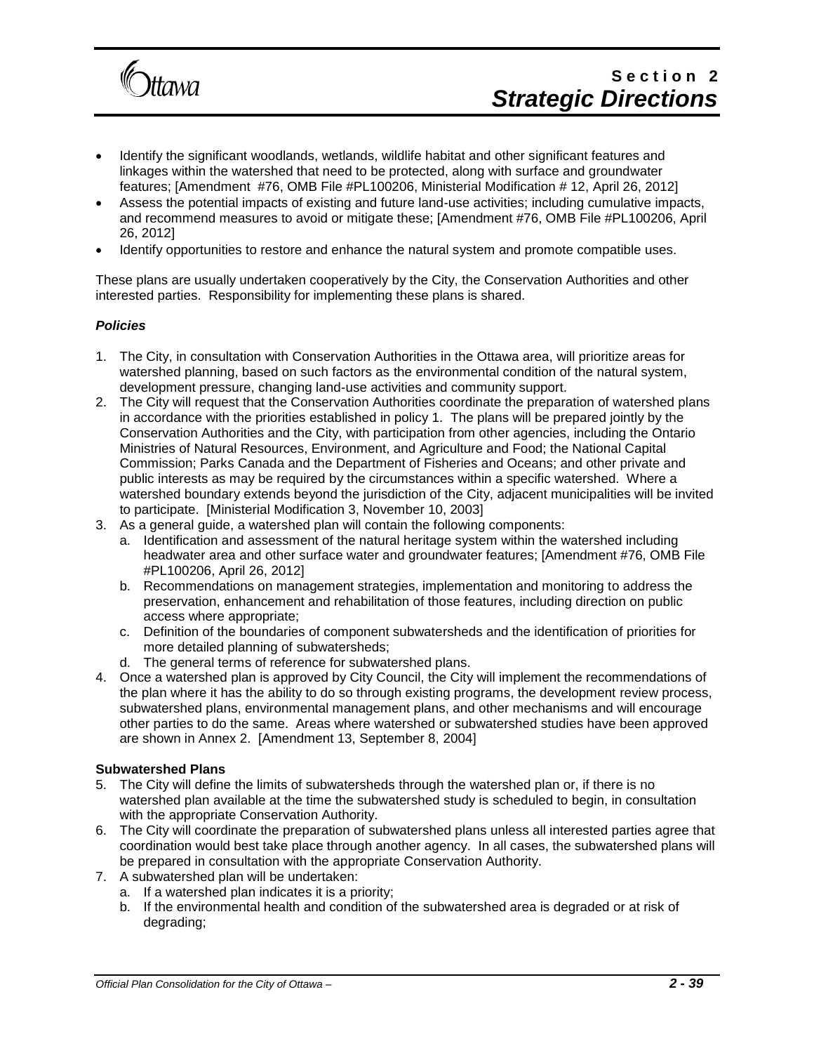

- Identify the significant woodlands, wetlands, wildlife habitat and other significant features and linkages within the watershed that need to be protected, along with surface and groundwater features; [Amendment #76, OMB File #PL100206, Ministerial Modification # 12, April 26, 2012]
- Assess the potential impacts of existing and future land-use activities; including cumulative impacts, and recommend measures to avoid or mitigate these; [Amendment #76, OMB File #PL100206, April 26, 2012]
- Identify opportunities to restore and enhance the natural system and promote compatible uses.

These plans are usually undertaken cooperatively by the City, the Conservation Authorities and other interested parties. Responsibility for implementing these plans is shared.

#### *Policies*

- 1. The City, in consultation with Conservation Authorities in the Ottawa area, will prioritize areas for watershed planning, based on such factors as the environmental condition of the natural system, development pressure, changing land-use activities and community support.
- 2. The City will request that the Conservation Authorities coordinate the preparation of watershed plans in accordance with the priorities established in policy 1. The plans will be prepared jointly by the Conservation Authorities and the City, with participation from other agencies, including the Ontario Ministries of Natural Resources, Environment, and Agriculture and Food; the National Capital Commission; Parks Canada and the Department of Fisheries and Oceans; and other private and public interests as may be required by the circumstances within a specific watershed. Where a watershed boundary extends beyond the jurisdiction of the City, adjacent municipalities will be invited to participate. [Ministerial Modification 3, November 10, 2003]
- 3. As a general guide, a watershed plan will contain the following components:
	- a. Identification and assessment of the natural heritage system within the watershed including headwater area and other surface water and groundwater features; [Amendment #76, OMB File #PL100206, April 26, 2012]
	- b. Recommendations on management strategies, implementation and monitoring to address the preservation, enhancement and rehabilitation of those features, including direction on public access where appropriate;
	- c. Definition of the boundaries of component subwatersheds and the identification of priorities for more detailed planning of subwatersheds;
	- d. The general terms of reference for subwatershed plans.
- 4. Once a watershed plan is approved by City Council, the City will implement the recommendations of the plan where it has the ability to do so through existing programs, the development review process, subwatershed plans, environmental management plans, and other mechanisms and will encourage other parties to do the same. Areas where watershed or subwatershed studies have been approved are shown in Annex 2. [Amendment 13, September 8, 2004]

#### **Subwatershed Plans**

- 5. The City will define the limits of subwatersheds through the watershed plan or, if there is no watershed plan available at the time the subwatershed study is scheduled to begin, in consultation with the appropriate Conservation Authority.
- 6. The City will coordinate the preparation of subwatershed plans unless all interested parties agree that coordination would best take place through another agency. In all cases, the subwatershed plans will be prepared in consultation with the appropriate Conservation Authority.
- 7. A subwatershed plan will be undertaken:
	- a. If a watershed plan indicates it is a priority;
	- b. If the environmental health and condition of the subwatershed area is degraded or at risk of degrading;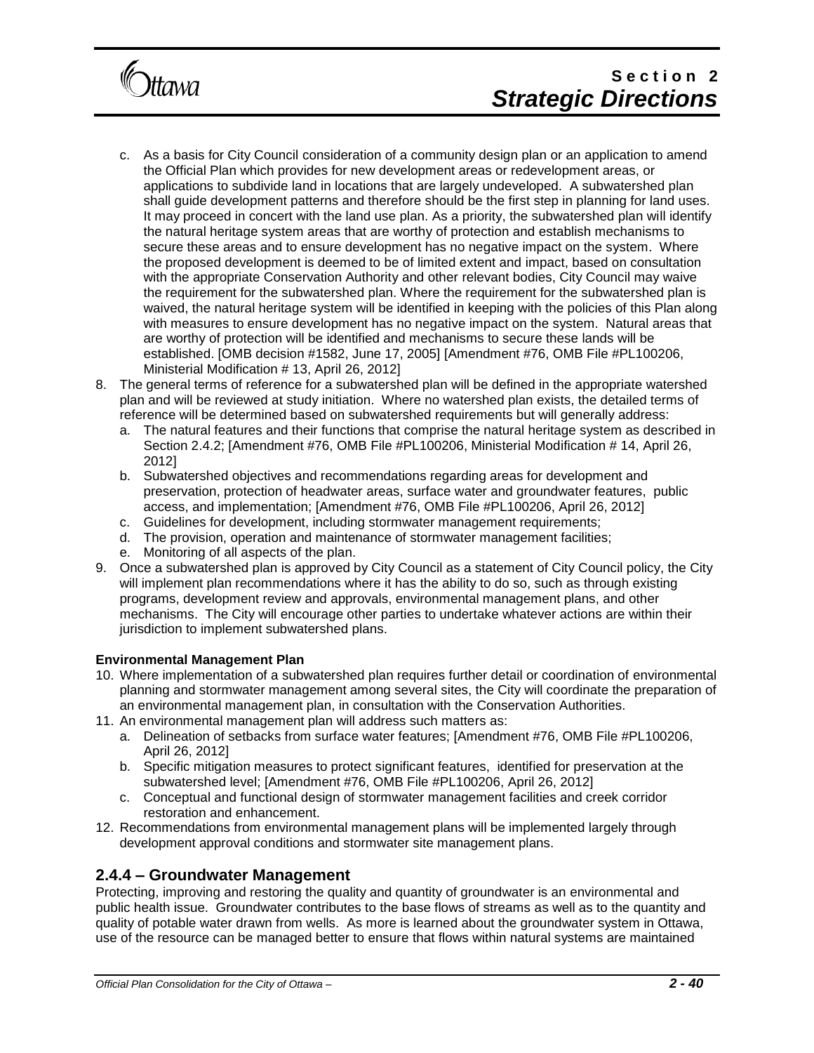

- c. As a basis for City Council consideration of a community design plan or an application to amend the Official Plan which provides for new development areas or redevelopment areas, or applications to subdivide land in locations that are largely undeveloped. A subwatershed plan shall guide development patterns and therefore should be the first step in planning for land uses. It may proceed in concert with the land use plan. As a priority, the subwatershed plan will identify the natural heritage system areas that are worthy of protection and establish mechanisms to secure these areas and to ensure development has no negative impact on the system. Where the proposed development is deemed to be of limited extent and impact, based on consultation with the appropriate Conservation Authority and other relevant bodies, City Council may waive the requirement for the subwatershed plan. Where the requirement for the subwatershed plan is waived, the natural heritage system will be identified in keeping with the policies of this Plan along with measures to ensure development has no negative impact on the system. Natural areas that are worthy of protection will be identified and mechanisms to secure these lands will be established. [OMB decision #1582, June 17, 2005] [Amendment #76, OMB File #PL100206, Ministerial Modification # 13, April 26, 2012]
- 8. The general terms of reference for a subwatershed plan will be defined in the appropriate watershed plan and will be reviewed at study initiation. Where no watershed plan exists, the detailed terms of reference will be determined based on subwatershed requirements but will generally address:
	- a. The natural features and their functions that comprise the natural heritage system as described in Section 2.4.2; [Amendment #76, OMB File #PL100206, Ministerial Modification # 14, April 26, 2012]
	- b. Subwatershed objectives and recommendations regarding areas for development and preservation, protection of headwater areas, surface water and groundwater features, public access, and implementation; [Amendment #76, OMB File #PL100206, April 26, 2012]
	- c. Guidelines for development, including stormwater management requirements;
	- d. The provision, operation and maintenance of stormwater management facilities;
	- e. Monitoring of all aspects of the plan.
- 9. Once a subwatershed plan is approved by City Council as a statement of City Council policy, the City will implement plan recommendations where it has the ability to do so, such as through existing programs, development review and approvals, environmental management plans, and other mechanisms. The City will encourage other parties to undertake whatever actions are within their jurisdiction to implement subwatershed plans.

#### **Environmental Management Plan**

- 10. Where implementation of a subwatershed plan requires further detail or coordination of environmental planning and stormwater management among several sites, the City will coordinate the preparation of an environmental management plan, in consultation with the Conservation Authorities.
- 11. An environmental management plan will address such matters as:
	- a. Delineation of setbacks from surface water features; [Amendment #76, OMB File #PL100206, April 26, 2012]
	- b. Specific mitigation measures to protect significant features, identified for preservation at the subwatershed level; [Amendment #76, OMB File #PL100206, April 26, 2012]
	- c. Conceptual and functional design of stormwater management facilities and creek corridor restoration and enhancement.
- 12. Recommendations from environmental management plans will be implemented largely through development approval conditions and stormwater site management plans.

### **2.4.4 – Groundwater Management**

Protecting, improving and restoring the quality and quantity of groundwater is an environmental and public health issue. Groundwater contributes to the base flows of streams as well as to the quantity and quality of potable water drawn from wells. As more is learned about the groundwater system in Ottawa, use of the resource can be managed better to ensure that flows within natural systems are maintained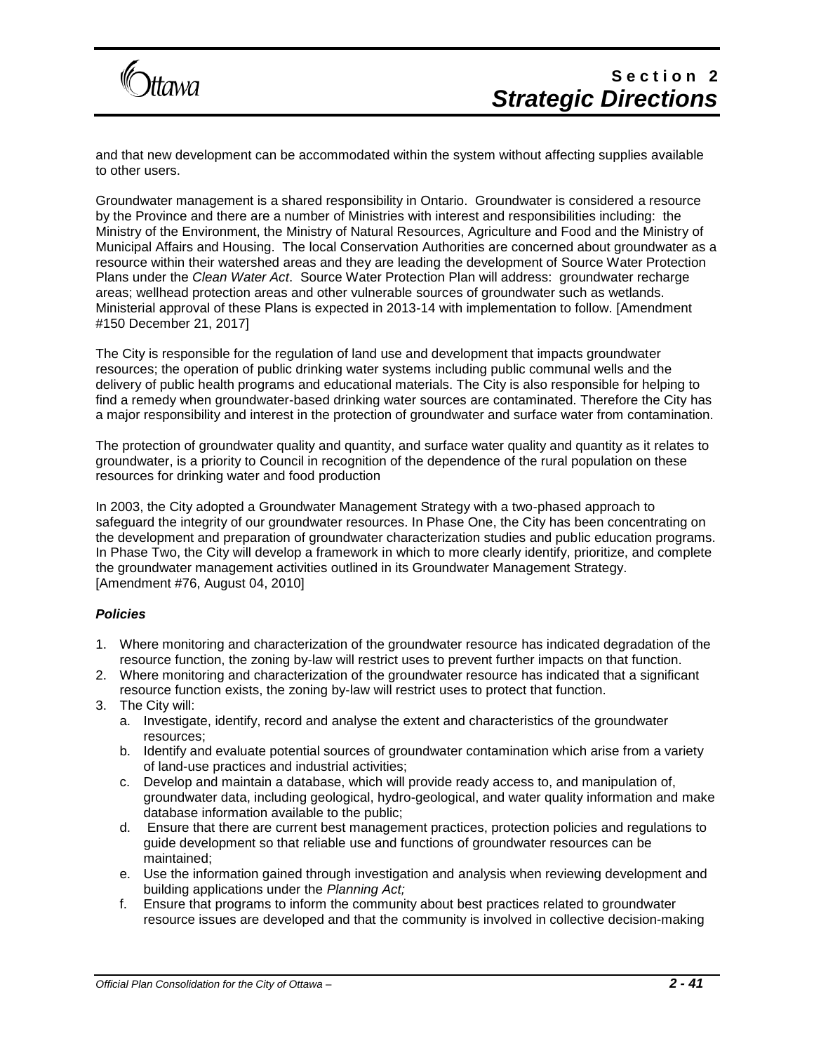

and that new development can be accommodated within the system without affecting supplies available to other users.

Groundwater management is a shared responsibility in Ontario. Groundwater is considered a resource by the Province and there are a number of Ministries with interest and responsibilities including: the Ministry of the Environment, the Ministry of Natural Resources, Agriculture and Food and the Ministry of Municipal Affairs and Housing. The local Conservation Authorities are concerned about groundwater as a resource within their watershed areas and they are leading the development of Source Water Protection Plans under the *Clean Water Act*. Source Water Protection Plan will address: groundwater recharge areas; wellhead protection areas and other vulnerable sources of groundwater such as wetlands. Ministerial approval of these Plans is expected in 2013-14 with implementation to follow. [Amendment #150 December 21, 2017]

The City is responsible for the regulation of land use and development that impacts groundwater resources; the operation of public drinking water systems including public communal wells and the delivery of public health programs and educational materials. The City is also responsible for helping to find a remedy when groundwater-based drinking water sources are contaminated. Therefore the City has a major responsibility and interest in the protection of groundwater and surface water from contamination.

The protection of groundwater quality and quantity, and surface water quality and quantity as it relates to groundwater, is a priority to Council in recognition of the dependence of the rural population on these resources for drinking water and food production

In 2003, the City adopted a Groundwater Management Strategy with a two-phased approach to safeguard the integrity of our groundwater resources. In Phase One, the City has been concentrating on the development and preparation of groundwater characterization studies and public education programs. In Phase Two, the City will develop a framework in which to more clearly identify, prioritize, and complete the groundwater management activities outlined in its Groundwater Management Strategy. [Amendment #76, August 04, 2010]

#### *Policies*

- 1. Where monitoring and characterization of the groundwater resource has indicated degradation of the resource function, the zoning by-law will restrict uses to prevent further impacts on that function.
- 2. Where monitoring and characterization of the groundwater resource has indicated that a significant resource function exists, the zoning by-law will restrict uses to protect that function.
- 3. The City will:
	- a. Investigate, identify, record and analyse the extent and characteristics of the groundwater resources;
	- b. Identify and evaluate potential sources of groundwater contamination which arise from a variety of land-use practices and industrial activities;
	- c. Develop and maintain a database, which will provide ready access to, and manipulation of, groundwater data, including geological, hydro-geological, and water quality information and make database information available to the public;
	- d. Ensure that there are current best management practices, protection policies and regulations to guide development so that reliable use and functions of groundwater resources can be maintained;
	- e. Use the information gained through investigation and analysis when reviewing development and building applications under the *Planning Act;*
	- f. Ensure that programs to inform the community about best practices related to groundwater resource issues are developed and that the community is involved in collective decision-making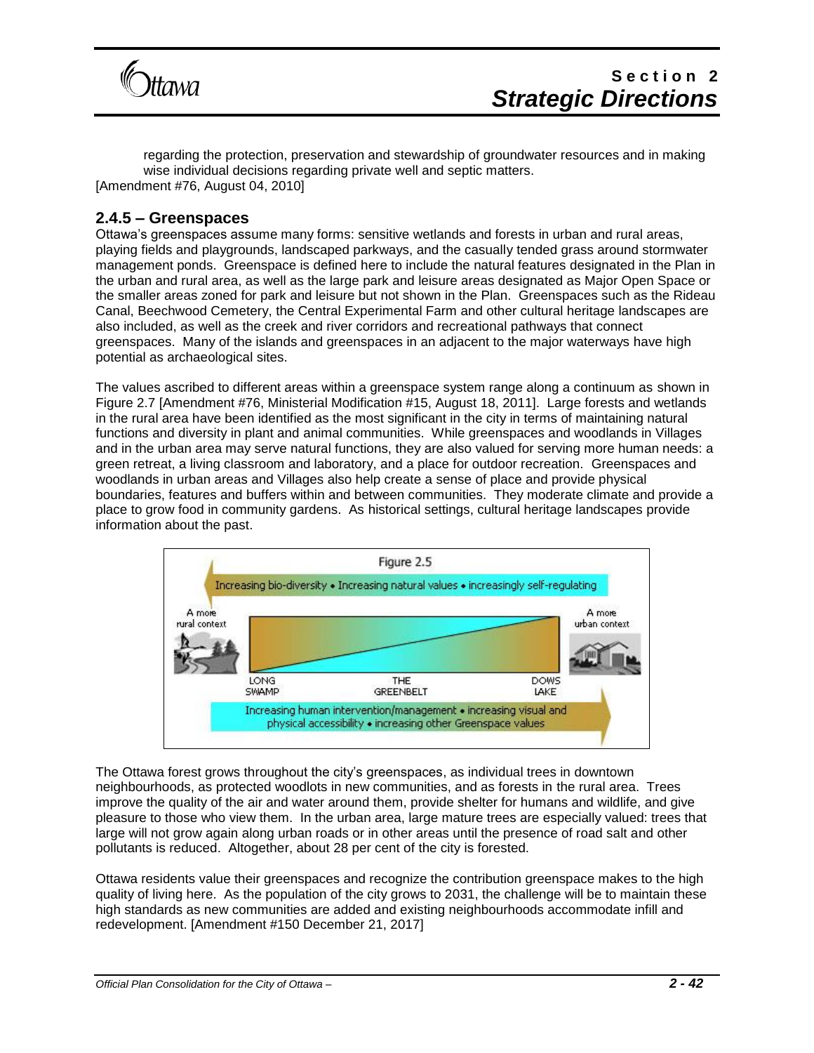

regarding the protection, preservation and stewardship of groundwater resources and in making wise individual decisions regarding private well and septic matters. [Amendment #76, August 04, 2010]

### **2.4.5 – Greenspaces**

Ottawa's greenspaces assume many forms: sensitive wetlands and forests in urban and rural areas, playing fields and playgrounds, landscaped parkways, and the casually tended grass around stormwater management ponds. Greenspace is defined here to include the natural features designated in the Plan in the urban and rural area, as well as the large park and leisure areas designated as Major Open Space or the smaller areas zoned for park and leisure but not shown in the Plan. Greenspaces such as the Rideau Canal, Beechwood Cemetery, the Central Experimental Farm and other cultural heritage landscapes are also included, as well as the creek and river corridors and recreational pathways that connect greenspaces. Many of the islands and greenspaces in an adjacent to the major waterways have high potential as archaeological sites.

The values ascribed to different areas within a greenspace system range along a continuum as shown in Figure 2.7 [Amendment #76, Ministerial Modification #15, August 18, 2011]. Large forests and wetlands in the rural area have been identified as the most significant in the city in terms of maintaining natural functions and diversity in plant and animal communities. While greenspaces and woodlands in Villages and in the urban area may serve natural functions, they are also valued for serving more human needs: a green retreat, a living classroom and laboratory, and a place for outdoor recreation. Greenspaces and woodlands in urban areas and Villages also help create a sense of place and provide physical boundaries, features and buffers within and between communities. They moderate climate and provide a place to grow food in community gardens. As historical settings, cultural heritage landscapes provide information about the past.



The Ottawa forest grows throughout the city's greenspaces, as individual trees in downtown neighbourhoods, as protected woodlots in new communities, and as forests in the rural area. Trees improve the quality of the air and water around them, provide shelter for humans and wildlife, and give pleasure to those who view them. In the urban area, large mature trees are especially valued: trees that large will not grow again along urban roads or in other areas until the presence of road salt and other pollutants is reduced. Altogether, about 28 per cent of the city is forested.

Ottawa residents value their greenspaces and recognize the contribution greenspace makes to the high quality of living here. As the population of the city grows to 2031, the challenge will be to maintain these high standards as new communities are added and existing neighbourhoods accommodate infill and redevelopment. [Amendment #150 December 21, 2017]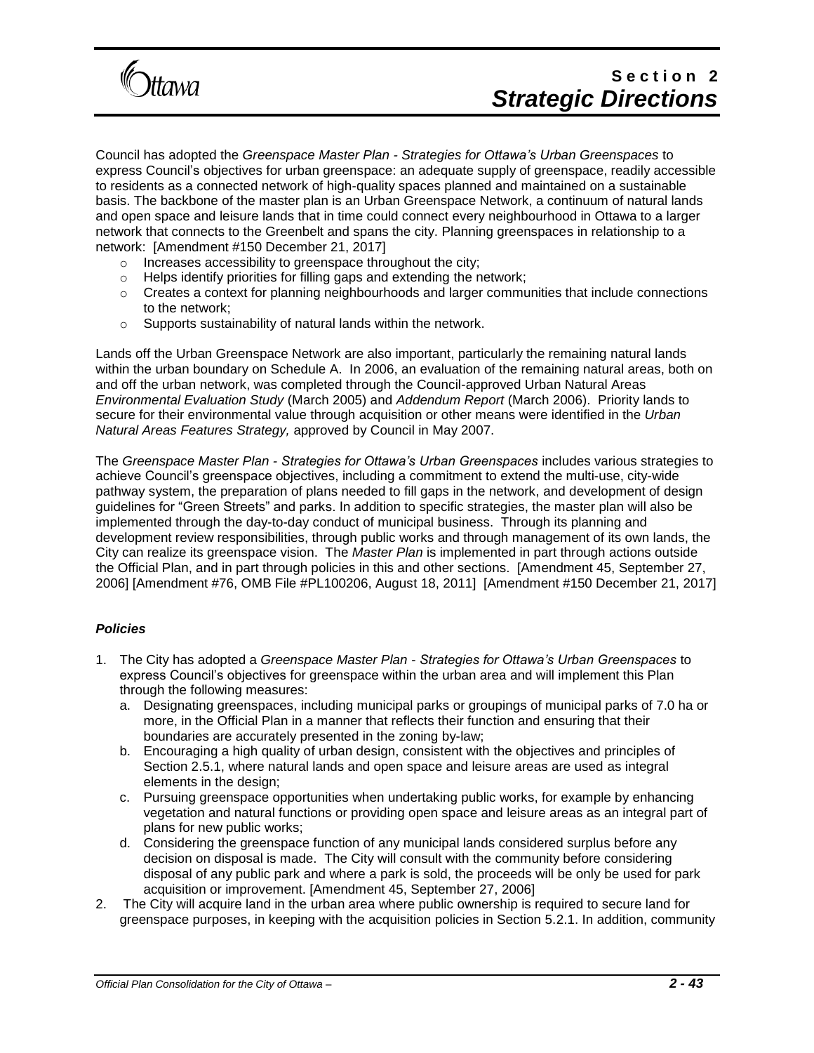

# Section<sub>2</sub> *Strategic Directions*

Council has adopted the *Greenspace Master Plan - Strategies for Ottawa's Urban Greenspaces* to express Council's objectives for urban greenspace: an adequate supply of greenspace, readily accessible to residents as a connected network of high-quality spaces planned and maintained on a sustainable basis. The backbone of the master plan is an Urban Greenspace Network, a continuum of natural lands and open space and leisure lands that in time could connect every neighbourhood in Ottawa to a larger network that connects to the Greenbelt and spans the city. Planning greenspaces in relationship to a network: [Amendment #150 December 21, 2017]

- o Increases accessibility to greenspace throughout the city;
- o Helps identify priorities for filling gaps and extending the network;
- $\circ$  Creates a context for planning neighbourhoods and larger communities that include connections to the network;
- o Supports sustainability of natural lands within the network.

Lands off the Urban Greenspace Network are also important, particularly the remaining natural lands within the urban boundary on Schedule A. In 2006, an evaluation of the remaining natural areas, both on and off the urban network, was completed through the Council-approved Urban Natural Areas *Environmental Evaluation Study* (March 2005) and *Addendum Report* (March 2006). Priority lands to secure for their environmental value through acquisition or other means were identified in the *Urban Natural Areas Features Strategy,* approved by Council in May 2007.

The *Greenspace Master Plan - Strategies for Ottawa's Urban Greenspaces* includes various strategies to achieve Council's greenspace objectives, including a commitment to extend the multi-use, city-wide pathway system, the preparation of plans needed to fill gaps in the network, and development of design guidelines for "Green Streets" and parks. In addition to specific strategies, the master plan will also be implemented through the day-to-day conduct of municipal business. Through its planning and development review responsibilities, through public works and through management of its own lands, the City can realize its greenspace vision. The *Master Plan* is implemented in part through actions outside the Official Plan, and in part through policies in this and other sections. [Amendment 45, September 27, 2006] [Amendment #76, OMB File #PL100206, August 18, 2011] [Amendment #150 December 21, 2017]

#### *Policies*

- 1. The City has adopted a *Greenspace Master Plan - Strategies for Ottawa's Urban Greenspaces* to express Council's objectives for greenspace within the urban area and will implement this Plan through the following measures:
	- a. Designating greenspaces, including municipal parks or groupings of municipal parks of 7.0 ha or more, in the Official Plan in a manner that reflects their function and ensuring that their boundaries are accurately presented in the zoning by-law;
	- b. Encouraging a high quality of urban design, consistent with the objectives and principles of Section 2.5.1, where natural lands and open space and leisure areas are used as integral elements in the design;
	- c. Pursuing greenspace opportunities when undertaking public works, for example by enhancing vegetation and natural functions or providing open space and leisure areas as an integral part of plans for new public works;
	- d. Considering the greenspace function of any municipal lands considered surplus before any decision on disposal is made. The City will consult with the community before considering disposal of any public park and where a park is sold, the proceeds will be only be used for park acquisition or improvement. [Amendment 45, September 27, 2006]
- 2. The City will acquire land in the urban area where public ownership is required to secure land for greenspace purposes, in keeping with the acquisition policies in Section 5.2.1. In addition, community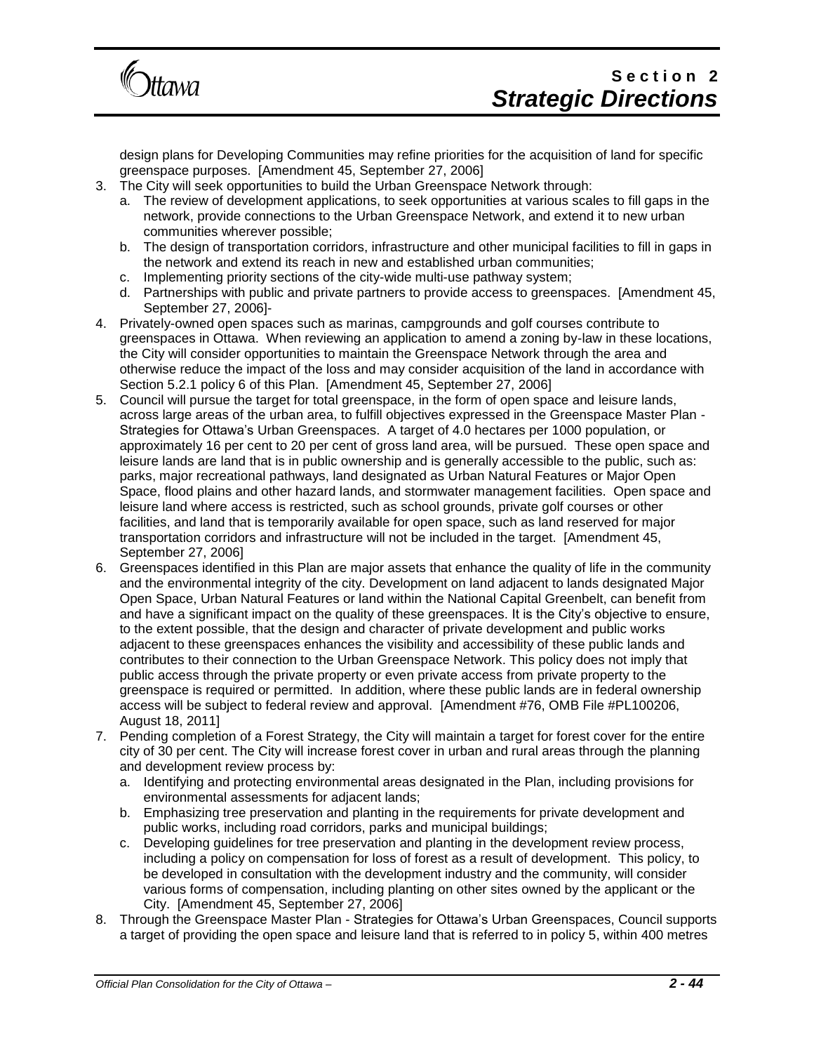

design plans for Developing Communities may refine priorities for the acquisition of land for specific greenspace purposes. [Amendment 45, September 27, 2006]

- 3. The City will seek opportunities to build the Urban Greenspace Network through:
	- a. The review of development applications, to seek opportunities at various scales to fill gaps in the network, provide connections to the Urban Greenspace Network, and extend it to new urban communities wherever possible;
	- b. The design of transportation corridors, infrastructure and other municipal facilities to fill in gaps in the network and extend its reach in new and established urban communities;
	- c. Implementing priority sections of the city-wide multi-use pathway system;
	- d. Partnerships with public and private partners to provide access to greenspaces. [Amendment 45, September 27, 2006]-
- 4. Privately-owned open spaces such as marinas, campgrounds and golf courses contribute to greenspaces in Ottawa. When reviewing an application to amend a zoning by-law in these locations, the City will consider opportunities to maintain the Greenspace Network through the area and otherwise reduce the impact of the loss and may consider acquisition of the land in accordance with Section 5.2.1 policy 6 of this Plan. [Amendment 45, September 27, 2006]
- 5. Council will pursue the target for total greenspace, in the form of open space and leisure lands, across large areas of the urban area, to fulfill objectives expressed in the Greenspace Master Plan - Strategies for Ottawa's Urban Greenspaces. A target of 4.0 hectares per 1000 population, or approximately 16 per cent to 20 per cent of gross land area, will be pursued. These open space and leisure lands are land that is in public ownership and is generally accessible to the public, such as: parks, major recreational pathways, land designated as Urban Natural Features or Major Open Space, flood plains and other hazard lands, and stormwater management facilities. Open space and leisure land where access is restricted, such as school grounds, private golf courses or other facilities, and land that is temporarily available for open space, such as land reserved for major transportation corridors and infrastructure will not be included in the target. [Amendment 45, September 27, 2006]
- 6. Greenspaces identified in this Plan are major assets that enhance the quality of life in the community and the environmental integrity of the city. Development on land adjacent to lands designated Major Open Space, Urban Natural Features or land within the National Capital Greenbelt, can benefit from and have a significant impact on the quality of these greenspaces. It is the City's objective to ensure, to the extent possible, that the design and character of private development and public works adjacent to these greenspaces enhances the visibility and accessibility of these public lands and contributes to their connection to the Urban Greenspace Network. This policy does not imply that public access through the private property or even private access from private property to the greenspace is required or permitted. In addition, where these public lands are in federal ownership access will be subject to federal review and approval. [Amendment #76, OMB File #PL100206, August 18, 2011]
- 7. Pending completion of a Forest Strategy, the City will maintain a target for forest cover for the entire city of 30 per cent. The City will increase forest cover in urban and rural areas through the planning and development review process by:
	- a. Identifying and protecting environmental areas designated in the Plan, including provisions for environmental assessments for adjacent lands;
	- b. Emphasizing tree preservation and planting in the requirements for private development and public works, including road corridors, parks and municipal buildings;
	- c. Developing guidelines for tree preservation and planting in the development review process, including a policy on compensation for loss of forest as a result of development. This policy, to be developed in consultation with the development industry and the community, will consider various forms of compensation, including planting on other sites owned by the applicant or the City. [Amendment 45, September 27, 2006]
- 8. Through the Greenspace Master Plan Strategies for Ottawa's Urban Greenspaces, Council supports a target of providing the open space and leisure land that is referred to in policy 5, within 400 metres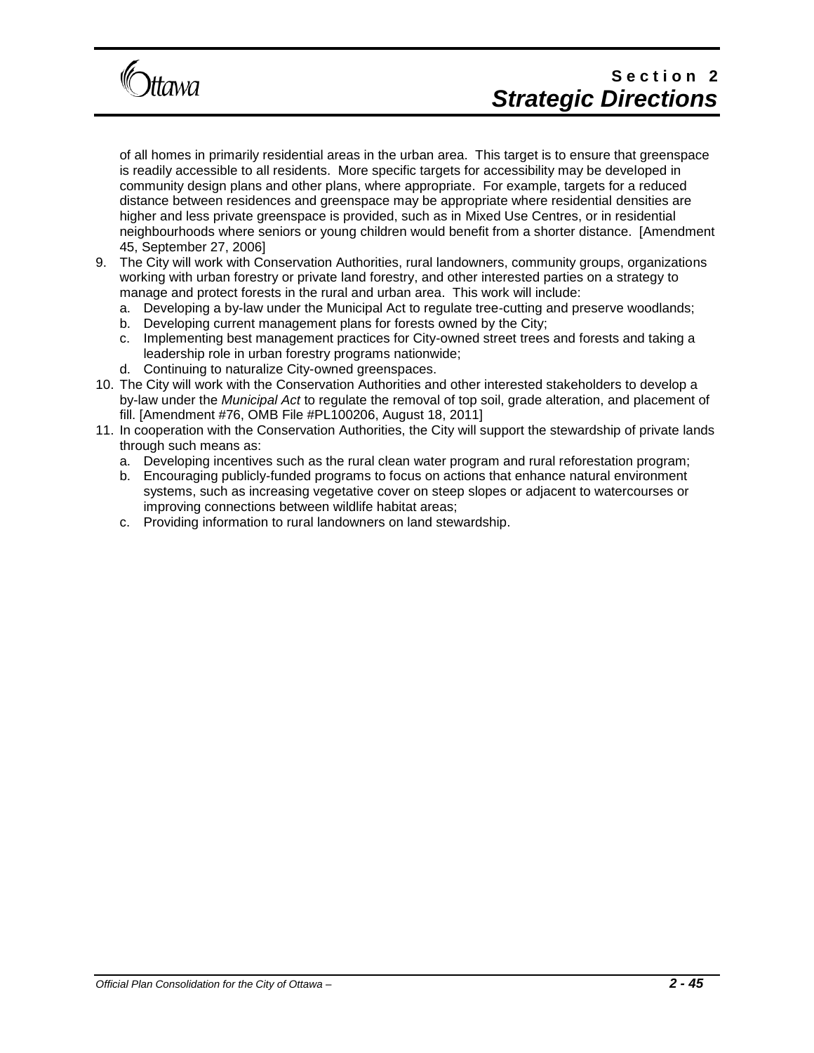

# Section<sub>2</sub> *Strategic Directions*

of all homes in primarily residential areas in the urban area. This target is to ensure that greenspace is readily accessible to all residents. More specific targets for accessibility may be developed in community design plans and other plans, where appropriate. For example, targets for a reduced distance between residences and greenspace may be appropriate where residential densities are higher and less private greenspace is provided, such as in Mixed Use Centres, or in residential neighbourhoods where seniors or young children would benefit from a shorter distance. [Amendment 45, September 27, 2006]

- 9. The City will work with Conservation Authorities, rural landowners, community groups, organizations working with urban forestry or private land forestry, and other interested parties on a strategy to manage and protect forests in the rural and urban area. This work will include:
	- a. Developing a by-law under the Municipal Act to regulate tree-cutting and preserve woodlands;
	- b. Developing current management plans for forests owned by the City;
	- c. Implementing best management practices for City-owned street trees and forests and taking a leadership role in urban forestry programs nationwide;
	- d. Continuing to naturalize City-owned greenspaces.
- 10. The City will work with the Conservation Authorities and other interested stakeholders to develop a by-law under the *Municipal Act* to regulate the removal of top soil, grade alteration, and placement of fill. [Amendment #76, OMB File #PL100206, August 18, 2011]
- 11. In cooperation with the Conservation Authorities, the City will support the stewardship of private lands through such means as:
	- a. Developing incentives such as the rural clean water program and rural reforestation program;
	- b. Encouraging publicly-funded programs to focus on actions that enhance natural environment systems, such as increasing vegetative cover on steep slopes or adjacent to watercourses or improving connections between wildlife habitat areas;
	- c. Providing information to rural landowners on land stewardship.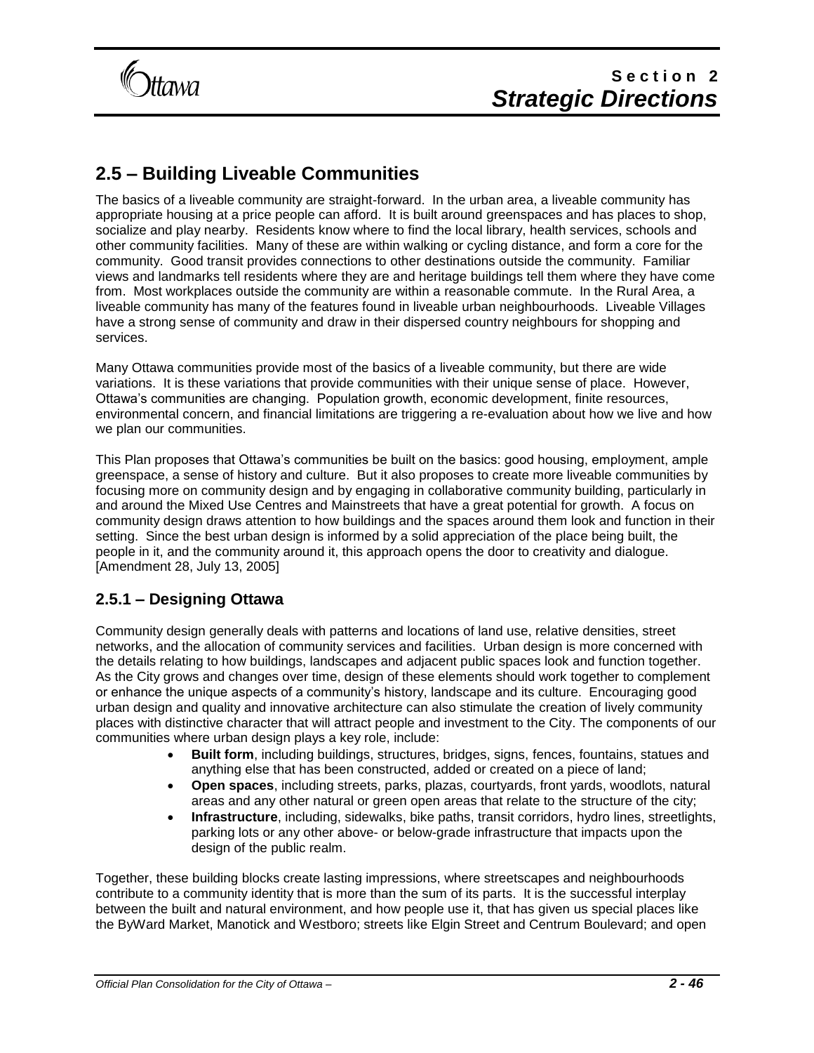

## **2.5 – Building Liveable Communities**

The basics of a liveable community are straight-forward. In the urban area, a liveable community has appropriate housing at a price people can afford. It is built around greenspaces and has places to shop, socialize and play nearby. Residents know where to find the local library, health services, schools and other community facilities. Many of these are within walking or cycling distance, and form a core for the community. Good transit provides connections to other destinations outside the community. Familiar views and landmarks tell residents where they are and heritage buildings tell them where they have come from. Most workplaces outside the community are within a reasonable commute. In the Rural Area, a liveable community has many of the features found in liveable urban neighbourhoods. Liveable Villages have a strong sense of community and draw in their dispersed country neighbours for shopping and services.

Many Ottawa communities provide most of the basics of a liveable community, but there are wide variations. It is these variations that provide communities with their unique sense of place. However, Ottawa's communities are changing. Population growth, economic development, finite resources, environmental concern, and financial limitations are triggering a re-evaluation about how we live and how we plan our communities.

This Plan proposes that Ottawa's communities be built on the basics: good housing, employment, ample greenspace, a sense of history and culture. But it also proposes to create more liveable communities by focusing more on community design and by engaging in collaborative community building, particularly in and around the Mixed Use Centres and Mainstreets that have a great potential for growth. A focus on community design draws attention to how buildings and the spaces around them look and function in their setting. Since the best urban design is informed by a solid appreciation of the place being built, the people in it, and the community around it, this approach opens the door to creativity and dialogue. [Amendment 28, July 13, 2005]

### **2.5.1 – Designing Ottawa**

Community design generally deals with patterns and locations of land use, relative densities, street networks, and the allocation of community services and facilities. Urban design is more concerned with the details relating to how buildings, landscapes and adjacent public spaces look and function together. As the City grows and changes over time, design of these elements should work together to complement or enhance the unique aspects of a community's history, landscape and its culture. Encouraging good urban design and quality and innovative architecture can also stimulate the creation of lively community places with distinctive character that will attract people and investment to the City. The components of our communities where urban design plays a key role, include:

- **Built form**, including buildings, structures, bridges, signs, fences, fountains, statues and anything else that has been constructed, added or created on a piece of land;
- **Open spaces**, including streets, parks, plazas, courtyards, front yards, woodlots, natural areas and any other natural or green open areas that relate to the structure of the city;
- **Infrastructure**, including, sidewalks, bike paths, transit corridors, hydro lines, streetlights, parking lots or any other above- or below-grade infrastructure that impacts upon the design of the public realm.

Together, these building blocks create lasting impressions, where streetscapes and neighbourhoods contribute to a community identity that is more than the sum of its parts. It is the successful interplay between the built and natural environment, and how people use it, that has given us special places like the ByWard Market, Manotick and Westboro; streets like Elgin Street and Centrum Boulevard; and open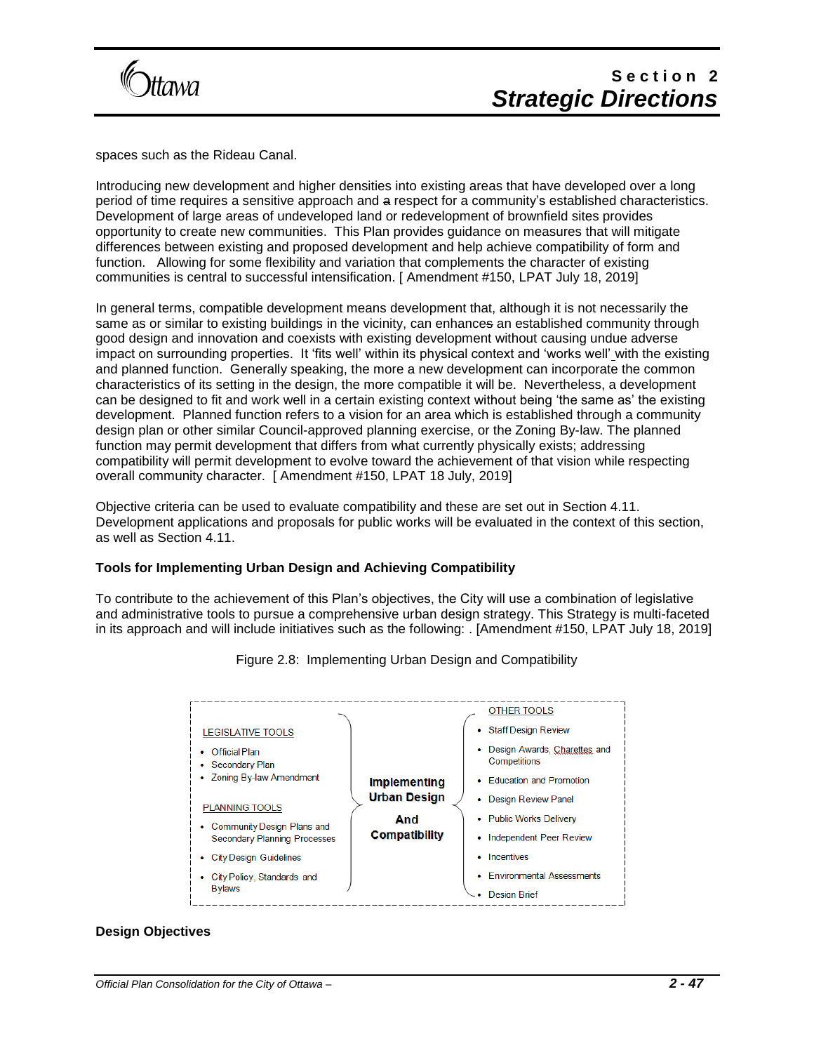

spaces such as the Rideau Canal.

Introducing new development and higher densities into existing areas that have developed over a long period of time requires a sensitive approach and a respect for a community's established characteristics. Development of large areas of undeveloped land or redevelopment of brownfield sites provides opportunity to create new communities. This Plan provides guidance on measures that will mitigate differences between existing and proposed development and help achieve compatibility of form and function. Allowing for some flexibility and variation that complements the character of existing communities is central to successful intensification. [ Amendment #150, LPAT July 18, 2019]

In general terms, compatible development means development that, although it is not necessarily the same as or similar to existing buildings in the vicinity, can enhances an established community through good design and innovation and coexists with existing development without causing undue adverse impact on surrounding properties. It 'fits well' within its physical context and 'works well' with the existing and planned function. Generally speaking, the more a new development can incorporate the common characteristics of its setting in the design, the more compatible it will be. Nevertheless, a development can be designed to fit and work well in a certain existing context without being 'the same as' the existing development. Planned function refers to a vision for an area which is established through a community design plan or other similar Council-approved planning exercise, or the Zoning By-law. The planned function may permit development that differs from what currently physically exists; addressing compatibility will permit development to evolve toward the achievement of that vision while respecting overall community character. [ Amendment #150, LPAT 18 July, 2019]

Objective criteria can be used to evaluate compatibility and these are set out in Section 4.11. Development applications and proposals for public works will be evaluated in the context of this section, as well as Section 4.11.

#### **Tools for Implementing Urban Design and Achieving Compatibility**

To contribute to the achievement of this Plan's objectives, the City will use a combination of legislative and administrative tools to pursue a comprehensive urban design strategy. This Strategy is multi-faceted in its approach and will include initiatives such as the following: . [Amendment #150, LPAT July 18, 2019]



Figure 2.8: Implementing Urban Design and Compatibility

### **Design Objectives**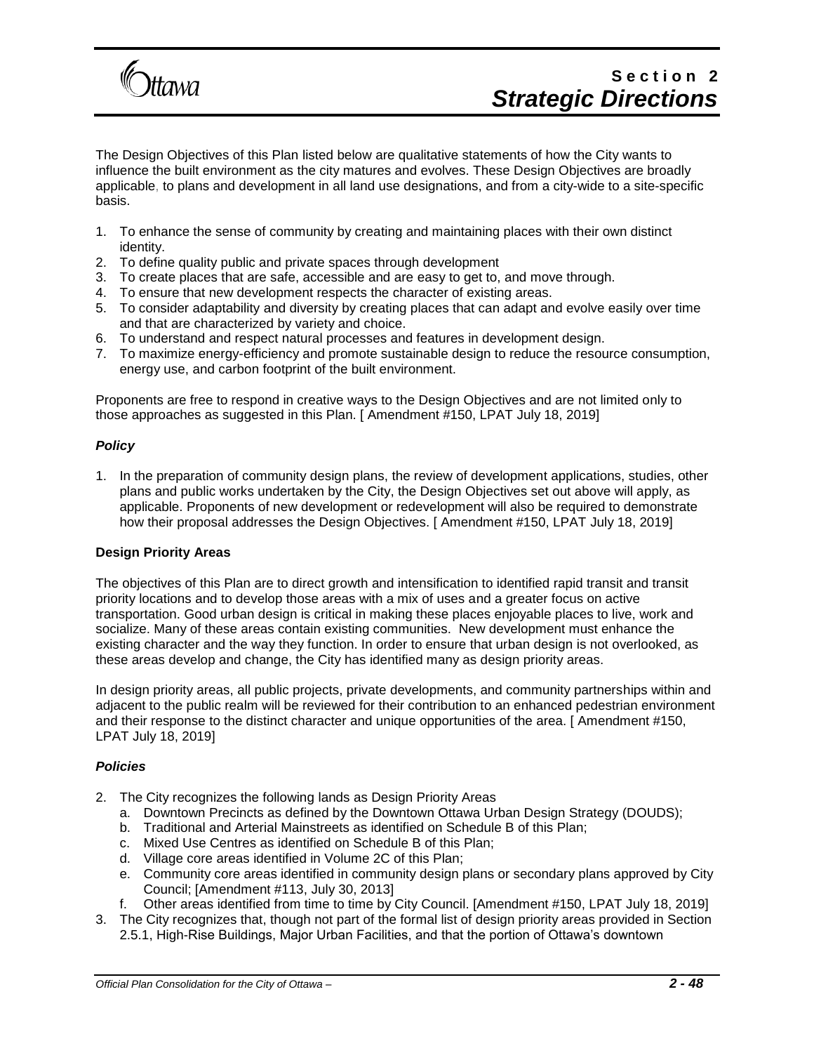

The Design Objectives of this Plan listed below are qualitative statements of how the City wants to influence the built environment as the city matures and evolves. These Design Objectives are broadly applicable, to plans and development in all land use designations, and from a city-wide to a site-specific basis.

- 1. To enhance the sense of community by creating and maintaining places with their own distinct identity.
- 2. To define quality public and private spaces through development
- 3. To create places that are safe, accessible and are easy to get to, and move through.
- 4. To ensure that new development respects the character of existing areas.
- 5. To consider adaptability and diversity by creating places that can adapt and evolve easily over time and that are characterized by variety and choice.
- 6. To understand and respect natural processes and features in development design.
- 7. To maximize energy-efficiency and promote sustainable design to reduce the resource consumption, energy use, and carbon footprint of the built environment.

Proponents are free to respond in creative ways to the Design Objectives and are not limited only to those approaches as suggested in this Plan. [ Amendment #150, LPAT July 18, 2019]

#### *Policy*

1. In the preparation of community design plans, the review of development applications, studies, other plans and public works undertaken by the City, the Design Objectives set out above will apply, as applicable. Proponents of new development or redevelopment will also be required to demonstrate how their proposal addresses the Design Objectives. [ Amendment #150, LPAT July 18, 2019]

#### **Design Priority Areas**

The objectives of this Plan are to direct growth and intensification to identified rapid transit and transit priority locations and to develop those areas with a mix of uses and a greater focus on active transportation. Good urban design is critical in making these places enjoyable places to live, work and socialize. Many of these areas contain existing communities. New development must enhance the existing character and the way they function. In order to ensure that urban design is not overlooked, as these areas develop and change, the City has identified many as design priority areas.

In design priority areas, all public projects, private developments, and community partnerships within and adjacent to the public realm will be reviewed for their contribution to an enhanced pedestrian environment and their response to the distinct character and unique opportunities of the area. [ Amendment #150, LPAT July 18, 2019]

#### *Policies*

- 2. The City recognizes the following lands as Design Priority Areas
	- a. Downtown Precincts as defined by the Downtown Ottawa Urban Design Strategy (DOUDS);
	- b. Traditional and Arterial Mainstreets as identified on Schedule B of this Plan;
	- c. Mixed Use Centres as identified on Schedule B of this Plan;
	- d. Village core areas identified in Volume 2C of this Plan;
	- e. Community core areas identified in community design plans or secondary plans approved by City Council; [Amendment #113, July 30, 2013]
	- f. Other areas identified from time to time by City Council. [Amendment #150, LPAT July 18, 2019]
- 3. The City recognizes that, though not part of the formal list of design priority areas provided in Section 2.5.1, High-Rise Buildings, Major Urban Facilities, and that the portion of Ottawa's downtown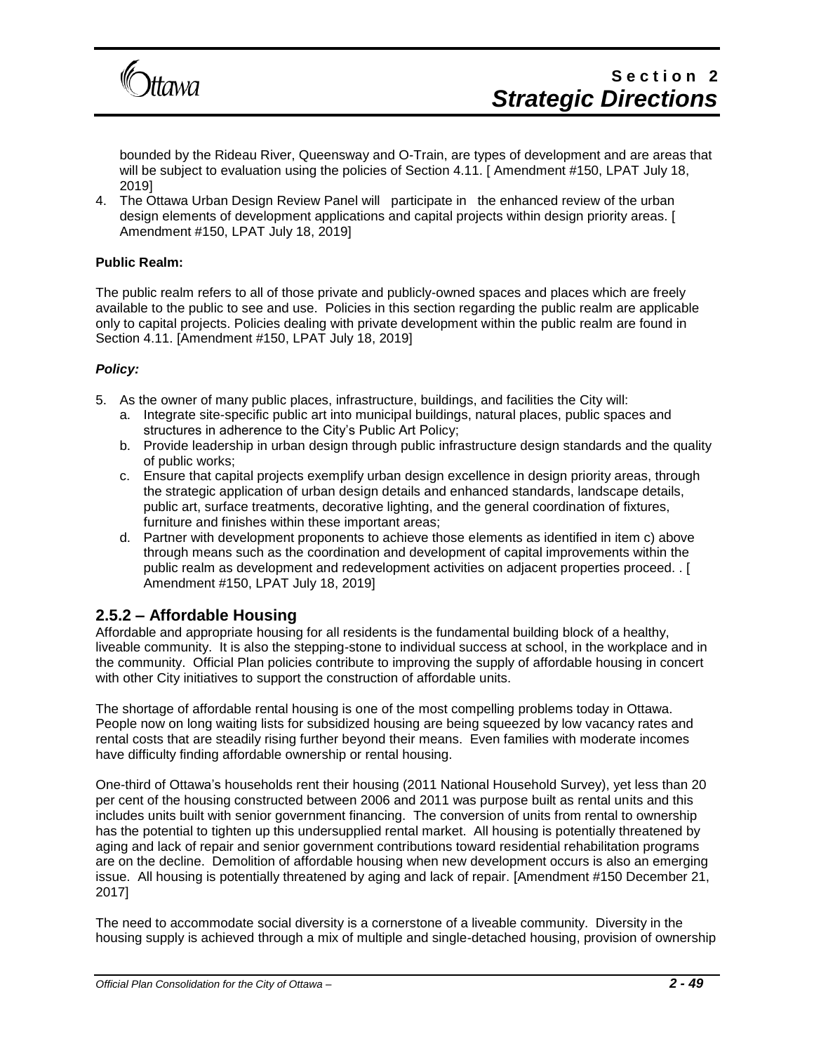

bounded by the Rideau River, Queensway and O-Train, are types of development and are areas that will be subject to evaluation using the policies of Section 4.11. [ Amendment #150, LPAT July 18, 2019]

4. The Ottawa Urban Design Review Panel will participate in the enhanced review of the urban design elements of development applications and capital projects within design priority areas. [ Amendment #150, LPAT July 18, 2019]

#### **Public Realm:**

The public realm refers to all of those private and publicly-owned spaces and places which are freely available to the public to see and use. Policies in this section regarding the public realm are applicable only to capital projects. Policies dealing with private development within the public realm are found in Section 4.11. [Amendment #150, LPAT July 18, 2019]

#### *Policy:*

- 5. As the owner of many public places, infrastructure, buildings, and facilities the City will:
	- a. Integrate site-specific public art into municipal buildings, natural places, public spaces and structures in adherence to the City's Public Art Policy;
	- b. Provide leadership in urban design through public infrastructure design standards and the quality of public works;
	- c. Ensure that capital projects exemplify urban design excellence in design priority areas, through the strategic application of urban design details and enhanced standards, landscape details, public art, surface treatments, decorative lighting, and the general coordination of fixtures, furniture and finishes within these important areas;
	- d. Partner with development proponents to achieve those elements as identified in item c) above through means such as the coordination and development of capital improvements within the public realm as development and redevelopment activities on adjacent properties proceed. . [ Amendment #150, LPAT July 18, 2019]

### **2.5.2 – Affordable Housing**

Affordable and appropriate housing for all residents is the fundamental building block of a healthy, liveable community. It is also the stepping-stone to individual success at school, in the workplace and in the community. Official Plan policies contribute to improving the supply of affordable housing in concert with other City initiatives to support the construction of affordable units.

The shortage of affordable rental housing is one of the most compelling problems today in Ottawa. People now on long waiting lists for subsidized housing are being squeezed by low vacancy rates and rental costs that are steadily rising further beyond their means. Even families with moderate incomes have difficulty finding affordable ownership or rental housing.

One-third of Ottawa's households rent their housing (2011 National Household Survey), yet less than 20 per cent of the housing constructed between 2006 and 2011 was purpose built as rental units and this includes units built with senior government financing. The conversion of units from rental to ownership has the potential to tighten up this undersupplied rental market. All housing is potentially threatened by aging and lack of repair and senior government contributions toward residential rehabilitation programs are on the decline. Demolition of affordable housing when new development occurs is also an emerging issue. All housing is potentially threatened by aging and lack of repair. [Amendment #150 December 21, 2017]

The need to accommodate social diversity is a cornerstone of a liveable community. Diversity in the housing supply is achieved through a mix of multiple and single-detached housing, provision of ownership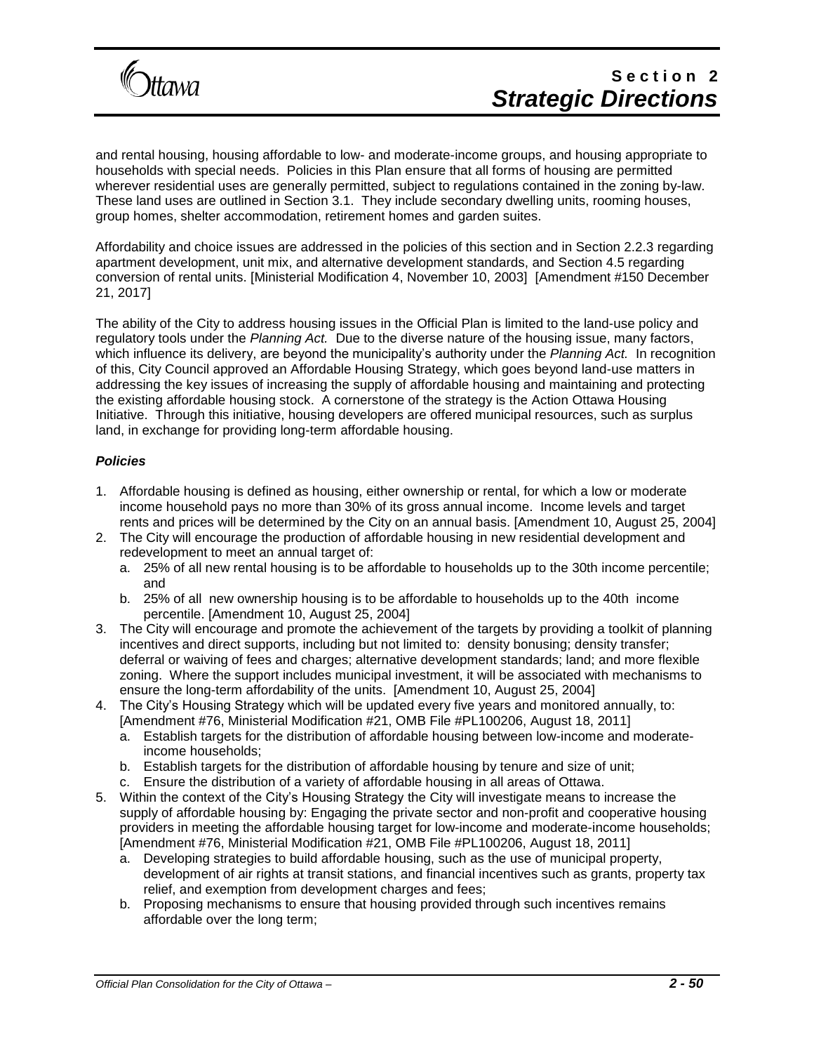

and rental housing, housing affordable to low- and moderate-income groups, and housing appropriate to households with special needs. Policies in this Plan ensure that all forms of housing are permitted wherever residential uses are generally permitted, subject to regulations contained in the zoning by-law. These land uses are outlined in Section 3.1. They include secondary dwelling units, rooming houses, group homes, shelter accommodation, retirement homes and garden suites.

Affordability and choice issues are addressed in the policies of this section and in Section 2.2.3 regarding apartment development, unit mix, and alternative development standards, and Section 4.5 regarding conversion of rental units. [Ministerial Modification 4, November 10, 2003] [Amendment #150 December 21, 2017]

The ability of the City to address housing issues in the Official Plan is limited to the land-use policy and regulatory tools under the *Planning Act.* Due to the diverse nature of the housing issue, many factors, which influence its delivery, are beyond the municipality's authority under the *Planning Act.* In recognition of this, City Council approved an Affordable Housing Strategy, which goes beyond land-use matters in addressing the key issues of increasing the supply of affordable housing and maintaining and protecting the existing affordable housing stock. A cornerstone of the strategy is the Action Ottawa Housing Initiative. Through this initiative, housing developers are offered municipal resources, such as surplus land, in exchange for providing long-term affordable housing.

#### *Policies*

- 1. Affordable housing is defined as housing, either ownership or rental, for which a low or moderate income household pays no more than 30% of its gross annual income. Income levels and target rents and prices will be determined by the City on an annual basis. [Amendment 10, August 25, 2004]
- 2. The City will encourage the production of affordable housing in new residential development and redevelopment to meet an annual target of:
	- a. 25% of all new rental housing is to be affordable to households up to the 30th income percentile; and
	- b. 25% of all new ownership housing is to be affordable to households up to the 40th income percentile. [Amendment 10, August 25, 2004]
- 3. The City will encourage and promote the achievement of the targets by providing a toolkit of planning incentives and direct supports, including but not limited to: density bonusing; density transfer; deferral or waiving of fees and charges; alternative development standards; land; and more flexible zoning. Where the support includes municipal investment, it will be associated with mechanisms to ensure the long-term affordability of the units. [Amendment 10, August 25, 2004]
- 4. The City's Housing Strategy which will be updated every five years and monitored annually, to: [Amendment #76, Ministerial Modification #21, OMB File #PL100206, August 18, 2011]
	- a. Establish targets for the distribution of affordable housing between low-income and moderateincome households;
	- b. Establish targets for the distribution of affordable housing by tenure and size of unit;
	- c. Ensure the distribution of a variety of affordable housing in all areas of Ottawa.
- 5. Within the context of the City's Housing Strategy the City will investigate means to increase the supply of affordable housing by: Engaging the private sector and non-profit and cooperative housing providers in meeting the affordable housing target for low-income and moderate-income households; [Amendment #76, Ministerial Modification #21, OMB File #PL100206, August 18, 2011]
	- a. Developing strategies to build affordable housing, such as the use of municipal property, development of air rights at transit stations, and financial incentives such as grants, property tax relief, and exemption from development charges and fees;
	- b. Proposing mechanisms to ensure that housing provided through such incentives remains affordable over the long term;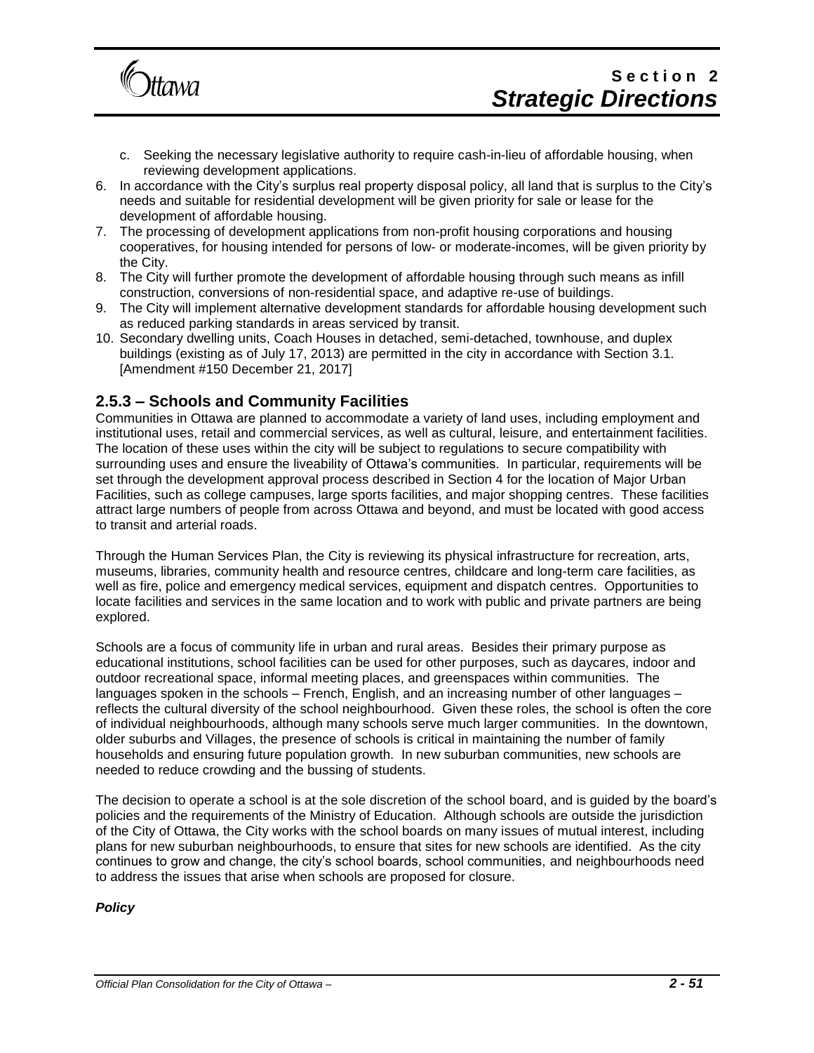

- c. Seeking the necessary legislative authority to require cash-in-lieu of affordable housing, when reviewing development applications.
- 6. In accordance with the City's surplus real property disposal policy, all land that is surplus to the City's needs and suitable for residential development will be given priority for sale or lease for the development of affordable housing.
- 7. The processing of development applications from non-profit housing corporations and housing cooperatives, for housing intended for persons of low- or moderate-incomes, will be given priority by the City.
- 8. The City will further promote the development of affordable housing through such means as infill construction, conversions of non-residential space, and adaptive re-use of buildings.
- 9. The City will implement alternative development standards for affordable housing development such as reduced parking standards in areas serviced by transit.
- 10. Secondary dwelling units, Coach Houses in detached, semi-detached, townhouse, and duplex buildings (existing as of July 17, 2013) are permitted in the city in accordance with Section 3.1. [Amendment #150 December 21, 2017]

### **2.5.3 – Schools and Community Facilities**

Communities in Ottawa are planned to accommodate a variety of land uses, including employment and institutional uses, retail and commercial services, as well as cultural, leisure, and entertainment facilities. The location of these uses within the city will be subject to regulations to secure compatibility with surrounding uses and ensure the liveability of Ottawa's communities. In particular, requirements will be set through the development approval process described in Section 4 for the location of Major Urban Facilities, such as college campuses, large sports facilities, and major shopping centres. These facilities attract large numbers of people from across Ottawa and beyond, and must be located with good access to transit and arterial roads.

Through the Human Services Plan, the City is reviewing its physical infrastructure for recreation, arts, museums, libraries, community health and resource centres, childcare and long-term care facilities, as well as fire, police and emergency medical services, equipment and dispatch centres. Opportunities to locate facilities and services in the same location and to work with public and private partners are being explored.

Schools are a focus of community life in urban and rural areas. Besides their primary purpose as educational institutions, school facilities can be used for other purposes, such as daycares, indoor and outdoor recreational space, informal meeting places, and greenspaces within communities. The languages spoken in the schools – French, English, and an increasing number of other languages – reflects the cultural diversity of the school neighbourhood. Given these roles, the school is often the core of individual neighbourhoods, although many schools serve much larger communities. In the downtown, older suburbs and Villages, the presence of schools is critical in maintaining the number of family households and ensuring future population growth. In new suburban communities, new schools are needed to reduce crowding and the bussing of students.

The decision to operate a school is at the sole discretion of the school board, and is guided by the board's policies and the requirements of the Ministry of Education. Although schools are outside the jurisdiction of the City of Ottawa, the City works with the school boards on many issues of mutual interest, including plans for new suburban neighbourhoods, to ensure that sites for new schools are identified. As the city continues to grow and change, the city's school boards, school communities, and neighbourhoods need to address the issues that arise when schools are proposed for closure.

*Policy*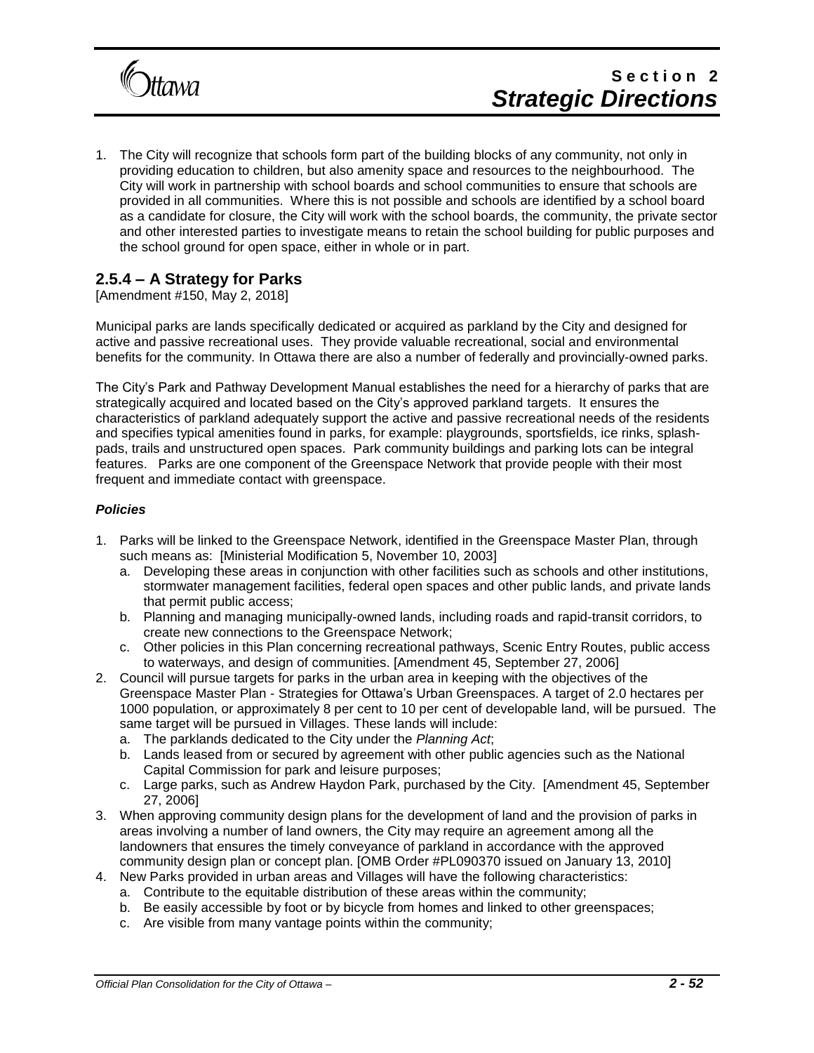

1. The City will recognize that schools form part of the building blocks of any community, not only in providing education to children, but also amenity space and resources to the neighbourhood. The City will work in partnership with school boards and school communities to ensure that schools are provided in all communities. Where this is not possible and schools are identified by a school board as a candidate for closure, the City will work with the school boards, the community, the private sector and other interested parties to investigate means to retain the school building for public purposes and the school ground for open space, either in whole or in part.

## **2.5.4 – A Strategy for Parks**

[Amendment #150, May 2, 2018]

Municipal parks are lands specifically dedicated or acquired as parkland by the City and designed for active and passive recreational uses. They provide valuable recreational, social and environmental benefits for the community. In Ottawa there are also a number of federally and provincially-owned parks.

The City's Park and Pathway Development Manual establishes the need for a hierarchy of parks that are strategically acquired and located based on the City's approved parkland targets. It ensures the characteristics of parkland adequately support the active and passive recreational needs of the residents and specifies typical amenities found in parks, for example: playgrounds, sportsfields, ice rinks, splashpads, trails and unstructured open spaces. Park community buildings and parking lots can be integral features. Parks are one component of the Greenspace Network that provide people with their most frequent and immediate contact with greenspace.

#### *Policies*

- 1. Parks will be linked to the Greenspace Network, identified in the Greenspace Master Plan, through such means as: [Ministerial Modification 5, November 10, 2003]
	- a. Developing these areas in conjunction with other facilities such as schools and other institutions, stormwater management facilities, federal open spaces and other public lands, and private lands that permit public access;
	- b. Planning and managing municipally-owned lands, including roads and rapid-transit corridors, to create new connections to the Greenspace Network;
	- c. Other policies in this Plan concerning recreational pathways, Scenic Entry Routes, public access to waterways, and design of communities. [Amendment 45, September 27, 2006]
- 2. Council will pursue targets for parks in the urban area in keeping with the objectives of the Greenspace Master Plan - Strategies for Ottawa's Urban Greenspaces. A target of 2.0 hectares per 1000 population, or approximately 8 per cent to 10 per cent of developable land, will be pursued. The same target will be pursued in Villages. These lands will include:
	- a. The parklands dedicated to the City under the *Planning Act*;
	- b. Lands leased from or secured by agreement with other public agencies such as the National Capital Commission for park and leisure purposes;
	- c. Large parks, such as Andrew Haydon Park, purchased by the City. [Amendment 45, September 27, 2006]
- 3. When approving community design plans for the development of land and the provision of parks in areas involving a number of land owners, the City may require an agreement among all the landowners that ensures the timely conveyance of parkland in accordance with the approved community design plan or concept plan. [OMB Order #PL090370 issued on January 13, 2010]
- 4. New Parks provided in urban areas and Villages will have the following characteristics:
	- a. Contribute to the equitable distribution of these areas within the community;
	- b. Be easily accessible by foot or by bicycle from homes and linked to other greenspaces;
	- c. Are visible from many vantage points within the community;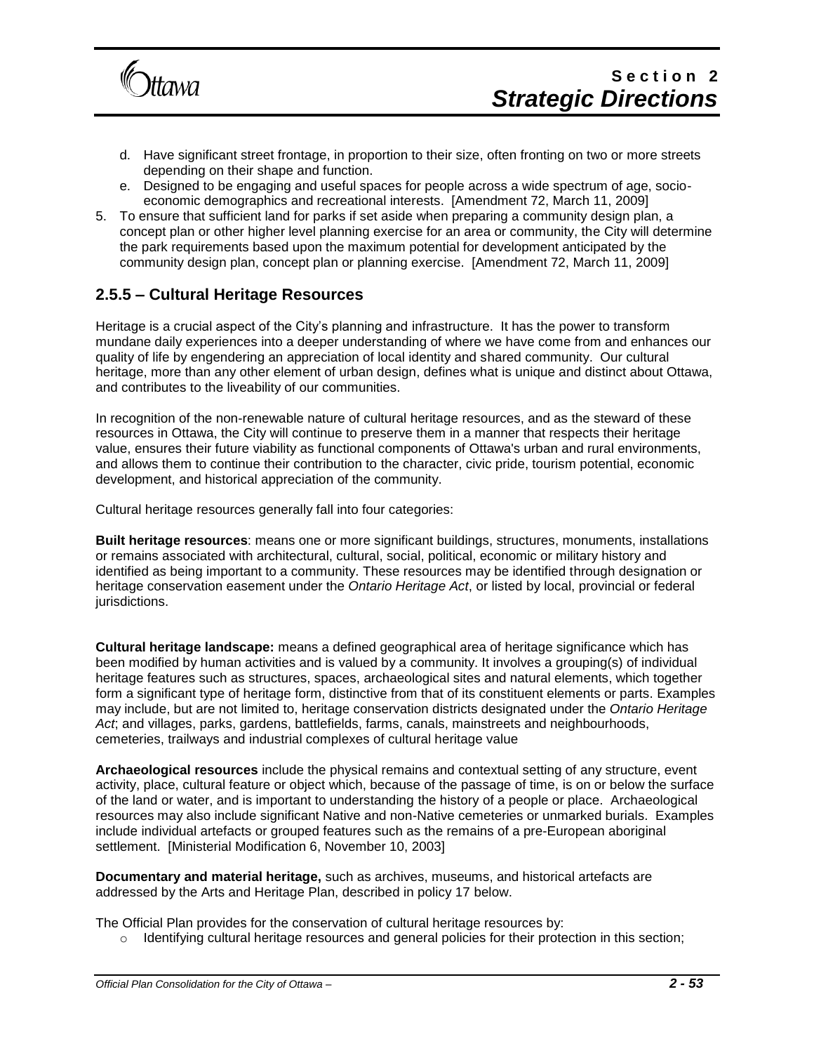

- d. Have significant street frontage, in proportion to their size, often fronting on two or more streets depending on their shape and function.
- e. Designed to be engaging and useful spaces for people across a wide spectrum of age, socioeconomic demographics and recreational interests. [Amendment 72, March 11, 2009]
- 5. To ensure that sufficient land for parks if set aside when preparing a community design plan, a concept plan or other higher level planning exercise for an area or community, the City will determine the park requirements based upon the maximum potential for development anticipated by the community design plan, concept plan or planning exercise. [Amendment 72, March 11, 2009]

### **2.5.5 – Cultural Heritage Resources**

Heritage is a crucial aspect of the City's planning and infrastructure. It has the power to transform mundane daily experiences into a deeper understanding of where we have come from and enhances our quality of life by engendering an appreciation of local identity and shared community. Our cultural heritage, more than any other element of urban design, defines what is unique and distinct about Ottawa, and contributes to the liveability of our communities.

In recognition of the non-renewable nature of cultural heritage resources, and as the steward of these resources in Ottawa, the City will continue to preserve them in a manner that respects their heritage value, ensures their future viability as functional components of Ottawa's urban and rural environments, and allows them to continue their contribution to the character, civic pride, tourism potential, economic development, and historical appreciation of the community.

Cultural heritage resources generally fall into four categories:

**Built heritage resources**: means one or more significant buildings, structures, monuments, installations or remains associated with architectural, cultural, social, political, economic or military history and identified as being important to a community. These resources may be identified through designation or heritage conservation easement under the *Ontario Heritage Act*, or listed by local, provincial or federal jurisdictions.

**Cultural heritage landscape:** means a defined geographical area of heritage significance which has been modified by human activities and is valued by a community. It involves a grouping(s) of individual heritage features such as structures, spaces, archaeological sites and natural elements, which together form a significant type of heritage form, distinctive from that of its constituent elements or parts. Examples may include, but are not limited to, heritage conservation districts designated under the *Ontario Heritage Act*; and villages, parks, gardens, battlefields, farms, canals, mainstreets and neighbourhoods, cemeteries, trailways and industrial complexes of cultural heritage value

**Archaeological resources** include the physical remains and contextual setting of any structure, event activity, place, cultural feature or object which, because of the passage of time, is on or below the surface of the land or water, and is important to understanding the history of a people or place. Archaeological resources may also include significant Native and non-Native cemeteries or unmarked burials. Examples include individual artefacts or grouped features such as the remains of a pre-European aboriginal settlement. [Ministerial Modification 6, November 10, 2003]

**Documentary and material heritage,** such as archives, museums, and historical artefacts are addressed by the Arts and Heritage Plan, described in policy 17 below.

The Official Plan provides for the conservation of cultural heritage resources by:

 $\circ$  Identifying cultural heritage resources and general policies for their protection in this section;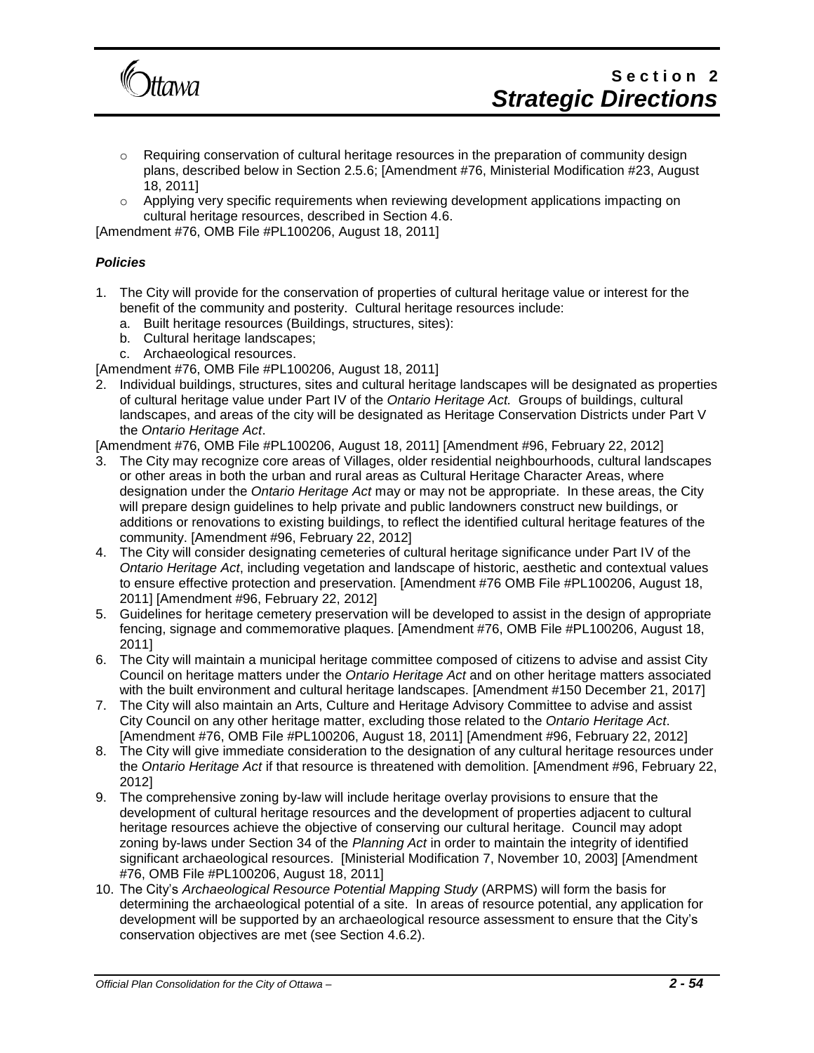

- $\circ$  Requiring conservation of cultural heritage resources in the preparation of community design plans, described below in Section 2.5.6; [Amendment #76, Ministerial Modification #23, August 18, 2011]
- $\circ$  Applying very specific requirements when reviewing development applications impacting on cultural heritage resources, described in Section 4.6.

#### *Policies*

- 1. The City will provide for the conservation of properties of cultural heritage value or interest for the benefit of the community and posterity. Cultural heritage resources include:
	- a. Built heritage resources (Buildings, structures, sites):
	- b. Cultural heritage landscapes;
	- c. Archaeological resources.

[Amendment #76, OMB File #PL100206, August 18, 2011]

2. Individual buildings, structures, sites and cultural heritage landscapes will be designated as properties of cultural heritage value under Part IV of the *Ontario Heritage Act.* Groups of buildings, cultural landscapes, and areas of the city will be designated as Heritage Conservation Districts under Part V the *Ontario Heritage Act*.

[Amendment #76, OMB File #PL100206, August 18, 2011] [Amendment #96, February 22, 2012]

- 3. The City may recognize core areas of Villages, older residential neighbourhoods, cultural landscapes or other areas in both the urban and rural areas as Cultural Heritage Character Areas, where designation under the *Ontario Heritage Act* may or may not be appropriate. In these areas, the City will prepare design guidelines to help private and public landowners construct new buildings, or additions or renovations to existing buildings, to reflect the identified cultural heritage features of the community. [Amendment #96, February 22, 2012]
- 4. The City will consider designating cemeteries of cultural heritage significance under Part IV of the *Ontario Heritage Act*, including vegetation and landscape of historic, aesthetic and contextual values to ensure effective protection and preservation. [Amendment #76 OMB File #PL100206, August 18, 2011] [Amendment #96, February 22, 2012]
- 5. Guidelines for heritage cemetery preservation will be developed to assist in the design of appropriate fencing, signage and commemorative plaques. [Amendment #76, OMB File #PL100206, August 18, 2011]
- 6. The City will maintain a municipal heritage committee composed of citizens to advise and assist City Council on heritage matters under the *Ontario Heritage Act* and on other heritage matters associated with the built environment and cultural heritage landscapes. [Amendment #150 December 21, 2017]
- 7. The City will also maintain an Arts, Culture and Heritage Advisory Committee to advise and assist City Council on any other heritage matter, excluding those related to the *Ontario Heritage Act*. [Amendment #76, OMB File #PL100206, August 18, 2011] [Amendment #96, February 22, 2012]
- 8. The City will give immediate consideration to the designation of any cultural heritage resources under the *Ontario Heritage Act* if that resource is threatened with demolition. [Amendment #96, February 22, 2012]
- 9. The comprehensive zoning by-law will include heritage overlay provisions to ensure that the development of cultural heritage resources and the development of properties adjacent to cultural heritage resources achieve the objective of conserving our cultural heritage. Council may adopt zoning by-laws under Section 34 of the *Planning Act* in order to maintain the integrity of identified significant archaeological resources. [Ministerial Modification 7, November 10, 2003] [Amendment #76, OMB File #PL100206, August 18, 2011]
- 10. The City's *Archaeological Resource Potential Mapping Study* (ARPMS) will form the basis for determining the archaeological potential of a site. In areas of resource potential, any application for development will be supported by an archaeological resource assessment to ensure that the City's conservation objectives are met (see Section 4.6.2).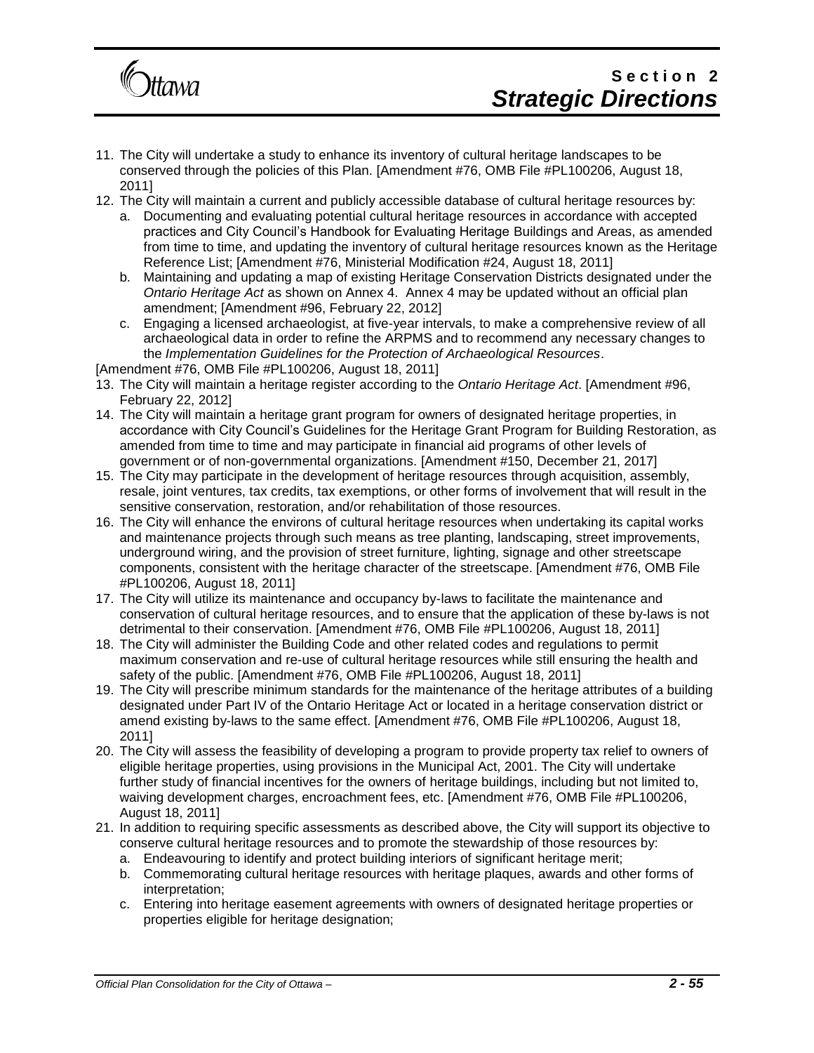

- 11. The City will undertake a study to enhance its inventory of cultural heritage landscapes to be conserved through the policies of this Plan. [Amendment #76, OMB File #PL100206, August 18, 2011]
- 12. The City will maintain a current and publicly accessible database of cultural heritage resources by:
	- a. Documenting and evaluating potential cultural heritage resources in accordance with accepted practices and City Council's Handbook for Evaluating Heritage Buildings and Areas, as amended from time to time, and updating the inventory of cultural heritage resources known as the Heritage Reference List; [Amendment #76, Ministerial Modification #24, August 18, 2011]
	- b. Maintaining and updating a map of existing Heritage Conservation Districts designated under the *Ontario Heritage Act* as shown on Annex 4. Annex 4 may be updated without an official plan amendment; [Amendment #96, February 22, 2012]
	- c. Engaging a licensed archaeologist, at five-year intervals, to make a comprehensive review of all archaeological data in order to refine the ARPMS and to recommend any necessary changes to the *Implementation Guidelines for the Protection of Archaeological Resources*.

- 13. The City will maintain a heritage register according to the *Ontario Heritage Act*. [Amendment #96, February 22, 2012]
- 14. The City will maintain a heritage grant program for owners of designated heritage properties, in accordance with City Council's Guidelines for the Heritage Grant Program for Building Restoration, as amended from time to time and may participate in financial aid programs of other levels of government or of non-governmental organizations. [Amendment #150, December 21, 2017]
- 15. The City may participate in the development of heritage resources through acquisition, assembly, resale, joint ventures, tax credits, tax exemptions, or other forms of involvement that will result in the sensitive conservation, restoration, and/or rehabilitation of those resources.
- 16. The City will enhance the environs of cultural heritage resources when undertaking its capital works and maintenance projects through such means as tree planting, landscaping, street improvements, underground wiring, and the provision of street furniture, lighting, signage and other streetscape components, consistent with the heritage character of the streetscape. [Amendment #76, OMB File #PL100206, August 18, 2011]
- 17. The City will utilize its maintenance and occupancy by-laws to facilitate the maintenance and conservation of cultural heritage resources, and to ensure that the application of these by-laws is not detrimental to their conservation. [Amendment #76, OMB File #PL100206, August 18, 2011]
- 18. The City will administer the Building Code and other related codes and regulations to permit maximum conservation and re-use of cultural heritage resources while still ensuring the health and safety of the public. [Amendment #76, OMB File #PL100206, August 18, 2011]
- 19. The City will prescribe minimum standards for the maintenance of the heritage attributes of a building designated under Part IV of the Ontario Heritage Act or located in a heritage conservation district or amend existing by-laws to the same effect. [Amendment #76, OMB File #PL100206, August 18, 2011]
- 20. The City will assess the feasibility of developing a program to provide property tax relief to owners of eligible heritage properties, using provisions in the Municipal Act, 2001. The City will undertake further study of financial incentives for the owners of heritage buildings, including but not limited to, waiving development charges, encroachment fees, etc. [Amendment #76, OMB File #PL100206, August 18, 2011]
- 21. In addition to requiring specific assessments as described above, the City will support its objective to conserve cultural heritage resources and to promote the stewardship of those resources by:
	- a. Endeavouring to identify and protect building interiors of significant heritage merit;
	- b. Commemorating cultural heritage resources with heritage plaques, awards and other forms of interpretation;
	- c. Entering into heritage easement agreements with owners of designated heritage properties or properties eligible for heritage designation;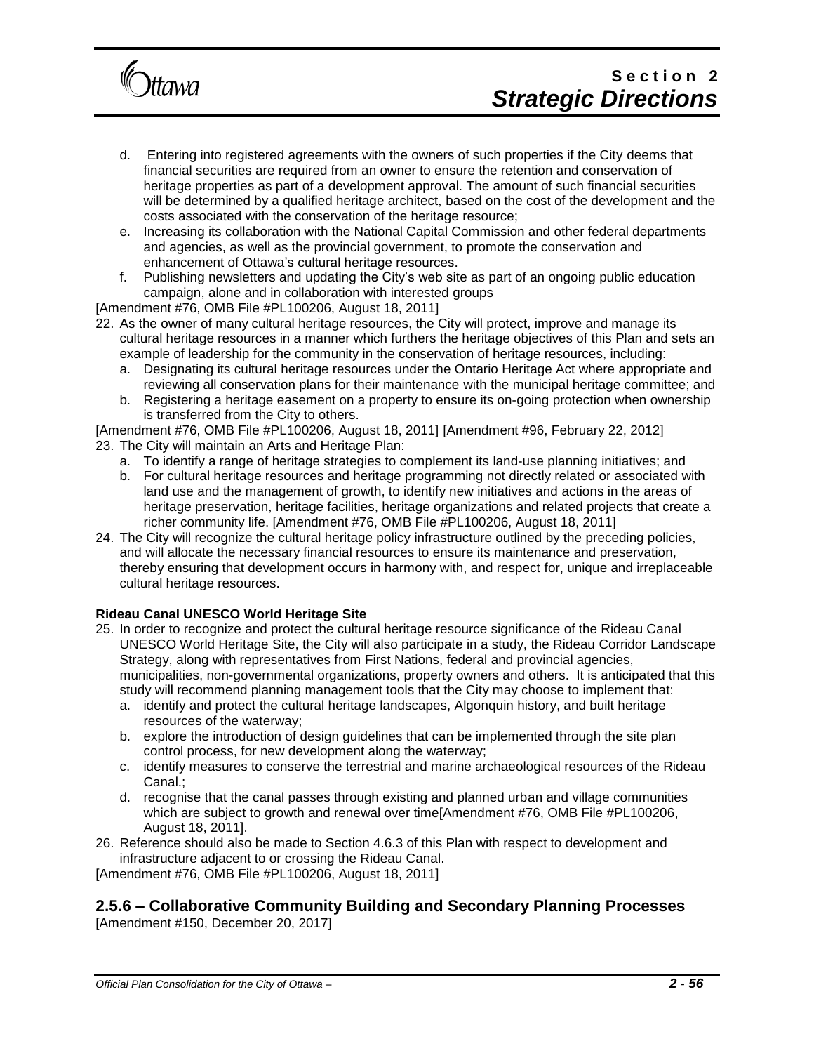

- d. Entering into registered agreements with the owners of such properties if the City deems that financial securities are required from an owner to ensure the retention and conservation of heritage properties as part of a development approval. The amount of such financial securities will be determined by a qualified heritage architect, based on the cost of the development and the costs associated with the conservation of the heritage resource;
- e. Increasing its collaboration with the National Capital Commission and other federal departments and agencies, as well as the provincial government, to promote the conservation and enhancement of Ottawa's cultural heritage resources.
- f. Publishing newsletters and updating the City's web site as part of an ongoing public education campaign, alone and in collaboration with interested groups

- 22. As the owner of many cultural heritage resources, the City will protect, improve and manage its cultural heritage resources in a manner which furthers the heritage objectives of this Plan and sets an example of leadership for the community in the conservation of heritage resources, including:
	- a. Designating its cultural heritage resources under the Ontario Heritage Act where appropriate and reviewing all conservation plans for their maintenance with the municipal heritage committee; and
	- b. Registering a heritage easement on a property to ensure its on-going protection when ownership is transferred from the City to others.

[Amendment #76, OMB File #PL100206, August 18, 2011] [Amendment #96, February 22, 2012]

- 23. The City will maintain an Arts and Heritage Plan:
	- a. To identify a range of heritage strategies to complement its land-use planning initiatives; and
	- b. For cultural heritage resources and heritage programming not directly related or associated with land use and the management of growth, to identify new initiatives and actions in the areas of heritage preservation, heritage facilities, heritage organizations and related projects that create a richer community life. [Amendment #76, OMB File #PL100206, August 18, 2011]
- 24. The City will recognize the cultural heritage policy infrastructure outlined by the preceding policies, and will allocate the necessary financial resources to ensure its maintenance and preservation, thereby ensuring that development occurs in harmony with, and respect for, unique and irreplaceable cultural heritage resources.

#### **Rideau Canal UNESCO World Heritage Site**

- 25. In order to recognize and protect the cultural heritage resource significance of the Rideau Canal UNESCO World Heritage Site, the City will also participate in a study, the Rideau Corridor Landscape Strategy, along with representatives from First Nations, federal and provincial agencies, municipalities, non-governmental organizations, property owners and others. It is anticipated that this study will recommend planning management tools that the City may choose to implement that:
	- a. identify and protect the cultural heritage landscapes, Algonquin history, and built heritage resources of the waterway;
	- b. explore the introduction of design guidelines that can be implemented through the site plan control process, for new development along the waterway;
	- c. identify measures to conserve the terrestrial and marine archaeological resources of the Rideau Canal.;
	- d. recognise that the canal passes through existing and planned urban and village communities which are subject to growth and renewal over time[Amendment #76, OMB File #PL100206, August 18, 2011].
- 26. Reference should also be made to Section 4.6.3 of this Plan with respect to development and infrastructure adjacent to or crossing the Rideau Canal.

[Amendment #76, OMB File #PL100206, August 18, 2011]

## **2.5.6 – Collaborative Community Building and Secondary Planning Processes**

[Amendment #150, December 20, 2017]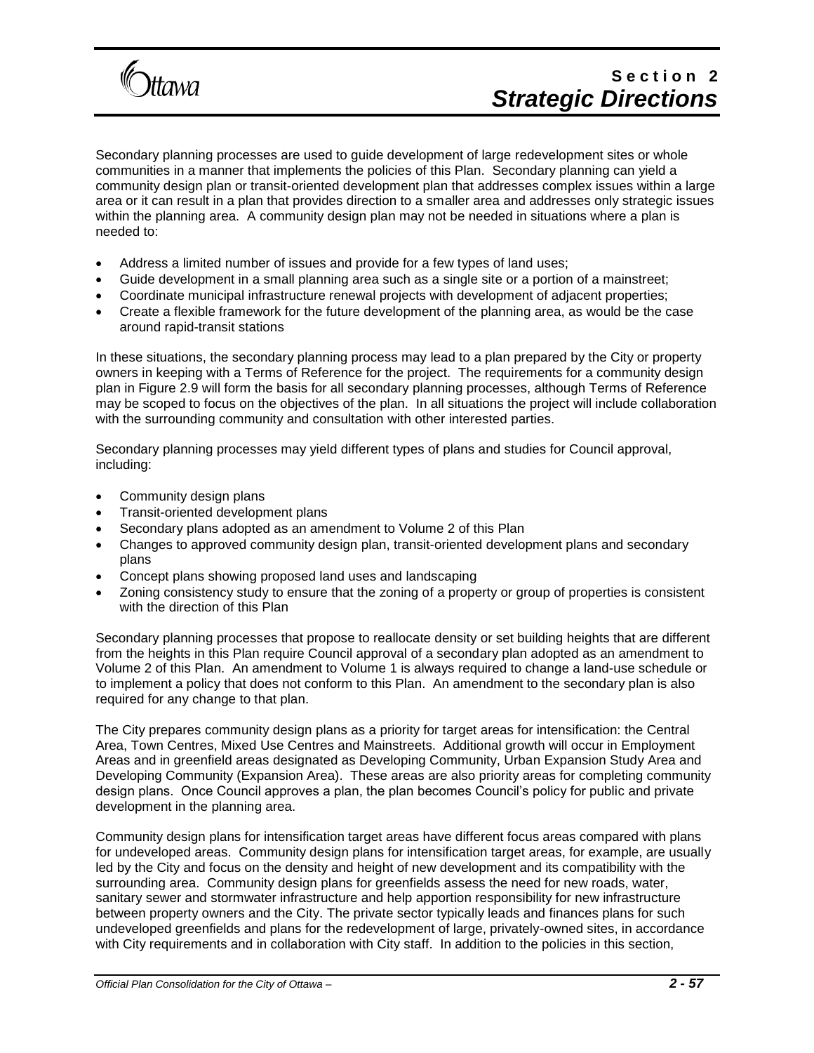

Secondary planning processes are used to guide development of large redevelopment sites or whole communities in a manner that implements the policies of this Plan. Secondary planning can yield a community design plan or transit-oriented development plan that addresses complex issues within a large area or it can result in a plan that provides direction to a smaller area and addresses only strategic issues within the planning area. A community design plan may not be needed in situations where a plan is needed to:

- Address a limited number of issues and provide for a few types of land uses;
- Guide development in a small planning area such as a single site or a portion of a mainstreet;
- Coordinate municipal infrastructure renewal projects with development of adjacent properties;
- Create a flexible framework for the future development of the planning area, as would be the case around rapid-transit stations

In these situations, the secondary planning process may lead to a plan prepared by the City or property owners in keeping with a Terms of Reference for the project. The requirements for a community design plan in Figure 2.9 will form the basis for all secondary planning processes, although Terms of Reference may be scoped to focus on the objectives of the plan. In all situations the project will include collaboration with the surrounding community and consultation with other interested parties.

Secondary planning processes may yield different types of plans and studies for Council approval, including:

- Community design plans
- Transit-oriented development plans
- Secondary plans adopted as an amendment to Volume 2 of this Plan
- Changes to approved community design plan, transit-oriented development plans and secondary plans
- Concept plans showing proposed land uses and landscaping
- Zoning consistency study to ensure that the zoning of a property or group of properties is consistent with the direction of this Plan

Secondary planning processes that propose to reallocate density or set building heights that are different from the heights in this Plan require Council approval of a secondary plan adopted as an amendment to Volume 2 of this Plan. An amendment to Volume 1 is always required to change a land-use schedule or to implement a policy that does not conform to this Plan. An amendment to the secondary plan is also required for any change to that plan.

The City prepares community design plans as a priority for target areas for intensification: the Central Area, Town Centres, Mixed Use Centres and Mainstreets. Additional growth will occur in Employment Areas and in greenfield areas designated as Developing Community, Urban Expansion Study Area and Developing Community (Expansion Area). These areas are also priority areas for completing community design plans. Once Council approves a plan, the plan becomes Council's policy for public and private development in the planning area.

Community design plans for intensification target areas have different focus areas compared with plans for undeveloped areas. Community design plans for intensification target areas, for example, are usually led by the City and focus on the density and height of new development and its compatibility with the surrounding area. Community design plans for greenfields assess the need for new roads, water, sanitary sewer and stormwater infrastructure and help apportion responsibility for new infrastructure between property owners and the City. The private sector typically leads and finances plans for such undeveloped greenfields and plans for the redevelopment of large, privately-owned sites, in accordance with City requirements and in collaboration with City staff. In addition to the policies in this section,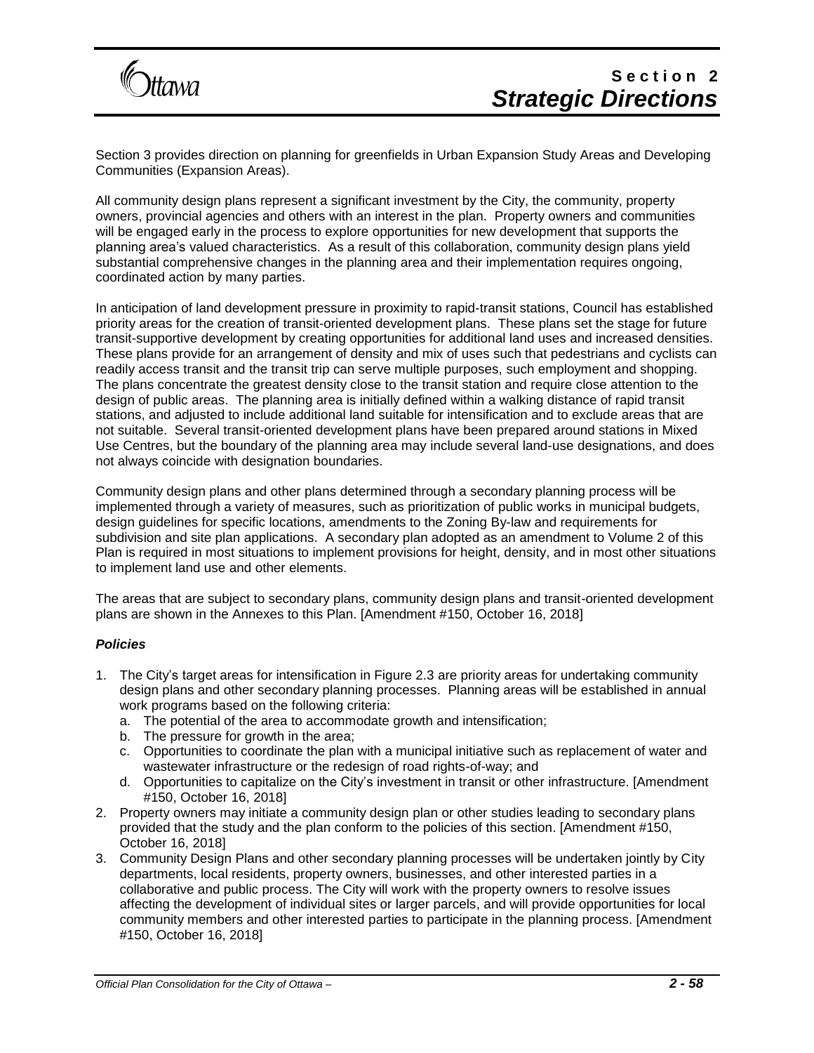

Section 3 provides direction on planning for greenfields in Urban Expansion Study Areas and Developing Communities (Expansion Areas).

All community design plans represent a significant investment by the City, the community, property owners, provincial agencies and others with an interest in the plan. Property owners and communities will be engaged early in the process to explore opportunities for new development that supports the planning area's valued characteristics. As a result of this collaboration, community design plans yield substantial comprehensive changes in the planning area and their implementation requires ongoing, coordinated action by many parties.

In anticipation of land development pressure in proximity to rapid-transit stations, Council has established priority areas for the creation of transit-oriented development plans. These plans set the stage for future transit-supportive development by creating opportunities for additional land uses and increased densities. These plans provide for an arrangement of density and mix of uses such that pedestrians and cyclists can readily access transit and the transit trip can serve multiple purposes, such employment and shopping. The plans concentrate the greatest density close to the transit station and require close attention to the design of public areas. The planning area is initially defined within a walking distance of rapid transit stations, and adjusted to include additional land suitable for intensification and to exclude areas that are not suitable. Several transit-oriented development plans have been prepared around stations in Mixed Use Centres, but the boundary of the planning area may include several land-use designations, and does not always coincide with designation boundaries.

Community design plans and other plans determined through a secondary planning process will be implemented through a variety of measures, such as prioritization of public works in municipal budgets, design guidelines for specific locations, amendments to the Zoning By-law and requirements for subdivision and site plan applications. A secondary plan adopted as an amendment to Volume 2 of this Plan is required in most situations to implement provisions for height, density, and in most other situations to implement land use and other elements.

The areas that are subject to secondary plans, community design plans and transit-oriented development plans are shown in the Annexes to this Plan. [Amendment #150, October 16, 2018]

#### *Policies*

- 1. The City's target areas for intensification in Figure 2.3 are priority areas for undertaking community design plans and other secondary planning processes. Planning areas will be established in annual work programs based on the following criteria:
	- a. The potential of the area to accommodate growth and intensification;
	- b. The pressure for growth in the area;
	- c. Opportunities to coordinate the plan with a municipal initiative such as replacement of water and wastewater infrastructure or the redesign of road rights-of-way; and
	- d. Opportunities to capitalize on the City's investment in transit or other infrastructure. [Amendment #150, October 16, 2018]
- 2. Property owners may initiate a community design plan or other studies leading to secondary plans provided that the study and the plan conform to the policies of this section. [Amendment #150, October 16, 2018]
- 3. Community Design Plans and other secondary planning processes will be undertaken jointly by City departments, local residents, property owners, businesses, and other interested parties in a collaborative and public process. The City will work with the property owners to resolve issues affecting the development of individual sites or larger parcels, and will provide opportunities for local community members and other interested parties to participate in the planning process. [Amendment #150, October 16, 2018]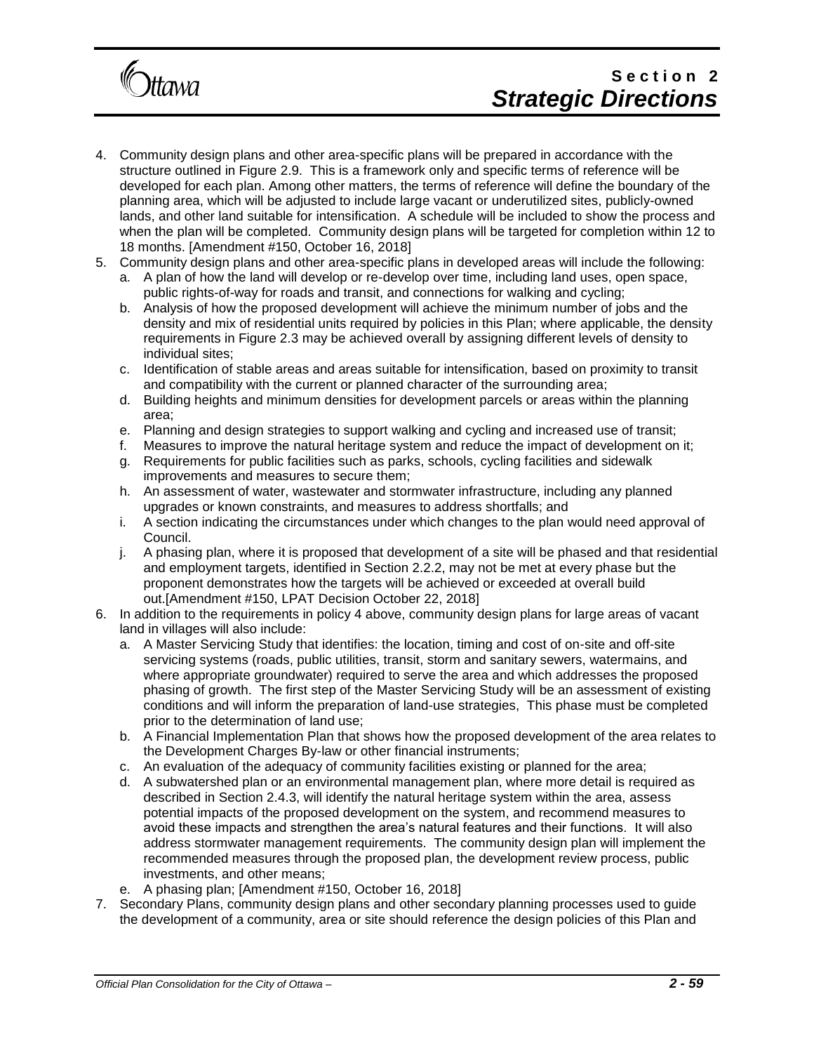

# Section<sub>2</sub> *Strategic Directions*

- 4. Community design plans and other area-specific plans will be prepared in accordance with the structure outlined in Figure 2.9. This is a framework only and specific terms of reference will be developed for each plan. Among other matters, the terms of reference will define the boundary of the planning area, which will be adjusted to include large vacant or underutilized sites, publicly-owned lands, and other land suitable for intensification. A schedule will be included to show the process and when the plan will be completed. Community design plans will be targeted for completion within 12 to 18 months. [Amendment #150, October 16, 2018]
- 5. Community design plans and other area-specific plans in developed areas will include the following:
	- a. A plan of how the land will develop or re-develop over time, including land uses, open space, public rights-of-way for roads and transit, and connections for walking and cycling;
	- b. Analysis of how the proposed development will achieve the minimum number of jobs and the density and mix of residential units required by policies in this Plan; where applicable, the density requirements in Figure 2.3 may be achieved overall by assigning different levels of density to individual sites;
	- c. Identification of stable areas and areas suitable for intensification, based on proximity to transit and compatibility with the current or planned character of the surrounding area;
	- d. Building heights and minimum densities for development parcels or areas within the planning area;
	- e. Planning and design strategies to support walking and cycling and increased use of transit;
	- f. Measures to improve the natural heritage system and reduce the impact of development on it;
	- g. Requirements for public facilities such as parks, schools, cycling facilities and sidewalk improvements and measures to secure them;
	- h. An assessment of water, wastewater and stormwater infrastructure, including any planned upgrades or known constraints, and measures to address shortfalls; and
	- i. A section indicating the circumstances under which changes to the plan would need approval of Council.
	- j. A phasing plan, where it is proposed that development of a site will be phased and that residential and employment targets, identified in Section 2.2.2, may not be met at every phase but the proponent demonstrates how the targets will be achieved or exceeded at overall build out.[Amendment #150, LPAT Decision October 22, 2018]
- 6. In addition to the requirements in policy 4 above, community design plans for large areas of vacant land in villages will also include:
	- a. A Master Servicing Study that identifies: the location, timing and cost of on-site and off-site servicing systems (roads, public utilities, transit, storm and sanitary sewers, watermains, and where appropriate groundwater) required to serve the area and which addresses the proposed phasing of growth. The first step of the Master Servicing Study will be an assessment of existing conditions and will inform the preparation of land-use strategies, This phase must be completed prior to the determination of land use;
	- b. A Financial Implementation Plan that shows how the proposed development of the area relates to the Development Charges By-law or other financial instruments;
	- c. An evaluation of the adequacy of community facilities existing or planned for the area;
	- d. A subwatershed plan or an environmental management plan, where more detail is required as described in Section 2.4.3, will identify the natural heritage system within the area, assess potential impacts of the proposed development on the system, and recommend measures to avoid these impacts and strengthen the area's natural features and their functions. It will also address stormwater management requirements. The community design plan will implement the recommended measures through the proposed plan, the development review process, public investments, and other means;
	- e. A phasing plan; [Amendment #150, October 16, 2018]
- 7. Secondary Plans, community design plans and other secondary planning processes used to guide the development of a community, area or site should reference the design policies of this Plan and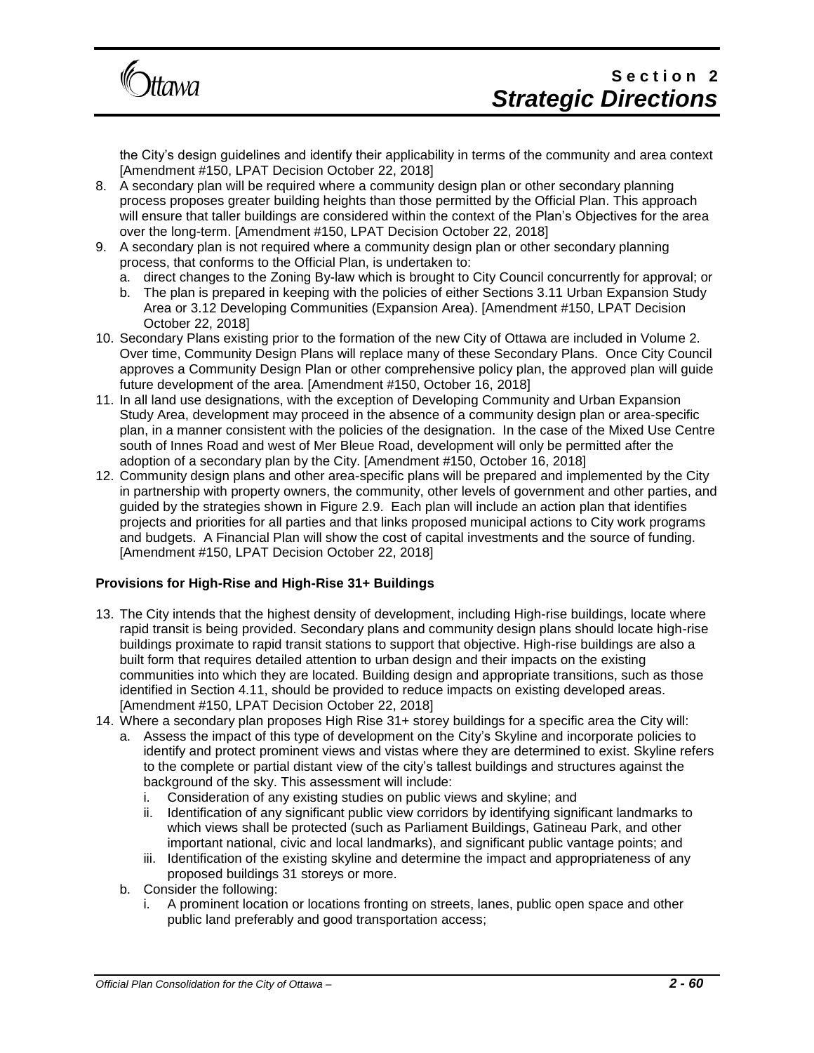

the City's design guidelines and identify their applicability in terms of the community and area context [Amendment #150, LPAT Decision October 22, 2018]

- 8. A secondary plan will be required where a community design plan or other secondary planning process proposes greater building heights than those permitted by the Official Plan. This approach will ensure that taller buildings are considered within the context of the Plan's Objectives for the area over the long-term. [Amendment #150, LPAT Decision October 22, 2018]
- 9. A secondary plan is not required where a community design plan or other secondary planning process, that conforms to the Official Plan, is undertaken to:
	- a. direct changes to the Zoning By-law which is brought to City Council concurrently for approval; or
	- b. The plan is prepared in keeping with the policies of either Sections 3.11 Urban Expansion Study Area or 3.12 Developing Communities (Expansion Area). [Amendment #150, LPAT Decision October 22, 2018]
- 10. Secondary Plans existing prior to the formation of the new City of Ottawa are included in Volume 2. Over time, Community Design Plans will replace many of these Secondary Plans. Once City Council approves a Community Design Plan or other comprehensive policy plan, the approved plan will guide future development of the area. [Amendment #150, October 16, 2018]
- 11. In all land use designations, with the exception of Developing Community and Urban Expansion Study Area, development may proceed in the absence of a community design plan or area-specific plan, in a manner consistent with the policies of the designation. In the case of the Mixed Use Centre south of Innes Road and west of Mer Bleue Road, development will only be permitted after the adoption of a secondary plan by the City. [Amendment #150, October 16, 2018]
- 12. Community design plans and other area-specific plans will be prepared and implemented by the City in partnership with property owners, the community, other levels of government and other parties, and guided by the strategies shown in Figure 2.9. Each plan will include an action plan that identifies projects and priorities for all parties and that links proposed municipal actions to City work programs and budgets. A Financial Plan will show the cost of capital investments and the source of funding. [Amendment #150, LPAT Decision October 22, 2018]

### **Provisions for High-Rise and High-Rise 31+ Buildings**

- 13. The City intends that the highest density of development, including High-rise buildings, locate where rapid transit is being provided. Secondary plans and community design plans should locate high-rise buildings proximate to rapid transit stations to support that objective. High-rise buildings are also a built form that requires detailed attention to urban design and their impacts on the existing communities into which they are located. Building design and appropriate transitions, such as those identified in Section 4.11, should be provided to reduce impacts on existing developed areas. [Amendment #150, LPAT Decision October 22, 2018]
- 14. Where a secondary plan proposes High Rise 31+ storey buildings for a specific area the City will:
	- a. Assess the impact of this type of development on the City's Skyline and incorporate policies to identify and protect prominent views and vistas where they are determined to exist. Skyline refers to the complete or partial distant view of the city's tallest buildings and structures against the background of the sky. This assessment will include:
		- i. Consideration of any existing studies on public views and skyline; and
		- ii. Identification of any significant public view corridors by identifying significant landmarks to which views shall be protected (such as Parliament Buildings, Gatineau Park, and other important national, civic and local landmarks), and significant public vantage points; and
		- iii. Identification of the existing skyline and determine the impact and appropriateness of any proposed buildings 31 storeys or more.
		- b. Consider the following:
			- i. A prominent location or locations fronting on streets, lanes, public open space and other public land preferably and good transportation access;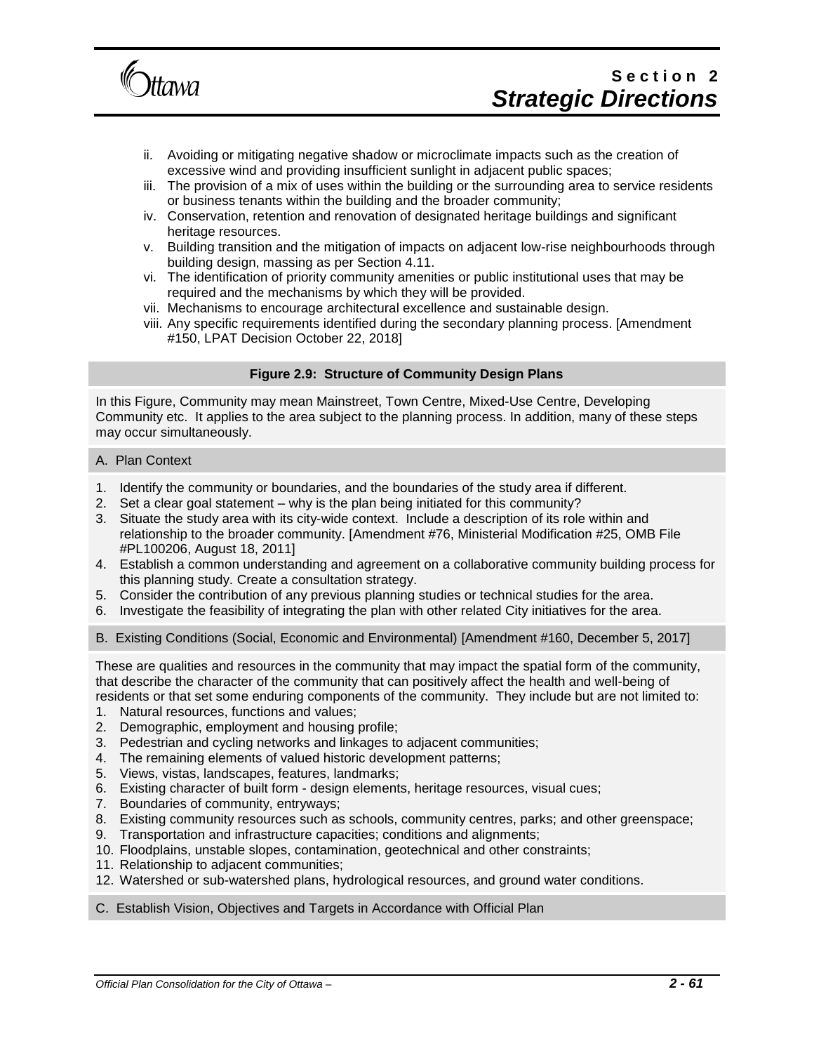

- ii. Avoiding or mitigating negative shadow or microclimate impacts such as the creation of excessive wind and providing insufficient sunlight in adjacent public spaces;
- iii. The provision of a mix of uses within the building or the surrounding area to service residents or business tenants within the building and the broader community;
- iv. Conservation, retention and renovation of designated heritage buildings and significant heritage resources.
- v. Building transition and the mitigation of impacts on adjacent low-rise neighbourhoods through building design, massing as per Section 4.11.
- vi. The identification of priority community amenities or public institutional uses that may be required and the mechanisms by which they will be provided.
- vii. Mechanisms to encourage architectural excellence and sustainable design.
- viii. Any specific requirements identified during the secondary planning process. [Amendment #150, LPAT Decision October 22, 2018]

#### **Figure 2.9: Structure of Community Design Plans**

In this Figure, Community may mean Mainstreet, Town Centre, Mixed-Use Centre, Developing Community etc. It applies to the area subject to the planning process. In addition, many of these steps may occur simultaneously.

#### A. Plan Context

- 1. Identify the community or boundaries, and the boundaries of the study area if different.
- 2. Set a clear goal statement why is the plan being initiated for this community?
- 3. Situate the study area with its city-wide context. Include a description of its role within and relationship to the broader community. [Amendment #76, Ministerial Modification #25, OMB File #PL100206, August 18, 2011]
- 4. Establish a common understanding and agreement on a collaborative community building process for this planning study. Create a consultation strategy.
- 5. Consider the contribution of any previous planning studies or technical studies for the area.
- 6. Investigate the feasibility of integrating the plan with other related City initiatives for the area.
- B. Existing Conditions (Social, Economic and Environmental) [Amendment #160, December 5, 2017]

These are qualities and resources in the community that may impact the spatial form of the community, that describe the character of the community that can positively affect the health and well-being of residents or that set some enduring components of the community. They include but are not limited to:

- 1. Natural resources, functions and values;
- 2. Demographic, employment and housing profile;
- 3. Pedestrian and cycling networks and linkages to adjacent communities;
- 4. The remaining elements of valued historic development patterns;
- 5. Views, vistas, landscapes, features, landmarks;
- 6. Existing character of built form design elements, heritage resources, visual cues;
- 7. Boundaries of community, entryways;
- 8. Existing community resources such as schools, community centres, parks; and other greenspace;
- 9. Transportation and infrastructure capacities; conditions and alignments;
- 10. Floodplains, unstable slopes, contamination, geotechnical and other constraints;
- 11. Relationship to adjacent communities;
- 12. Watershed or sub-watershed plans, hydrological resources, and ground water conditions.

#### C. Establish Vision, Objectives and Targets in Accordance with Official Plan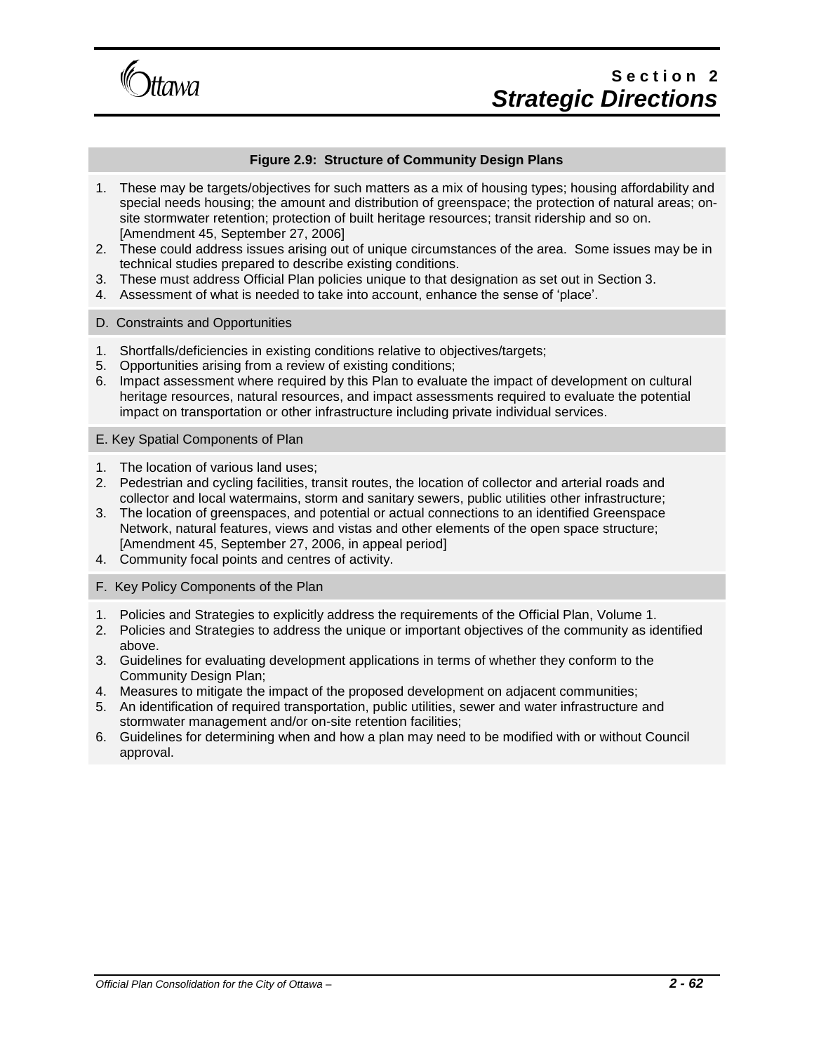

## Section<sub>2</sub> *Strategic Directions*

#### **Figure 2.9: Structure of Community Design Plans**

- 1. These may be targets/objectives for such matters as a mix of housing types; housing affordability and special needs housing; the amount and distribution of greenspace; the protection of natural areas; onsite stormwater retention; protection of built heritage resources; transit ridership and so on. [Amendment 45, September 27, 2006]
- 2. These could address issues arising out of unique circumstances of the area. Some issues may be in technical studies prepared to describe existing conditions.
- 3. These must address Official Plan policies unique to that designation as set out in Section 3.
- 4. Assessment of what is needed to take into account, enhance the sense of 'place'.
- D. Constraints and Opportunities
- 1. Shortfalls/deficiencies in existing conditions relative to objectives/targets;
- 5. Opportunities arising from a review of existing conditions;
- 6. Impact assessment where required by this Plan to evaluate the impact of development on cultural heritage resources, natural resources, and impact assessments required to evaluate the potential impact on transportation or other infrastructure including private individual services.

E. Key Spatial Components of Plan

- 1. The location of various land uses;
- 2. Pedestrian and cycling facilities, transit routes, the location of collector and arterial roads and collector and local watermains, storm and sanitary sewers, public utilities other infrastructure;
- 3. The location of greenspaces, and potential or actual connections to an identified Greenspace Network, natural features, views and vistas and other elements of the open space structure; [Amendment 45, September 27, 2006, in appeal period]
- 4. Community focal points and centres of activity.
- F. Key Policy Components of the Plan
- 1. Policies and Strategies to explicitly address the requirements of the Official Plan, Volume 1.
- 2. Policies and Strategies to address the unique or important objectives of the community as identified above.
- 3. Guidelines for evaluating development applications in terms of whether they conform to the Community Design Plan;
- 4. Measures to mitigate the impact of the proposed development on adjacent communities;
- 5. An identification of required transportation, public utilities, sewer and water infrastructure and stormwater management and/or on-site retention facilities;
- 6. Guidelines for determining when and how a plan may need to be modified with or without Council approval.